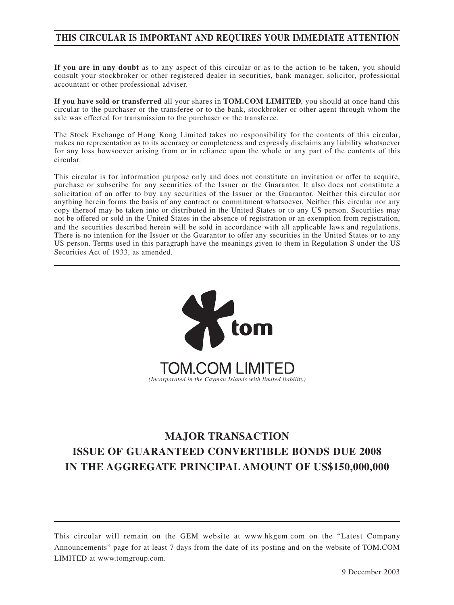## **THIS CIRCULAR IS IMPORTANT AND REQUIRES YOUR IMMEDIATE ATTENTION**

**If you are in any doubt** as to any aspect of this circular or as to the action to be taken, you should consult your stockbroker or other registered dealer in securities, bank manager, solicitor, professional accountant or other professional adviser.

**If you have sold or transferred** all your shares in **TOM.COM LIMITED**, you should at once hand this circular to the purchaser or the transferee or to the bank, stockbroker or other agent through whom the sale was effected for transmission to the purchaser or the transferee.

The Stock Exchange of Hong Kong Limited takes no responsibility for the contents of this circular, makes no representation as to its accuracy or completeness and expressly disclaims any liability whatsoever for any loss howsoever arising from or in reliance upon the whole or any part of the contents of this circular.

This circular is for information purpose only and does not constitute an invitation or offer to acquire, purchase or subscribe for any securities of the Issuer or the Guarantor. It also does not constitute a solicitation of an offer to buy any securities of the Issuer or the Guarantor. Neither this circular nor anything herein forms the basis of any contract or commitment whatsoever. Neither this circular nor any copy thereof may be taken into or distributed in the United States or to any US person. Securities may not be offered or sold in the United States in the absence of registration or an exemption from registration, and the securities described herein will be sold in accordance with all applicable laws and regulations. There is no intention for the Issuer or the Guarantor to offer any securities in the United States or to any US person. Terms used in this paragraph have the meanings given to them in Regulation S under the US Securities Act of 1933, as amended.



# **MAJOR TRANSACTION ISSUE OF GUARANTEED CONVERTIBLE BONDS DUE 2008 IN THE AGGREGATE PRINCIPAL AMOUNT OF US\$150,000,000**

This circular will remain on the GEM website at www.hkgem.com on the "Latest Company Announcements" page for at least 7 days from the date of its posting and on the website of TOM.COM LIMITED at www.tomgroup.com.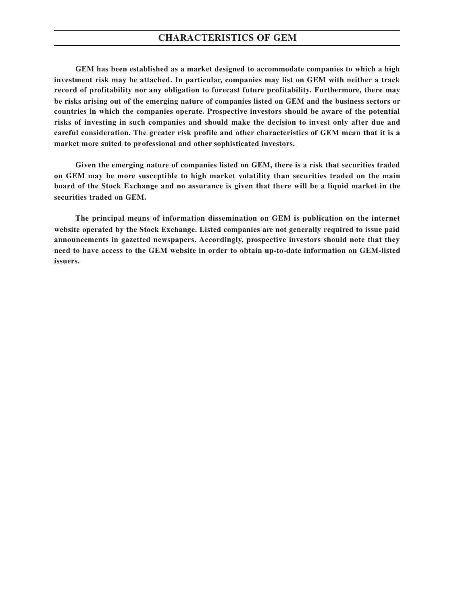## **CHARACTERISTICS OF GEM**

**GEM has been established as a market designed to accommodate companies to which a high investment risk may be attached. In particular, companies may list on GEM with neither a track record of profitability nor any obligation to forecast future profitability. Furthermore, there may be risks arising out of the emerging nature of companies listed on GEM and the business sectors or countries in which the companies operate. Prospective investors should be aware of the potential risks of investing in such companies and should make the decision to invest only after due and careful consideration. The greater risk profile and other characteristics of GEM mean that it is a market more suited to professional and other sophisticated investors.**

**Given the emerging nature of companies listed on GEM, there is a risk that securities traded on GEM may be more susceptible to high market volatility than securities traded on the main board of the Stock Exchange and no assurance is given that there will be a liquid market in the securities traded on GEM.**

**The principal means of information dissemination on GEM is publication on the internet website operated by the Stock Exchange. Listed companies are not generally required to issue paid announcements in gazetted newspapers. Accordingly, prospective investors should note that they need to have access to the GEM website in order to obtain up-to-date information on GEM-listed issuers.**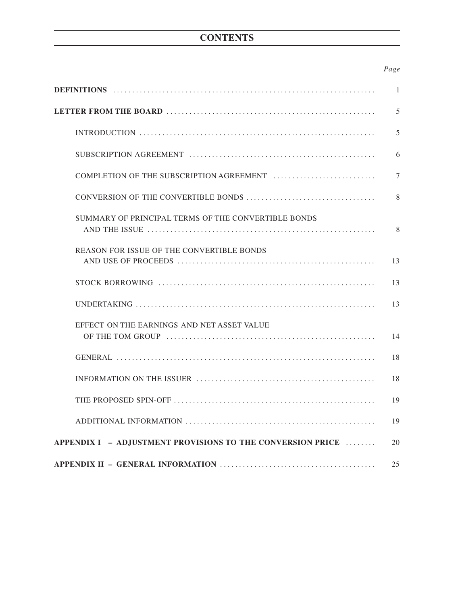# **CONTENTS**

## *Page*

|                                                            | 1  |
|------------------------------------------------------------|----|
|                                                            | 5  |
|                                                            | 5  |
|                                                            | 6  |
|                                                            | 7  |
|                                                            | 8  |
| SUMMARY OF PRINCIPAL TERMS OF THE CONVERTIBLE BONDS        | 8  |
| REASON FOR ISSUE OF THE CONVERTIBLE BONDS                  | 13 |
|                                                            | 13 |
|                                                            | 13 |
| EFFECT ON THE EARNINGS AND NET ASSET VALUE                 | 14 |
|                                                            | 18 |
|                                                            | 18 |
|                                                            | 19 |
|                                                            | 19 |
| APPENDIX I - ADJUSTMENT PROVISIONS TO THE CONVERSION PRICE | 20 |
|                                                            | 25 |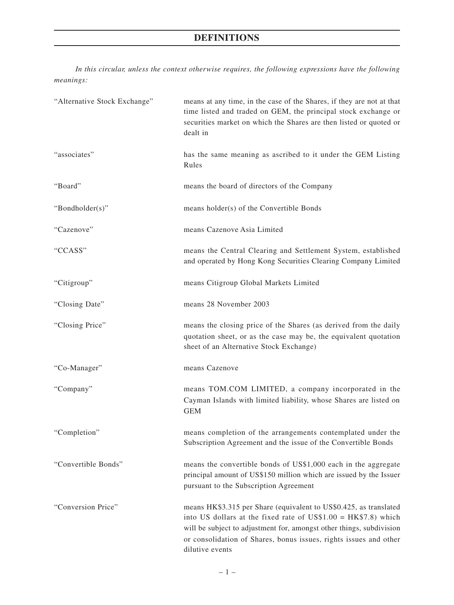*In this circular, unless the context otherwise requires, the following expressions have the following meanings:*

| "Alternative Stock Exchange" | means at any time, in the case of the Shares, if they are not at that<br>time listed and traded on GEM, the principal stock exchange or<br>securities market on which the Shares are then listed or quoted or<br>dealt in                                                                             |
|------------------------------|-------------------------------------------------------------------------------------------------------------------------------------------------------------------------------------------------------------------------------------------------------------------------------------------------------|
| "associates"                 | has the same meaning as ascribed to it under the GEM Listing<br>Rules                                                                                                                                                                                                                                 |
| "Board"                      | means the board of directors of the Company                                                                                                                                                                                                                                                           |
| "Bondholder(s)"              | means holder(s) of the Convertible Bonds                                                                                                                                                                                                                                                              |
| "Cazenove"                   | means Cazenove Asia Limited                                                                                                                                                                                                                                                                           |
| "CCASS"                      | means the Central Clearing and Settlement System, established<br>and operated by Hong Kong Securities Clearing Company Limited                                                                                                                                                                        |
| "Citigroup"                  | means Citigroup Global Markets Limited                                                                                                                                                                                                                                                                |
| "Closing Date"               | means 28 November 2003                                                                                                                                                                                                                                                                                |
| "Closing Price"              | means the closing price of the Shares (as derived from the daily<br>quotation sheet, or as the case may be, the equivalent quotation<br>sheet of an Alternative Stock Exchange)                                                                                                                       |
| "Co-Manager"                 | means Cazenove                                                                                                                                                                                                                                                                                        |
| "Company"                    | means TOM.COM LIMITED, a company incorporated in the<br>Cayman Islands with limited liability, whose Shares are listed on<br><b>GEM</b>                                                                                                                                                               |
| "Completion"                 | means completion of the arrangements contemplated under the<br>Subscription Agreement and the issue of the Convertible Bonds                                                                                                                                                                          |
| "Convertible Bonds"          | means the convertible bonds of US\$1,000 each in the aggregate<br>principal amount of US\$150 million which are issued by the Issuer<br>pursuant to the Subscription Agreement                                                                                                                        |
| "Conversion Price"           | means HK\$3.315 per Share (equivalent to US\$0.425, as translated<br>into US dollars at the fixed rate of US\$1.00 = $HK$7.8$ ) which<br>will be subject to adjustment for, amongst other things, subdivision<br>or consolidation of Shares, bonus issues, rights issues and other<br>dilutive events |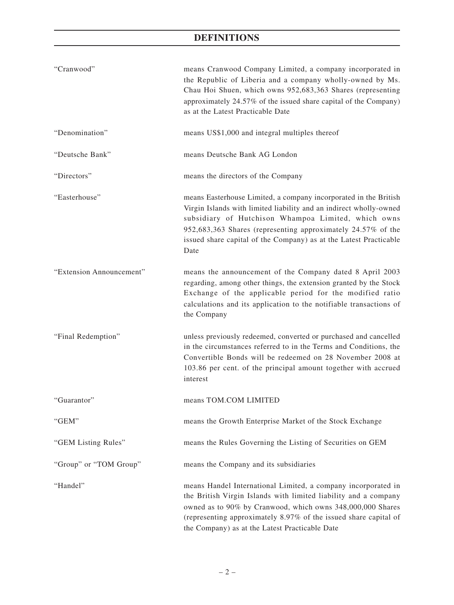| "Cranwood"               | means Cranwood Company Limited, a company incorporated in<br>the Republic of Liberia and a company wholly-owned by Ms.<br>Chau Hoi Shuen, which owns 952,683,363 Shares (representing<br>approximately 24.57% of the issued share capital of the Company)<br>as at the Latest Practicable Date                                             |
|--------------------------|--------------------------------------------------------------------------------------------------------------------------------------------------------------------------------------------------------------------------------------------------------------------------------------------------------------------------------------------|
| "Denomination"           | means US\$1,000 and integral multiples thereof                                                                                                                                                                                                                                                                                             |
| "Deutsche Bank"          | means Deutsche Bank AG London                                                                                                                                                                                                                                                                                                              |
| "Directors"              | means the directors of the Company                                                                                                                                                                                                                                                                                                         |
| "Easterhouse"            | means Easterhouse Limited, a company incorporated in the British<br>Virgin Islands with limited liability and an indirect wholly-owned<br>subsidiary of Hutchison Whampoa Limited, which owns<br>952,683,363 Shares (representing approximately 24.57% of the<br>issued share capital of the Company) as at the Latest Practicable<br>Date |
| "Extension Announcement" | means the announcement of the Company dated 8 April 2003<br>regarding, among other things, the extension granted by the Stock<br>Exchange of the applicable period for the modified ratio<br>calculations and its application to the notifiable transactions of<br>the Company                                                             |
| "Final Redemption"       | unless previously redeemed, converted or purchased and cancelled<br>in the circumstances referred to in the Terms and Conditions, the<br>Convertible Bonds will be redeemed on 28 November 2008 at<br>103.86 per cent. of the principal amount together with accrued<br>interest                                                           |
| "Guarantor"              | means TOM.COM LIMITED                                                                                                                                                                                                                                                                                                                      |
| "GEM"                    | means the Growth Enterprise Market of the Stock Exchange                                                                                                                                                                                                                                                                                   |
| "GEM Listing Rules"      | means the Rules Governing the Listing of Securities on GEM                                                                                                                                                                                                                                                                                 |
| "Group" or "TOM Group"   | means the Company and its subsidiaries                                                                                                                                                                                                                                                                                                     |
| "Handel"                 | means Handel International Limited, a company incorporated in<br>the British Virgin Islands with limited liability and a company<br>owned as to 90% by Cranwood, which owns 348,000,000 Shares<br>(representing approximately 8.97% of the issued share capital of<br>the Company) as at the Latest Practicable Date                       |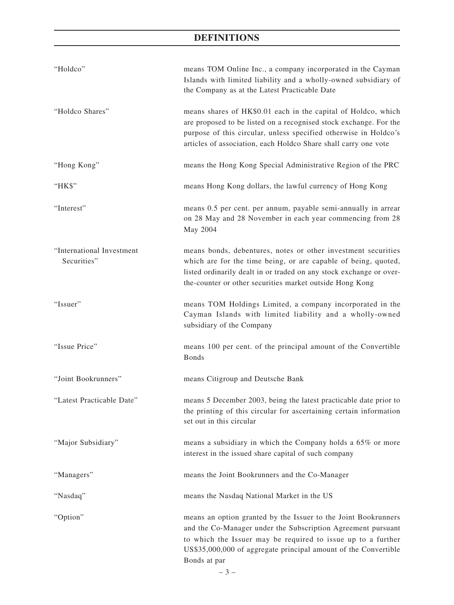| "Holdco"                                 | means TOM Online Inc., a company incorporated in the Cayman<br>Islands with limited liability and a wholly-owned subsidiary of<br>the Company as at the Latest Practicable Date                                                                                                   |
|------------------------------------------|-----------------------------------------------------------------------------------------------------------------------------------------------------------------------------------------------------------------------------------------------------------------------------------|
| "Holdco Shares"                          | means shares of HK\$0.01 each in the capital of Holdco, which<br>are proposed to be listed on a recognised stock exchange. For the<br>purpose of this circular, unless specified otherwise in Holdco's<br>articles of association, each Holdco Share shall carry one vote         |
| "Hong Kong"                              | means the Hong Kong Special Administrative Region of the PRC                                                                                                                                                                                                                      |
| "HK\$"                                   | means Hong Kong dollars, the lawful currency of Hong Kong                                                                                                                                                                                                                         |
| "Interest"                               | means 0.5 per cent. per annum, payable semi-annually in arrear<br>on 28 May and 28 November in each year commencing from 28<br>May 2004                                                                                                                                           |
| "International Investment<br>Securities" | means bonds, debentures, notes or other investment securities<br>which are for the time being, or are capable of being, quoted,<br>listed ordinarily dealt in or traded on any stock exchange or over-<br>the-counter or other securities market outside Hong Kong                |
| "Issuer"                                 | means TOM Holdings Limited, a company incorporated in the<br>Cayman Islands with limited liability and a wholly-owned<br>subsidiary of the Company                                                                                                                                |
| "Issue Price"                            | means 100 per cent. of the principal amount of the Convertible<br><b>Bonds</b>                                                                                                                                                                                                    |
| "Joint Bookrunners"                      | means Citigroup and Deutsche Bank                                                                                                                                                                                                                                                 |
| "Latest Practicable Date"                | means 5 December 2003, being the latest practicable date prior to<br>the printing of this circular for ascertaining certain information<br>set out in this circular                                                                                                               |
| "Major Subsidiary"                       | means a subsidiary in which the Company holds a 65% or more<br>interest in the issued share capital of such company                                                                                                                                                               |
| "Managers"                               | means the Joint Bookrunners and the Co-Manager                                                                                                                                                                                                                                    |
| "Nasdaq"                                 | means the Nasdaq National Market in the US                                                                                                                                                                                                                                        |
| "Option"                                 | means an option granted by the Issuer to the Joint Bookrunners<br>and the Co-Manager under the Subscription Agreement pursuant<br>to which the Issuer may be required to issue up to a further<br>US\$35,000,000 of aggregate principal amount of the Convertible<br>Bonds at par |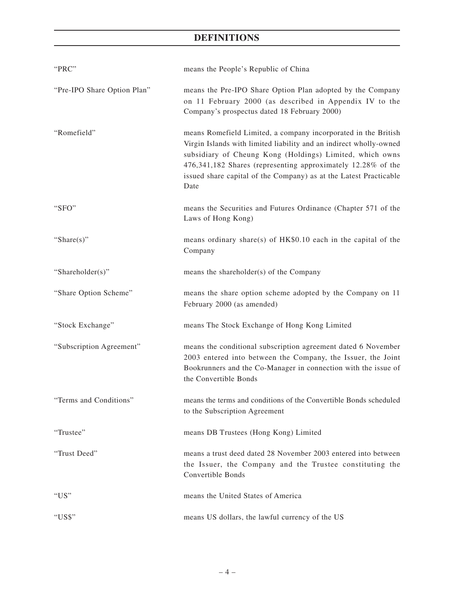| "PRC"                       | means the People's Republic of China                                                                                                                                                                                                                                                                                                          |
|-----------------------------|-----------------------------------------------------------------------------------------------------------------------------------------------------------------------------------------------------------------------------------------------------------------------------------------------------------------------------------------------|
| "Pre-IPO Share Option Plan" | means the Pre-IPO Share Option Plan adopted by the Company<br>on 11 February 2000 (as described in Appendix IV to the<br>Company's prospectus dated 18 February 2000)                                                                                                                                                                         |
| "Romefield"                 | means Romefield Limited, a company incorporated in the British<br>Virgin Islands with limited liability and an indirect wholly-owned<br>subsidiary of Cheung Kong (Holdings) Limited, which owns<br>476,341,182 Shares (representing approximately 12.28% of the<br>issued share capital of the Company) as at the Latest Practicable<br>Date |
| "SFO"                       | means the Securities and Futures Ordinance (Chapter 571 of the<br>Laws of Hong Kong)                                                                                                                                                                                                                                                          |
| "Share $(s)$ "              | means ordinary share(s) of HK\$0.10 each in the capital of the<br>Company                                                                                                                                                                                                                                                                     |
| "Shareholder(s)"            | means the shareholder(s) of the Company                                                                                                                                                                                                                                                                                                       |
| "Share Option Scheme"       | means the share option scheme adopted by the Company on 11<br>February 2000 (as amended)                                                                                                                                                                                                                                                      |
| "Stock Exchange"            | means The Stock Exchange of Hong Kong Limited                                                                                                                                                                                                                                                                                                 |
| "Subscription Agreement"    | means the conditional subscription agreement dated 6 November<br>2003 entered into between the Company, the Issuer, the Joint<br>Bookrunners and the Co-Manager in connection with the issue of<br>the Convertible Bonds                                                                                                                      |
| "Terms and Conditions"      | means the terms and conditions of the Convertible Bonds scheduled<br>to the Subscription Agreement                                                                                                                                                                                                                                            |
| "Trustee"                   | means DB Trustees (Hong Kong) Limited                                                                                                                                                                                                                                                                                                         |
| "Trust Deed"                | means a trust deed dated 28 November 2003 entered into between<br>the Issuer, the Company and the Trustee constituting the<br>Convertible Bonds                                                                                                                                                                                               |
| " $US"$                     | means the United States of America                                                                                                                                                                                                                                                                                                            |
| "US\$"                      | means US dollars, the lawful currency of the US                                                                                                                                                                                                                                                                                               |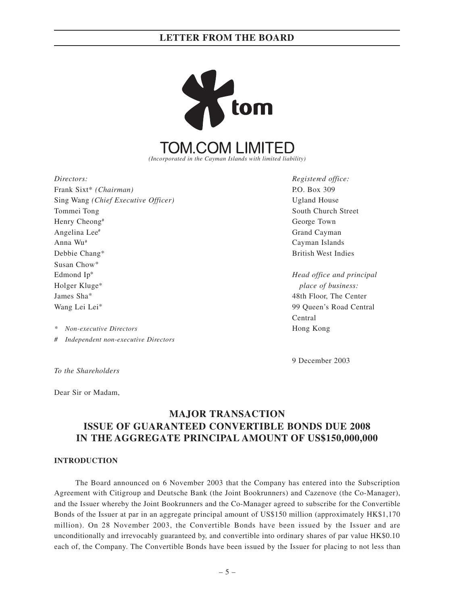

Frank Sixt<sup>\*</sup> *(Chairman)* P.O. Box 309 Sing Wang *(Chief Executive Officer)* Ugland House Tommei Tong South Church Street Henry Cheong<sup>#</sup> George Town Angelina Lee<sup>#</sup> Grand Cayman Anna Wu# Cayman Islands Debbie Chang\* British West Indies Susan Chow\* Edmond Ip\* *Head office and principal* Holger Kluge\* *place of business:* James Sha\* 48th Floor, The Center Wang Lei Lei<sup>\*</sup> 99 Queen's Road Central

*\* Non-executive Directors* Hong Kong

*# Independent non-executive Directors*

*To the Shareholders*

Dear Sir or Madam,

# **MAJOR TRANSACTION ISSUE OF GUARANTEED CONVERTIBLE BONDS DUE 2008 IN THE AGGREGATE PRINCIPAL AMOUNT OF US\$150,000,000**

### **INTRODUCTION**

The Board announced on 6 November 2003 that the Company has entered into the Subscription Agreement with Citigroup and Deutsche Bank (the Joint Bookrunners) and Cazenove (the Co-Manager), and the Issuer whereby the Joint Bookrunners and the Co-Manager agreed to subscribe for the Convertible Bonds of the Issuer at par in an aggregate principal amount of US\$150 million (approximately HK\$1,170 million). On 28 November 2003, the Convertible Bonds have been issued by the Issuer and are unconditionally and irrevocably guaranteed by, and convertible into ordinary shares of par value HK\$0.10 each of, the Company. The Convertible Bonds have been issued by the Issuer for placing to not less than

*Directors: Registered office:*

Central

9 December 2003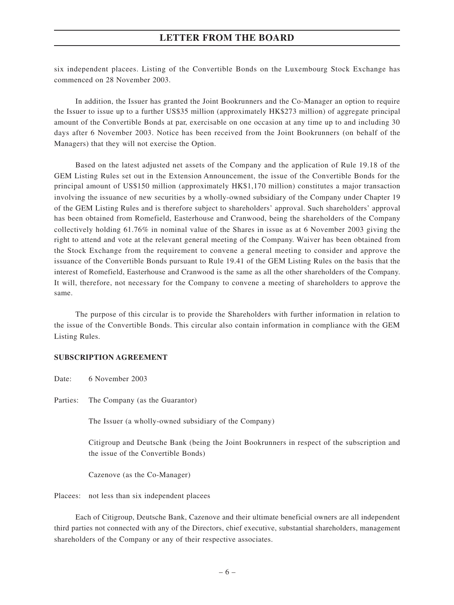six independent placees. Listing of the Convertible Bonds on the Luxembourg Stock Exchange has commenced on 28 November 2003.

In addition, the Issuer has granted the Joint Bookrunners and the Co-Manager an option to require the Issuer to issue up to a further US\$35 million (approximately HK\$273 million) of aggregate principal amount of the Convertible Bonds at par, exercisable on one occasion at any time up to and including 30 days after 6 November 2003. Notice has been received from the Joint Bookrunners (on behalf of the Managers) that they will not exercise the Option.

Based on the latest adjusted net assets of the Company and the application of Rule 19.18 of the GEM Listing Rules set out in the Extension Announcement, the issue of the Convertible Bonds for the principal amount of US\$150 million (approximately HK\$1,170 million) constitutes a major transaction involving the issuance of new securities by a wholly-owned subsidiary of the Company under Chapter 19 of the GEM Listing Rules and is therefore subject to shareholders' approval. Such shareholders' approval has been obtained from Romefield, Easterhouse and Cranwood, being the shareholders of the Company collectively holding 61.76% in nominal value of the Shares in issue as at 6 November 2003 giving the right to attend and vote at the relevant general meeting of the Company. Waiver has been obtained from the Stock Exchange from the requirement to convene a general meeting to consider and approve the issuance of the Convertible Bonds pursuant to Rule 19.41 of the GEM Listing Rules on the basis that the interest of Romefield, Easterhouse and Cranwood is the same as all the other shareholders of the Company. It will, therefore, not necessary for the Company to convene a meeting of shareholders to approve the same.

The purpose of this circular is to provide the Shareholders with further information in relation to the issue of the Convertible Bonds. This circular also contain information in compliance with the GEM Listing Rules.

### **SUBSCRIPTION AGREEMENT**

Date: 6 November 2003

Parties: The Company (as the Guarantor)

The Issuer (a wholly-owned subsidiary of the Company)

Citigroup and Deutsche Bank (being the Joint Bookrunners in respect of the subscription and the issue of the Convertible Bonds)

Cazenove (as the Co-Manager)

Placees: not less than six independent placees

Each of Citigroup, Deutsche Bank, Cazenove and their ultimate beneficial owners are all independent third parties not connected with any of the Directors, chief executive, substantial shareholders, management shareholders of the Company or any of their respective associates.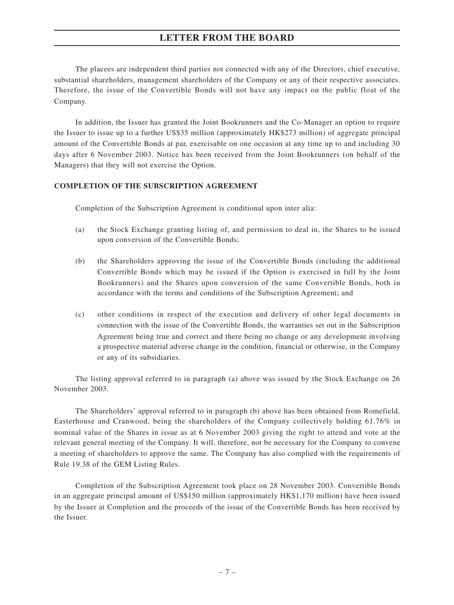The placees are independent third parties not connected with any of the Directors, chief executive, substantial shareholders, management shareholders of the Company or any of their respective associates. Therefore, the issue of the Convertible Bonds will not have any impact on the public float of the Company.

In addition, the Issuer has granted the Joint Bookrunners and the Co-Manager an option to require the Issuer to issue up to a further US\$35 million (approximately HK\$273 million) of aggregate principal amount of the Convertible Bonds at par, exercisable on one occasion at any time up to and including 30 days after 6 November 2003. Notice has been received from the Joint Bookrunners (on behalf of the Managers) that they will not exercise the Option.

## **COMPLETION OF THE SUBSCRIPTION AGREEMENT**

Completion of the Subscription Agreement is conditional upon inter alia:

- (a) the Stock Exchange granting listing of, and permission to deal in, the Shares to be issued upon conversion of the Convertible Bonds;
- (b) the Shareholders approving the issue of the Convertible Bonds (including the additional Convertible Bonds which may be issued if the Option is exercised in full by the Joint Bookrunners) and the Shares upon conversion of the same Convertible Bonds, both in accordance with the terms and conditions of the Subscription Agreement; and
- (c) other conditions in respect of the execution and delivery of other legal documents in connection with the issue of the Convertible Bonds, the warranties set out in the Subscription Agreement being true and correct and there being no change or any development involving a prospective material adverse change in the condition, financial or otherwise, in the Company or any of its subsidiaries.

The listing approval referred to in paragraph (a) above was issued by the Stock Exchange on 26 November 2003.

The Shareholders' approval referred to in paragraph (b) above has been obtained from Romefield, Easterhouse and Cranwood, being the shareholders of the Company collectively holding 61.76% in nominal value of the Shares in issue as at 6 November 2003 giving the right to attend and vote at the relevant general meeting of the Company. It will, therefore, not be necessary for the Company to convene a meeting of shareholders to approve the same. The Company has also complied with the requirements of Rule 19.38 of the GEM Listing Rules.

Completion of the Subscription Agreement took place on 28 November 2003. Convertible Bonds in an aggregate principal amount of US\$150 million (approximately HK\$1,170 million) have been issued by the Issuer at Completion and the proceeds of the issue of the Convertible Bonds has been received by the Issuer.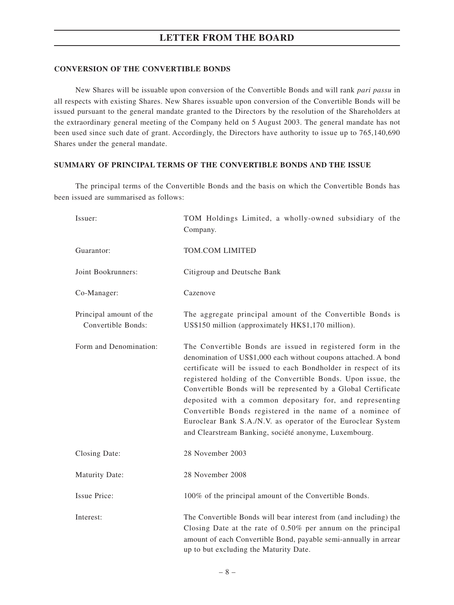### **CONVERSION OF THE CONVERTIBLE BONDS**

New Shares will be issuable upon conversion of the Convertible Bonds and will rank *pari passu* in all respects with existing Shares. New Shares issuable upon conversion of the Convertible Bonds will be issued pursuant to the general mandate granted to the Directors by the resolution of the Shareholders at the extraordinary general meeting of the Company held on 5 August 2003. The general mandate has not been used since such date of grant. Accordingly, the Directors have authority to issue up to 765,140,690 Shares under the general mandate.

### **SUMMARY OF PRINCIPAL TERMS OF THE CONVERTIBLE BONDS AND THE ISSUE**

The principal terms of the Convertible Bonds and the basis on which the Convertible Bonds has been issued are summarised as follows:

| Issuer:                                       | TOM Holdings Limited, a wholly-owned subsidiary of the<br>Company.                                                                                                                                                                                                                                                                                                                                                                                                                                                                                                                 |
|-----------------------------------------------|------------------------------------------------------------------------------------------------------------------------------------------------------------------------------------------------------------------------------------------------------------------------------------------------------------------------------------------------------------------------------------------------------------------------------------------------------------------------------------------------------------------------------------------------------------------------------------|
| Guarantor:                                    | TOM.COM LIMITED                                                                                                                                                                                                                                                                                                                                                                                                                                                                                                                                                                    |
| Joint Bookrunners:                            | Citigroup and Deutsche Bank                                                                                                                                                                                                                                                                                                                                                                                                                                                                                                                                                        |
| Co-Manager:                                   | Cazenove                                                                                                                                                                                                                                                                                                                                                                                                                                                                                                                                                                           |
| Principal amount of the<br>Convertible Bonds: | The aggregate principal amount of the Convertible Bonds is<br>US\$150 million (approximately HK\$1,170 million).                                                                                                                                                                                                                                                                                                                                                                                                                                                                   |
| Form and Denomination:                        | The Convertible Bonds are issued in registered form in the<br>denomination of US\$1,000 each without coupons attached. A bond<br>certificate will be issued to each Bondholder in respect of its<br>registered holding of the Convertible Bonds. Upon issue, the<br>Convertible Bonds will be represented by a Global Certificate<br>deposited with a common depositary for, and representing<br>Convertible Bonds registered in the name of a nominee of<br>Euroclear Bank S.A./N.V. as operator of the Euroclear System<br>and Clearstream Banking, société anonyme, Luxembourg. |
| Closing Date:                                 | 28 November 2003                                                                                                                                                                                                                                                                                                                                                                                                                                                                                                                                                                   |
| <b>Maturity Date:</b>                         | 28 November 2008                                                                                                                                                                                                                                                                                                                                                                                                                                                                                                                                                                   |
| Issue Price:                                  | 100% of the principal amount of the Convertible Bonds.                                                                                                                                                                                                                                                                                                                                                                                                                                                                                                                             |
| Interest:                                     | The Convertible Bonds will bear interest from (and including) the<br>Closing Date at the rate of $0.50\%$ per annum on the principal<br>amount of each Convertible Bond, payable semi-annually in arrear<br>up to but excluding the Maturity Date.                                                                                                                                                                                                                                                                                                                                 |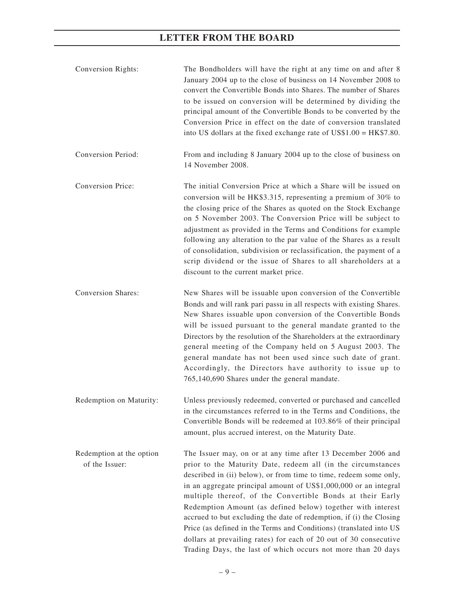| Conversion Rights:                         | The Bondholders will have the right at any time on and after 8<br>January 2004 up to the close of business on 14 November 2008 to<br>convert the Convertible Bonds into Shares. The number of Shares<br>to be issued on conversion will be determined by dividing the<br>principal amount of the Convertible Bonds to be converted by the<br>Conversion Price in effect on the date of conversion translated<br>into US dollars at the fixed exchange rate of $US$1.00 = HK$7.80$ .                                                                                                                                                                                                 |
|--------------------------------------------|-------------------------------------------------------------------------------------------------------------------------------------------------------------------------------------------------------------------------------------------------------------------------------------------------------------------------------------------------------------------------------------------------------------------------------------------------------------------------------------------------------------------------------------------------------------------------------------------------------------------------------------------------------------------------------------|
| Conversion Period:                         | From and including 8 January 2004 up to the close of business on<br>14 November 2008.                                                                                                                                                                                                                                                                                                                                                                                                                                                                                                                                                                                               |
| <b>Conversion Price:</b>                   | The initial Conversion Price at which a Share will be issued on<br>conversion will be HK\$3.315, representing a premium of 30% to<br>the closing price of the Shares as quoted on the Stock Exchange<br>on 5 November 2003. The Conversion Price will be subject to<br>adjustment as provided in the Terms and Conditions for example<br>following any alteration to the par value of the Shares as a result<br>of consolidation, subdivision or reclassification, the payment of a<br>scrip dividend or the issue of Shares to all shareholders at a<br>discount to the current market price.                                                                                      |
| <b>Conversion Shares:</b>                  | New Shares will be issuable upon conversion of the Convertible<br>Bonds and will rank pari passu in all respects with existing Shares.<br>New Shares issuable upon conversion of the Convertible Bonds<br>will be issued pursuant to the general mandate granted to the<br>Directors by the resolution of the Shareholders at the extraordinary<br>general meeting of the Company held on 5 August 2003. The<br>general mandate has not been used since such date of grant.<br>Accordingly, the Directors have authority to issue up to<br>765,140,690 Shares under the general mandate.                                                                                            |
| Redemption on Maturity:                    | Unless previously redeemed, converted or purchased and cancelled<br>in the circumstances referred to in the Terms and Conditions, the<br>Convertible Bonds will be redeemed at 103.86% of their principal<br>amount, plus accrued interest, on the Maturity Date.                                                                                                                                                                                                                                                                                                                                                                                                                   |
| Redemption at the option<br>of the Issuer: | The Issuer may, on or at any time after 13 December 2006 and<br>prior to the Maturity Date, redeem all (in the circumstances<br>described in (ii) below), or from time to time, redeem some only,<br>in an aggregate principal amount of US\$1,000,000 or an integral<br>multiple thereof, of the Convertible Bonds at their Early<br>Redemption Amount (as defined below) together with interest<br>accrued to but excluding the date of redemption, if (i) the Closing<br>Price (as defined in the Terms and Conditions) (translated into US<br>dollars at prevailing rates) for each of 20 out of 30 consecutive<br>Trading Days, the last of which occurs not more than 20 days |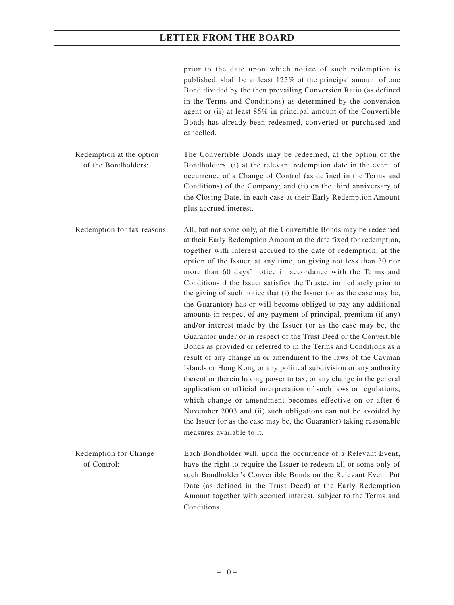prior to the date upon which notice of such redemption is published, shall be at least 125% of the principal amount of one Bond divided by the then prevailing Conversion Ratio (as defined in the Terms and Conditions) as determined by the conversion agent or (ii) at least 85% in principal amount of the Convertible Bonds has already been redeemed, converted or purchased and cancelled.

Redemption at the option The Convertible Bonds may be redeemed, at the option of the of the Bondholders: Bondholders, (i) at the relevant redemption date in the event of occurrence of a Change of Control (as defined in the Terms and Conditions) of the Company; and (ii) on the third anniversary of the Closing Date, in each case at their Early Redemption Amount plus accrued interest.

Redemption for tax reasons: All, but not some only, of the Convertible Bonds may be redeemed at their Early Redemption Amount at the date fixed for redemption, together with interest accrued to the date of redemption, at the option of the Issuer, at any time, on giving not less than 30 nor more than 60 days' notice in accordance with the Terms and Conditions if the Issuer satisfies the Trustee immediately prior to the giving of such notice that (i) the Issuer (or as the case may be, the Guarantor) has or will become obliged to pay any additional amounts in respect of any payment of principal, premium (if any) and/or interest made by the Issuer (or as the case may be, the Guarantor under or in respect of the Trust Deed or the Convertible Bonds as provided or referred to in the Terms and Conditions as a result of any change in or amendment to the laws of the Cayman Islands or Hong Kong or any political subdivision or any authority thereof or therein having power to tax, or any change in the general application or official interpretation of such laws or regulations, which change or amendment becomes effective on or after 6 November 2003 and (ii) such obligations can not be avoided by the Issuer (or as the case may be, the Guarantor) taking reasonable measures available to it.

Redemption for Change Each Bondholder will, upon the occurrence of a Relevant Event, of Control: have the right to require the Issuer to redeem all or some only of such Bondholder's Convertible Bonds on the Relevant Event Put Date (as defined in the Trust Deed) at the Early Redemption Amount together with accrued interest, subject to the Terms and Conditions.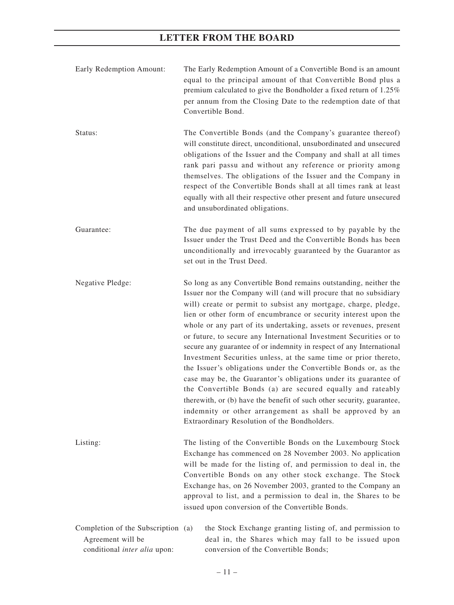| Early Redemption Amount:                                                                | The Early Redemption Amount of a Convertible Bond is an amount<br>equal to the principal amount of that Convertible Bond plus a<br>premium calculated to give the Bondholder a fixed return of 1.25%<br>per annum from the Closing Date to the redemption date of that<br>Convertible Bond.                                                                                                                                                                                                                                                                                                                                                                                                                                                                                                                                                                                                                                                                 |
|-----------------------------------------------------------------------------------------|-------------------------------------------------------------------------------------------------------------------------------------------------------------------------------------------------------------------------------------------------------------------------------------------------------------------------------------------------------------------------------------------------------------------------------------------------------------------------------------------------------------------------------------------------------------------------------------------------------------------------------------------------------------------------------------------------------------------------------------------------------------------------------------------------------------------------------------------------------------------------------------------------------------------------------------------------------------|
| Status:                                                                                 | The Convertible Bonds (and the Company's guarantee thereof)<br>will constitute direct, unconditional, unsubordinated and unsecured<br>obligations of the Issuer and the Company and shall at all times<br>rank pari passu and without any reference or priority among<br>themselves. The obligations of the Issuer and the Company in<br>respect of the Convertible Bonds shall at all times rank at least<br>equally with all their respective other present and future unsecured<br>and unsubordinated obligations.                                                                                                                                                                                                                                                                                                                                                                                                                                       |
| Guarantee:                                                                              | The due payment of all sums expressed to by payable by the<br>Issuer under the Trust Deed and the Convertible Bonds has been<br>unconditionally and irrevocably guaranteed by the Guarantor as<br>set out in the Trust Deed.                                                                                                                                                                                                                                                                                                                                                                                                                                                                                                                                                                                                                                                                                                                                |
| Negative Pledge:                                                                        | So long as any Convertible Bond remains outstanding, neither the<br>Issuer nor the Company will (and will procure that no subsidiary<br>will) create or permit to subsist any mortgage, charge, pledge,<br>lien or other form of encumbrance or security interest upon the<br>whole or any part of its undertaking, assets or revenues, present<br>or future, to secure any International Investment Securities or to<br>secure any guarantee of or indemnity in respect of any International<br>Investment Securities unless, at the same time or prior thereto,<br>the Issuer's obligations under the Convertible Bonds or, as the<br>case may be, the Guarantor's obligations under its guarantee of<br>the Convertible Bonds (a) are secured equally and rateably<br>therewith, or (b) have the benefit of such other security, guarantee,<br>indemnity or other arrangement as shall be approved by an<br>Extraordinary Resolution of the Bondholders. |
| Listing:                                                                                | The listing of the Convertible Bonds on the Luxembourg Stock<br>Exchange has commenced on 28 November 2003. No application<br>will be made for the listing of, and permission to deal in, the<br>Convertible Bonds on any other stock exchange. The Stock<br>Exchange has, on 26 November 2003, granted to the Company an<br>approval to list, and a permission to deal in, the Shares to be<br>issued upon conversion of the Convertible Bonds.                                                                                                                                                                                                                                                                                                                                                                                                                                                                                                            |
| Completion of the Subscription (a)<br>Agreement will be<br>conditional inter alia upon: | the Stock Exchange granting listing of, and permission to<br>deal in, the Shares which may fall to be issued upon<br>conversion of the Convertible Bonds;                                                                                                                                                                                                                                                                                                                                                                                                                                                                                                                                                                                                                                                                                                                                                                                                   |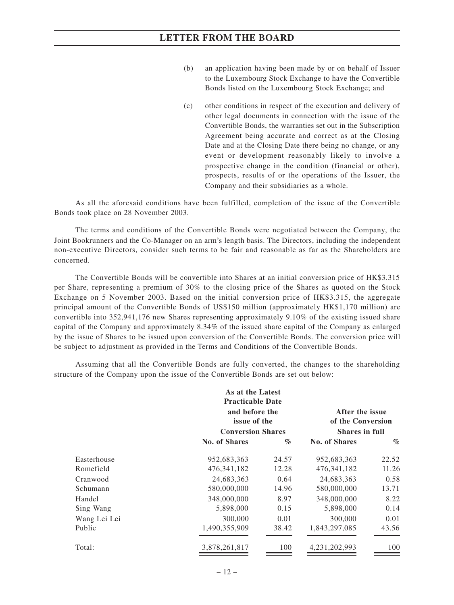- (b) an application having been made by or on behalf of Issuer to the Luxembourg Stock Exchange to have the Convertible Bonds listed on the Luxembourg Stock Exchange; and
- (c) other conditions in respect of the execution and delivery of other legal documents in connection with the issue of the Convertible Bonds, the warranties set out in the Subscription Agreement being accurate and correct as at the Closing Date and at the Closing Date there being no change, or any event or development reasonably likely to involve a prospective change in the condition (financial or other), prospects, results of or the operations of the Issuer, the Company and their subsidiaries as a whole.

As all the aforesaid conditions have been fulfilled, completion of the issue of the Convertible Bonds took place on 28 November 2003.

The terms and conditions of the Convertible Bonds were negotiated between the Company, the Joint Bookrunners and the Co-Manager on an arm's length basis. The Directors, including the independent non-executive Directors, consider such terms to be fair and reasonable as far as the Shareholders are concerned.

The Convertible Bonds will be convertible into Shares at an initial conversion price of HK\$3.315 per Share, representing a premium of 30% to the closing price of the Shares as quoted on the Stock Exchange on 5 November 2003. Based on the initial conversion price of HK\$3.315, the aggregate principal amount of the Convertible Bonds of US\$150 million (approximately HK\$1,170 million) are convertible into 352,941,176 new Shares representing approximately 9.10% of the existing issued share capital of the Company and approximately 8.34% of the issued share capital of the Company as enlarged by the issue of Shares to be issued upon conversion of the Convertible Bonds. The conversion price will be subject to adjustment as provided in the Terms and Conditions of the Convertible Bonds.

Assuming that all the Convertible Bonds are fully converted, the changes to the shareholding structure of the Company upon the issue of the Convertible Bonds are set out below:

| As at the Latest<br><b>Practicable Date</b><br>and before the<br>issue of the<br><b>Conversion Shares</b> |       |               | After the issue<br>of the Conversion<br><b>Shares in full</b> |
|-----------------------------------------------------------------------------------------------------------|-------|---------------|---------------------------------------------------------------|
| No. of Shares                                                                                             | $\%$  | No. of Shares | $\%$                                                          |
| 952,683,363                                                                                               | 24.57 | 952,683,363   | 22.52                                                         |
| 476, 341, 182                                                                                             | 12.28 | 476, 341, 182 | 11.26                                                         |
| 24,683,363                                                                                                | 0.64  | 24,683,363    | 0.58                                                          |
| 580,000,000                                                                                               | 14.96 | 580,000,000   | 13.71                                                         |
| 348,000,000                                                                                               | 8.97  | 348,000,000   | 8.22                                                          |
| 5,898,000                                                                                                 | 0.15  | 5,898,000     | 0.14                                                          |
| 300,000                                                                                                   | 0.01  | 300,000       | 0.01                                                          |
| 1,490,355,909                                                                                             | 38.42 | 1,843,297,085 | 43.56                                                         |
| 3,878,261,817                                                                                             | 100   | 4,231,202,993 | 100                                                           |
|                                                                                                           |       |               |                                                               |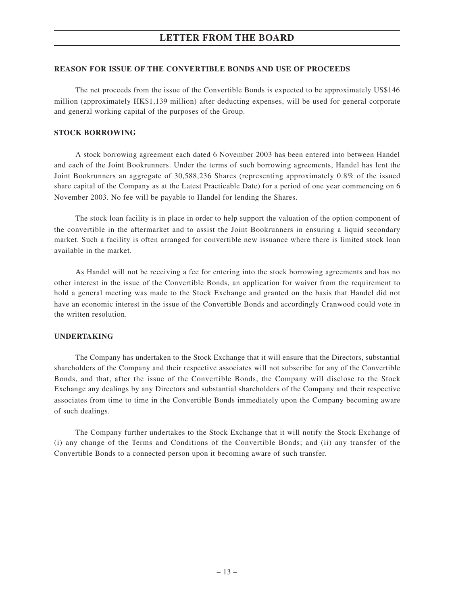### **REASON FOR ISSUE OF THE CONVERTIBLE BONDS AND USE OF PROCEEDS**

The net proceeds from the issue of the Convertible Bonds is expected to be approximately US\$146 million (approximately HK\$1,139 million) after deducting expenses, will be used for general corporate and general working capital of the purposes of the Group.

### **STOCK BORROWING**

A stock borrowing agreement each dated 6 November 2003 has been entered into between Handel and each of the Joint Bookrunners. Under the terms of such borrowing agreements, Handel has lent the Joint Bookrunners an aggregate of 30,588,236 Shares (representing approximately 0.8% of the issued share capital of the Company as at the Latest Practicable Date) for a period of one year commencing on 6 November 2003. No fee will be payable to Handel for lending the Shares.

The stock loan facility is in place in order to help support the valuation of the option component of the convertible in the aftermarket and to assist the Joint Bookrunners in ensuring a liquid secondary market. Such a facility is often arranged for convertible new issuance where there is limited stock loan available in the market.

As Handel will not be receiving a fee for entering into the stock borrowing agreements and has no other interest in the issue of the Convertible Bonds, an application for waiver from the requirement to hold a general meeting was made to the Stock Exchange and granted on the basis that Handel did not have an economic interest in the issue of the Convertible Bonds and accordingly Cranwood could vote in the written resolution.

### **UNDERTAKING**

The Company has undertaken to the Stock Exchange that it will ensure that the Directors, substantial shareholders of the Company and their respective associates will not subscribe for any of the Convertible Bonds, and that, after the issue of the Convertible Bonds, the Company will disclose to the Stock Exchange any dealings by any Directors and substantial shareholders of the Company and their respective associates from time to time in the Convertible Bonds immediately upon the Company becoming aware of such dealings.

The Company further undertakes to the Stock Exchange that it will notify the Stock Exchange of (i) any change of the Terms and Conditions of the Convertible Bonds; and (ii) any transfer of the Convertible Bonds to a connected person upon it becoming aware of such transfer.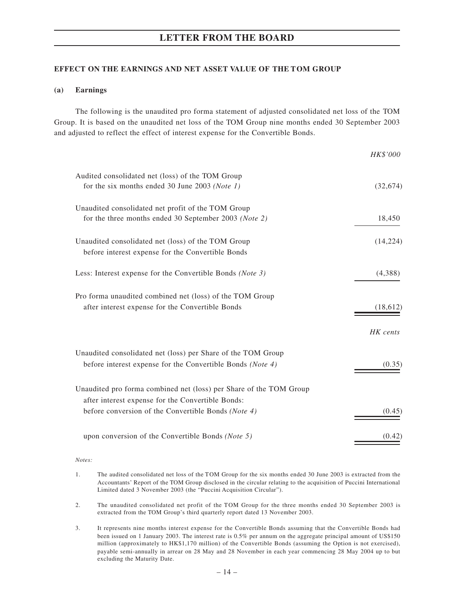## **EFFECT ON THE EARNINGS AND NET ASSET VALUE OF THE TOM GROUP**

### **(a) Earnings**

The following is the unaudited pro forma statement of adjusted consolidated net loss of the TOM Group. It is based on the unaudited net loss of the TOM Group nine months ended 30 September 2003 and adjusted to reflect the effect of interest expense for the Convertible Bonds.

|                                                                    | HK\$'000  |
|--------------------------------------------------------------------|-----------|
| Audited consolidated net (loss) of the TOM Group                   |           |
| for the six months ended 30 June 2003 (Note 1)                     | (32, 674) |
| Unaudited consolidated net profit of the TOM Group                 |           |
| for the three months ended 30 September 2003 (Note 2)              | 18,450    |
| Unaudited consolidated net (loss) of the TOM Group                 | (14, 224) |
| before interest expense for the Convertible Bonds                  |           |
| Less: Interest expense for the Convertible Bonds (Note 3)          | (4,388)   |
| Pro forma unaudited combined net (loss) of the TOM Group           |           |
| after interest expense for the Convertible Bonds                   | (18, 612) |
|                                                                    | HK cents  |
| Unaudited consolidated net (loss) per Share of the TOM Group       |           |
| before interest expense for the Convertible Bonds (Note 4)         | (0.35)    |
| Unaudited pro forma combined net (loss) per Share of the TOM Group |           |
| after interest expense for the Convertible Bonds:                  |           |
| before conversion of the Convertible Bonds (Note 4)                | (0.45)    |
| upon conversion of the Convertible Bonds (Note 5)                  | (0.42)    |
|                                                                    |           |

*Notes:*

- 1. The audited consolidated net loss of the TOM Group for the six months ended 30 June 2003 is extracted from the Accountants' Report of the TOM Group disclosed in the circular relating to the acquisition of Puccini International Limited dated 3 November 2003 (the "Puccini Acquisition Circular").
- 2. The unaudited consolidated net profit of the TOM Group for the three months ended 30 September 2003 is extracted from the TOM Group's third quarterly report dated 13 November 2003.
- 3. It represents nine months interest expense for the Convertible Bonds assuming that the Convertible Bonds had been issued on 1 January 2003. The interest rate is 0.5% per annum on the aggregate principal amount of US\$150 million (approximately to HK\$1,170 million) of the Convertible Bonds (assuming the Option is not exercised), payable semi-annually in arrear on 28 May and 28 November in each year commencing 28 May 2004 up to but excluding the Maturity Date.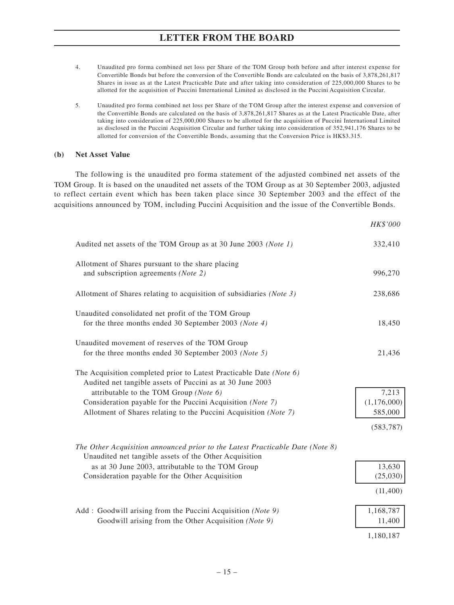- 4. Unaudited pro forma combined net loss per Share of the TOM Group both before and after interest expense for Convertible Bonds but before the conversion of the Convertible Bonds are calculated on the basis of 3,878,261,817 Shares in issue as at the Latest Practicable Date and after taking into consideration of 225,000,000 Shares to be allotted for the acquisition of Puccini International Limited as disclosed in the Puccini Acquisition Circular.
- 5. Unaudited pro forma combined net loss per Share of the TOM Group after the interest expense and conversion of the Convertible Bonds are calculated on the basis of 3,878,261,817 Shares as at the Latest Practicable Date, after taking into consideration of 225,000,000 Shares to be allotted for the acquisition of Puccini International Limited as disclosed in the Puccini Acquisition Circular and further taking into consideration of 352,941,176 Shares to be allotted for conversion of the Convertible Bonds, assuming that the Conversion Price is HK\$3.315.

### **(b) Net Asset Value**

The following is the unaudited pro forma statement of the adjusted combined net assets of the TOM Group. It is based on the unaudited net assets of the TOM Group as at 30 September 2003, adjusted to reflect certain event which has been taken place since 30 September 2003 and the effect of the acquisitions announced by TOM, including Puccini Acquisition and the issue of the Convertible Bonds.

*HK\$'000*

| Audited net assets of the TOM Group as at 30 June 2003 (Note 1)                                                                         | 332,410       |
|-----------------------------------------------------------------------------------------------------------------------------------------|---------------|
| Allotment of Shares pursuant to the share placing<br>and subscription agreements (Note 2)                                               | 996,270       |
| Allotment of Shares relating to acquisition of subsidiaries (Note 3)                                                                    | 238,686       |
| Unaudited consolidated net profit of the TOM Group<br>for the three months ended 30 September 2003 (Note 4)                             | 18,450        |
| Unaudited movement of reserves of the TOM Group<br>for the three months ended 30 September 2003 (Note 5)                                | 21,436        |
| The Acquisition completed prior to Latest Practicable Date (Note 6)<br>Audited net tangible assets of Puccini as at 30 June 2003        |               |
| attributable to the TOM Group (Note 6)                                                                                                  | 7,213         |
| Consideration payable for the Puccini Acquisition (Note 7)                                                                              | (1, 176, 000) |
| Allotment of Shares relating to the Puccini Acquisition (Note 7)                                                                        | 585,000       |
|                                                                                                                                         | (583, 787)    |
| The Other Acquisition announced prior to the Latest Practicable Date (Note 8)<br>Unaudited net tangible assets of the Other Acquisition |               |
| as at 30 June 2003, attributable to the TOM Group                                                                                       | 13,630        |
| Consideration payable for the Other Acquisition                                                                                         | (25,030)      |
|                                                                                                                                         | (11,400)      |
| Add: Goodwill arising from the Puccini Acquisition (Note 9)                                                                             | 1,168,787     |
| Goodwill arising from the Other Acquisition (Note 9)                                                                                    | 11,400        |
|                                                                                                                                         |               |
|                                                                                                                                         | 1,180,187     |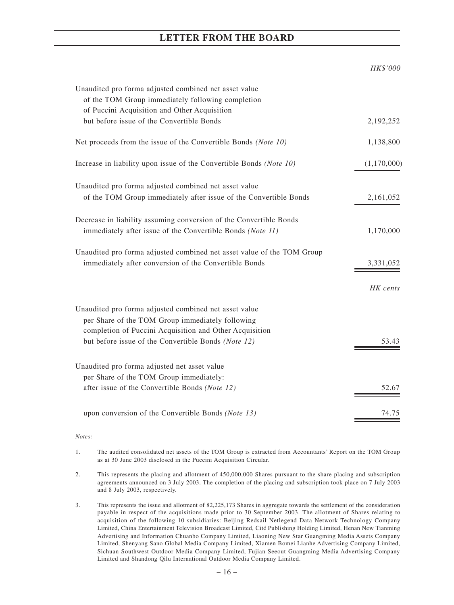|                                                                                                            | HK\$'000    |
|------------------------------------------------------------------------------------------------------------|-------------|
| Unaudited pro forma adjusted combined net asset value<br>of the TOM Group immediately following completion |             |
| of Puccini Acquisition and Other Acquisition                                                               |             |
| but before issue of the Convertible Bonds                                                                  | 2,192,252   |
| Net proceeds from the issue of the Convertible Bonds (Note 10)                                             | 1,138,800   |
| Increase in liability upon issue of the Convertible Bonds (Note 10)                                        | (1,170,000) |
| Unaudited pro forma adjusted combined net asset value                                                      |             |
| of the TOM Group immediately after issue of the Convertible Bonds                                          | 2,161,052   |
| Decrease in liability assuming conversion of the Convertible Bonds                                         |             |
| immediately after issue of the Convertible Bonds (Note 11)                                                 | 1,170,000   |
| Unaudited pro forma adjusted combined net asset value of the TOM Group                                     |             |
| immediately after conversion of the Convertible Bonds                                                      | 3,331,052   |
|                                                                                                            | HK cents    |
| Unaudited pro forma adjusted combined net asset value                                                      |             |
| per Share of the TOM Group immediately following                                                           |             |
| completion of Puccini Acquisition and Other Acquisition                                                    |             |
| but before issue of the Convertible Bonds (Note 12)                                                        | 53.43       |
| Unaudited pro forma adjusted net asset value                                                               |             |
| per Share of the TOM Group immediately:                                                                    |             |
| after issue of the Convertible Bonds (Note 12)                                                             | 52.67       |
| upon conversion of the Convertible Bonds (Note 13)                                                         | 74.75       |
|                                                                                                            |             |

### *Notes:*

- 1. The audited consolidated net assets of the TOM Group is extracted from Accountants' Report on the TOM Group as at 30 June 2003 disclosed in the Puccini Acquisition Circular.
- 2. This represents the placing and allotment of 450,000,000 Shares pursuant to the share placing and subscription agreements announced on 3 July 2003. The completion of the placing and subscription took place on 7 July 2003 and 8 July 2003, respectively.
- 3. This represents the issue and allotment of 82,225,173 Shares in aggregate towards the settlement of the consideration payable in respect of the acquisitions made prior to 30 September 2003. The allotment of Shares relating to acquisition of the following 10 subsidiaries: Beijing Redsail Netlegend Data Network Technology Company Limited, China Entertainment Television Broadcast Limited, Cité Publishing Holding Limited, Henan New Tianming Advertising and Information Chuanbo Company Limited, Liaoning New Star Guangming Media Assets Company Limited, Shenyang Sano Global Media Company Limited, Xiamen Bomei Lianhe Advertising Company Limited, Sichuan Southwest Outdoor Media Company Limited, Fujian Seeout Guangming Media Advertising Company Limited and Shandong Qilu International Outdoor Media Company Limited.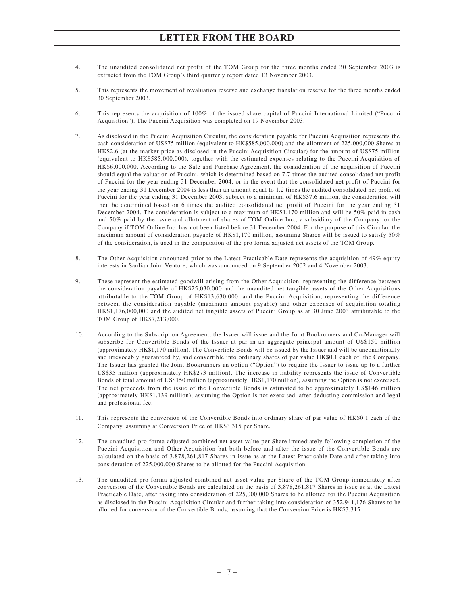- 4. The unaudited consolidated net profit of the TOM Group for the three months ended 30 September 2003 is extracted from the TOM Group's third quarterly report dated 13 November 2003.
- 5. This represents the movement of revaluation reserve and exchange translation reserve for the three months ended 30 September 2003.
- 6. This represents the acquisition of 100% of the issued share capital of Puccini International Limited ("Puccini Acquisition"). The Puccini Acquisition was completed on 19 November 2003.
- 7. As disclosed in the Puccini Acquisition Circular, the consideration payable for Puccini Acquisition represents the cash consideration of US\$75 million (equivalent to HK\$585,000,000) and the allotment of 225,000,000 Shares at HK\$2.6 (at the marker price as disclosed in the Puccini Acquisition Circular) for the amount of US\$75 million (equivalent to HK\$585,000,000), together with the estimated expenses relating to the Puccini Acquisition of HK\$6,000,000. According to the Sale and Purchase Agreement, the consideration of the acquisition of Puccini should equal the valuation of Puccini, which is determined based on 7.7 times the audited consolidated net profit of Puccini for the year ending 31 December 2004; or in the event that the consolidated net profit of Puccini for the year ending 31 December 2004 is less than an amount equal to 1.2 times the audited consolidated net profit of Puccini for the year ending 31 December 2003, subject to a minimum of HK\$37.6 million, the consideration will then be determined based on 6 times the audited consolidated net profit of Puccini for the year ending 31 December 2004. The consideration is subject to a maximum of HK\$1,170 million and will be 50% paid in cash and 50% paid by the issue and allotment of shares of TOM Online Inc., a subsidiary of the Company, or the Company if TOM Online Inc. has not been listed before 31 December 2004. For the purpose of this Circular, the maximum amount of consideration payable of HK\$1,170 million, assuming Shares will be issued to satisfy 50% of the consideration, is used in the computation of the pro forma adjusted net assets of the TOM Group.
- 8. The Other Acquisition announced prior to the Latest Practicable Date represents the acquisition of 49% equity interests in Sanlian Joint Venture, which was announced on 9 September 2002 and 4 November 2003.
- 9. These represent the estimated goodwill arising from the Other Acquisition, representing the difference between the consideration payable of HK\$25,030,000 and the unaudited net tangible assets of the Other Acquisitions attributable to the TOM Group of HK\$13,630,000, and the Puccini Acquisition, representing the difference between the consideration payable (maximum amount payable) and other expenses of acquisition totaling HK\$1,176,000,000 and the audited net tangible assets of Puccini Group as at 30 June 2003 attributable to the TOM Group of HK\$7,213,000.
- 10. According to the Subscription Agreement, the Issuer will issue and the Joint Bookrunners and Co-Manager will subscribe for Convertible Bonds of the Issuer at par in an aggregate principal amount of US\$150 million (approximately HK\$1,170 million). The Convertible Bonds will be issued by the Issuer and will be unconditionally and irrevocably guaranteed by, and convertible into ordinary shares of par value HK\$0.1 each of, the Company. The Issuer has granted the Joint Bookrunners an option ("Option") to require the Issuer to issue up to a further US\$35 million (approximately HK\$273 million). The increase in liability represents the issue of Convertible Bonds of total amount of US\$150 million (approximately HK\$1,170 million), assuming the Option is not exercised. The net proceeds from the issue of the Convertible Bonds is estimated to be approximately US\$146 million (approximately HK\$1,139 million), assuming the Option is not exercised, after deducting commission and legal and professional fee.
- 11. This represents the conversion of the Convertible Bonds into ordinary share of par value of HK\$0.1 each of the Company, assuming at Conversion Price of HK\$3.315 per Share.
- 12. The unaudited pro forma adjusted combined net asset value per Share immediately following completion of the Puccini Acquisition and Other Acquisition but both before and after the issue of the Convertible Bonds are calculated on the basis of 3,878,261,817 Shares in issue as at the Latest Practicable Date and after taking into consideration of 225,000,000 Shares to be allotted for the Puccini Acquisition.
- 13. The unaudited pro forma adjusted combined net asset value per Share of the TOM Group immediately after conversion of the Convertible Bonds are calculated on the basis of 3,878,261,817 Shares in issue as at the Latest Practicable Date, after taking into consideration of 225,000,000 Shares to be allotted for the Puccini Acquisition as disclosed in the Puccini Acquisition Circular and further taking into consideration of 352,941,176 Shares to be allotted for conversion of the Convertible Bonds, assuming that the Conversion Price is HK\$3.315.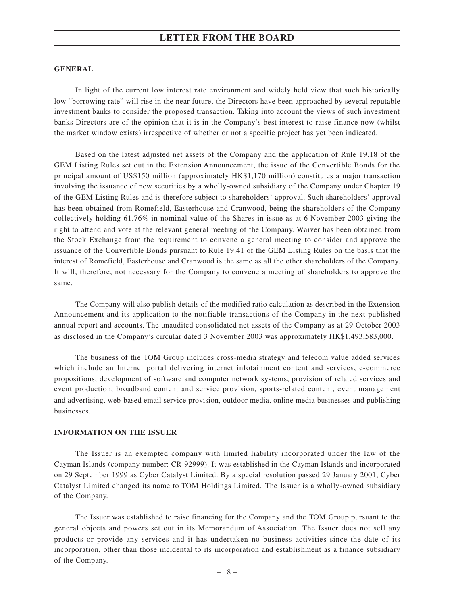### **GENERAL**

In light of the current low interest rate environment and widely held view that such historically low "borrowing rate" will rise in the near future, the Directors have been approached by several reputable investment banks to consider the proposed transaction. Taking into account the views of such investment banks Directors are of the opinion that it is in the Company's best interest to raise finance now (whilst the market window exists) irrespective of whether or not a specific project has yet been indicated.

Based on the latest adjusted net assets of the Company and the application of Rule 19.18 of the GEM Listing Rules set out in the Extension Announcement, the issue of the Convertible Bonds for the principal amount of US\$150 million (approximately HK\$1,170 million) constitutes a major transaction involving the issuance of new securities by a wholly-owned subsidiary of the Company under Chapter 19 of the GEM Listing Rules and is therefore subject to shareholders' approval. Such shareholders' approval has been obtained from Romefield, Easterhouse and Cranwood, being the shareholders of the Company collectively holding 61.76% in nominal value of the Shares in issue as at 6 November 2003 giving the right to attend and vote at the relevant general meeting of the Company. Waiver has been obtained from the Stock Exchange from the requirement to convene a general meeting to consider and approve the issuance of the Convertible Bonds pursuant to Rule 19.41 of the GEM Listing Rules on the basis that the interest of Romefield, Easterhouse and Cranwood is the same as all the other shareholders of the Company. It will, therefore, not necessary for the Company to convene a meeting of shareholders to approve the same.

The Company will also publish details of the modified ratio calculation as described in the Extension Announcement and its application to the notifiable transactions of the Company in the next published annual report and accounts. The unaudited consolidated net assets of the Company as at 29 October 2003 as disclosed in the Company's circular dated 3 November 2003 was approximately HK\$1,493,583,000.

The business of the TOM Group includes cross-media strategy and telecom value added services which include an Internet portal delivering internet infotainment content and services, e-commerce propositions, development of software and computer network systems, provision of related services and event production, broadband content and service provision, sports-related content, event management and advertising, web-based email service provision, outdoor media, online media businesses and publishing businesses.

### **INFORMATION ON THE ISSUER**

The Issuer is an exempted company with limited liability incorporated under the law of the Cayman Islands (company number: CR-92999). It was established in the Cayman Islands and incorporated on 29 September 1999 as Cyber Catalyst Limited. By a special resolution passed 29 January 2001, Cyber Catalyst Limited changed its name to TOM Holdings Limited. The Issuer is a wholly-owned subsidiary of the Company.

The Issuer was established to raise financing for the Company and the TOM Group pursuant to the general objects and powers set out in its Memorandum of Association. The Issuer does not sell any products or provide any services and it has undertaken no business activities since the date of its incorporation, other than those incidental to its incorporation and establishment as a finance subsidiary of the Company.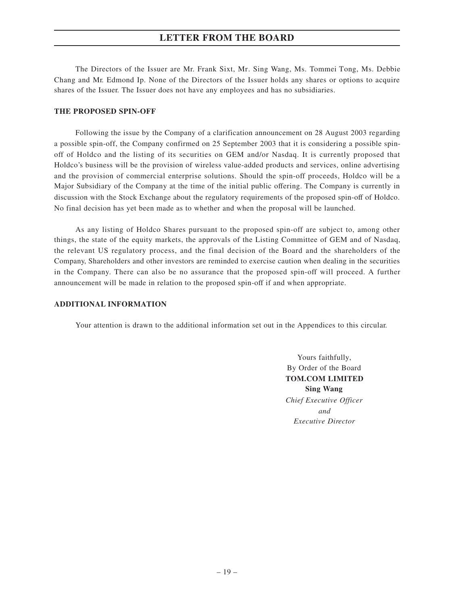The Directors of the Issuer are Mr. Frank Sixt, Mr. Sing Wang, Ms. Tommei Tong, Ms. Debbie Chang and Mr. Edmond Ip. None of the Directors of the Issuer holds any shares or options to acquire shares of the Issuer. The Issuer does not have any employees and has no subsidiaries.

### **THE PROPOSED SPIN-OFF**

Following the issue by the Company of a clarification announcement on 28 August 2003 regarding a possible spin-off, the Company confirmed on 25 September 2003 that it is considering a possible spinoff of Holdco and the listing of its securities on GEM and/or Nasdaq. It is currently proposed that Holdco's business will be the provision of wireless value-added products and services, online advertising and the provision of commercial enterprise solutions. Should the spin-off proceeds, Holdco will be a Major Subsidiary of the Company at the time of the initial public offering. The Company is currently in discussion with the Stock Exchange about the regulatory requirements of the proposed spin-off of Holdco. No final decision has yet been made as to whether and when the proposal will be launched.

As any listing of Holdco Shares pursuant to the proposed spin-off are subject to, among other things, the state of the equity markets, the approvals of the Listing Committee of GEM and of Nasdaq, the relevant US regulatory process, and the final decision of the Board and the shareholders of the Company, Shareholders and other investors are reminded to exercise caution when dealing in the securities in the Company. There can also be no assurance that the proposed spin-off will proceed. A further announcement will be made in relation to the proposed spin-off if and when appropriate.

### **ADDITIONAL INFORMATION**

Your attention is drawn to the additional information set out in the Appendices to this circular.

Yours faithfully, By Order of the Board **TOM.COM LIMITED Sing Wang** *Chief Executive Officer and Executive Director*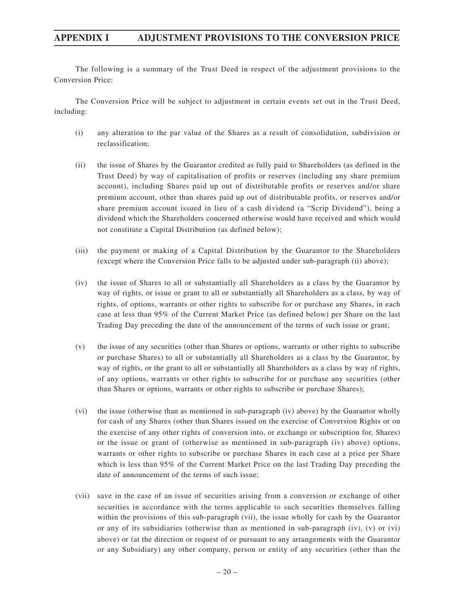The following is a summary of the Trust Deed in respect of the adjustment provisions to the Conversion Price:

The Conversion Price will be subject to adjustment in certain events set out in the Trust Deed, including:

- (i) any alteration to the par value of the Shares as a result of consolidation, subdivision or reclassification;
- (ii) the issue of Shares by the Guarantor credited as fully paid to Shareholders (as defined in the Trust Deed) by way of capitalisation of profits or reserves (including any share premium account), including Shares paid up out of distributable profits or reserves and/or share premium account, other than shares paid up out of distributable profits, or reserves and/or share premium account issued in lieu of a cash dividend (a "Scrip Dividend"), being a dividend which the Shareholders concerned otherwise would have received and which would not constitute a Capital Distribution (as defined below);
- (iii) the payment or making of a Capital Distribution by the Guarantor to the Shareholders (except where the Conversion Price falls to be adjusted under sub-paragraph (ii) above);
- (iv) the issue of Shares to all or substantially all Shareholders as a class by the Guarantor by way of rights, or issue or grant to all or substantially all Shareholders as a class, by way of rights, of options, warrants or other rights to subscribe for or purchase any Shares, in each case at less than 95% of the Current Market Price (as defined below) per Share on the last Trading Day preceding the date of the announcement of the terms of such issue or grant;
- (v) the issue of any securities (other than Shares or options, warrants or other rights to subscribe or purchase Shares) to all or substantially all Shareholders as a class by the Guarantor, by way of rights, or the grant to all or substantially all Shareholders as a class by way of rights, of any options, warrants or other rights to subscribe for or purchase any securities (other than Shares or options, warrants or other rights to subscribe or purchase Shares);
- (vi) the issue (otherwise than as mentioned in sub-paragraph (iv) above) by the Guarantor wholly for cash of any Shares (other than Shares issued on the exercise of Conversion Rights or on the exercise of any other rights of conversion into, or exchange or subscription for, Shares) or the issue or grant of (otherwise as mentioned in sub-paragraph (iv) above) options, warrants or other rights to subscribe or purchase Shares in each case at a price per Share which is less than 95% of the Current Market Price on the last Trading Day preceding the date of announcement of the terms of such issue;
- (vii) save in the case of an issue of securities arising from a conversion or exchange of other securities in accordance with the terms applicable to such securities themselves falling within the provisions of this sub-paragraph (vii), the issue wholly for cash by the Guarantor or any of its subsidiaries (otherwise than as mentioned in sub-paragraph (iv), (v) or (vi) above) or (at the direction or request of or pursuant to any arrangements with the Guarantor or any Subsidiary) any other company, person or entity of any securities (other than the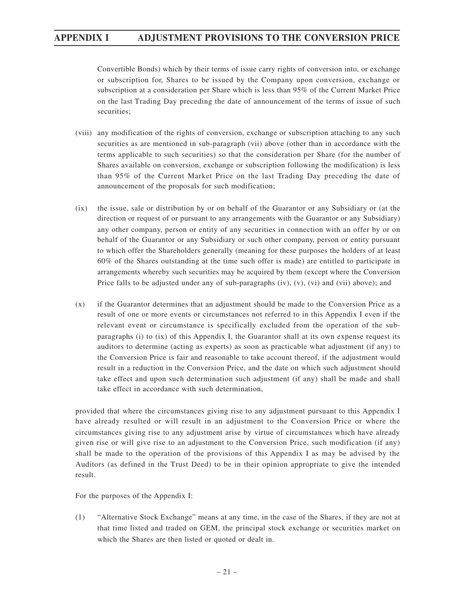Convertible Bonds) which by their terms of issue carry rights of conversion into, or exchange or subscription for, Shares to be issued by the Company upon conversion, exchange or subscription at a consideration per Share which is less than 95% of the Current Market Price on the last Trading Day preceding the date of announcement of the terms of issue of such securities;

- (viii) any modification of the rights of conversion, exchange or subscription attaching to any such securities as are mentioned in sub-paragraph (vii) above (other than in accordance with the terms applicable to such securities) so that the consideration per Share (for the number of Shares available on conversion, exchange or subscription following the modification) is less than 95% of the Current Market Price on the last Trading Day preceding the date of announcement of the proposals for such modification;
- (ix) the issue, sale or distribution by or on behalf of the Guarantor or any Subsidiary or (at the direction or request of or pursuant to any arrangements with the Guarantor or any Subsidiary) any other company, person or entity of any securities in connection with an offer by or on behalf of the Guarantor or any Subsidiary or such other company, person or entity pursuant to which offer the Shareholders generally (meaning for these purposes the holders of at least 60% of the Shares outstanding at the time such offer is made) are entitled to participate in arrangements whereby such securities may be acquired by them (except where the Conversion Price falls to be adjusted under any of sub-paragraphs (iv), (v), (vi) and (vii) above); and
- (x) if the Guarantor determines that an adjustment should be made to the Conversion Price as a result of one or more events or circumstances not referred to in this Appendix I even if the relevant event or circumstance is specifically excluded from the operation of the subparagraphs (i) to (ix) of this Appendix I, the Guarantor shall at its own expense request its auditors to determine (acting as experts) as soon as practicable what adjustment (if any) to the Conversion Price is fair and reasonable to take account thereof, if the adjustment would result in a reduction in the Conversion Price, and the date on which such adjustment should take effect and upon such determination such adjustment (if any) shall be made and shall take effect in accordance with such determination,

provided that where the circumstances giving rise to any adjustment pursuant to this Appendix I have already resulted or will result in an adjustment to the Conversion Price or where the circumstances giving rise to any adjustment arise by virtue of circumstances which have already given rise or will give rise to an adjustment to the Conversion Price, such modification (if any) shall be made to the operation of the provisions of this Appendix I as may be advised by the Auditors (as defined in the Trust Deed) to be in their opinion appropriate to give the intended result.

For the purposes of the Appendix I:

(1) "Alternative Stock Exchange" means at any time, in the case of the Shares, if they are not at that time listed and traded on GEM, the principal stock exchange or securities market on which the Shares are then listed or quoted or dealt in.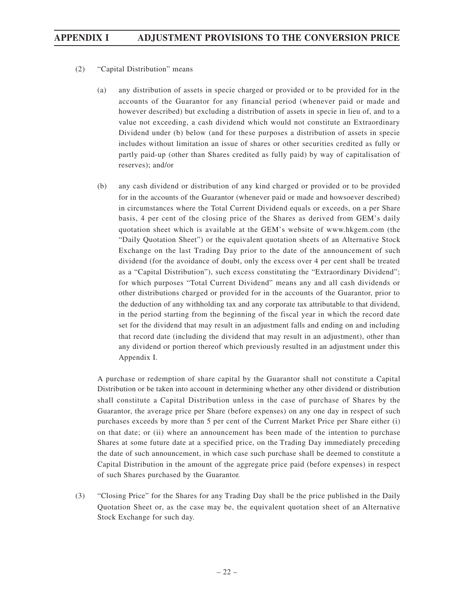- (2) "Capital Distribution" means
	- (a) any distribution of assets in specie charged or provided or to be provided for in the accounts of the Guarantor for any financial period (whenever paid or made and however described) but excluding a distribution of assets in specie in lieu of, and to a value not exceeding, a cash dividend which would not constitute an Extraordinary Dividend under (b) below (and for these purposes a distribution of assets in specie includes without limitation an issue of shares or other securities credited as fully or partly paid-up (other than Shares credited as fully paid) by way of capitalisation of reserves); and/or
	- (b) any cash dividend or distribution of any kind charged or provided or to be provided for in the accounts of the Guarantor (whenever paid or made and howsoever described) in circumstances where the Total Current Dividend equals or exceeds, on a per Share basis, 4 per cent of the closing price of the Shares as derived from GEM's daily quotation sheet which is available at the GEM's website of www.hkgem.com (the "Daily Quotation Sheet") or the equivalent quotation sheets of an Alternative Stock Exchange on the last Trading Day prior to the date of the announcement of such dividend (for the avoidance of doubt, only the excess over 4 per cent shall be treated as a "Capital Distribution"), such excess constituting the "Extraordinary Dividend"; for which purposes "Total Current Dividend" means any and all cash dividends or other distributions charged or provided for in the accounts of the Guarantor, prior to the deduction of any withholding tax and any corporate tax attributable to that dividend, in the period starting from the beginning of the fiscal year in which the record date set for the dividend that may result in an adjustment falls and ending on and including that record date (including the dividend that may result in an adjustment), other than any dividend or portion thereof which previously resulted in an adjustment under this Appendix I.

A purchase or redemption of share capital by the Guarantor shall not constitute a Capital Distribution or be taken into account in determining whether any other dividend or distribution shall constitute a Capital Distribution unless in the case of purchase of Shares by the Guarantor, the average price per Share (before expenses) on any one day in respect of such purchases exceeds by more than 5 per cent of the Current Market Price per Share either (i) on that date; or (ii) where an announcement has been made of the intention to purchase Shares at some future date at a specified price, on the Trading Day immediately preceding the date of such announcement, in which case such purchase shall be deemed to constitute a Capital Distribution in the amount of the aggregate price paid (before expenses) in respect of such Shares purchased by the Guarantor.

(3) "Closing Price" for the Shares for any Trading Day shall be the price published in the Daily Quotation Sheet or, as the case may be, the equivalent quotation sheet of an Alternative Stock Exchange for such day.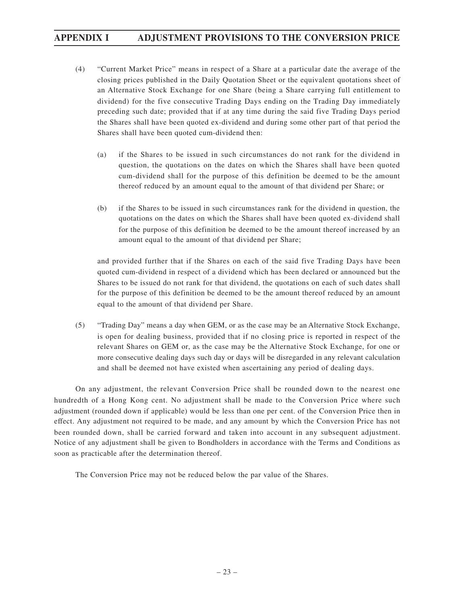- (4) "Current Market Price" means in respect of a Share at a particular date the average of the closing prices published in the Daily Quotation Sheet or the equivalent quotations sheet of an Alternative Stock Exchange for one Share (being a Share carrying full entitlement to dividend) for the five consecutive Trading Days ending on the Trading Day immediately preceding such date; provided that if at any time during the said five Trading Days period the Shares shall have been quoted ex-dividend and during some other part of that period the Shares shall have been quoted cum-dividend then:
	- (a) if the Shares to be issued in such circumstances do not rank for the dividend in question, the quotations on the dates on which the Shares shall have been quoted cum-dividend shall for the purpose of this definition be deemed to be the amount thereof reduced by an amount equal to the amount of that dividend per Share; or
	- (b) if the Shares to be issued in such circumstances rank for the dividend in question, the quotations on the dates on which the Shares shall have been quoted ex-dividend shall for the purpose of this definition be deemed to be the amount thereof increased by an amount equal to the amount of that dividend per Share;

and provided further that if the Shares on each of the said five Trading Days have been quoted cum-dividend in respect of a dividend which has been declared or announced but the Shares to be issued do not rank for that dividend, the quotations on each of such dates shall for the purpose of this definition be deemed to be the amount thereof reduced by an amount equal to the amount of that dividend per Share.

(5) "Trading Day" means a day when GEM, or as the case may be an Alternative Stock Exchange, is open for dealing business, provided that if no closing price is reported in respect of the relevant Shares on GEM or, as the case may be the Alternative Stock Exchange, for one or more consecutive dealing days such day or days will be disregarded in any relevant calculation and shall be deemed not have existed when ascertaining any period of dealing days.

On any adjustment, the relevant Conversion Price shall be rounded down to the nearest one hundredth of a Hong Kong cent. No adjustment shall be made to the Conversion Price where such adjustment (rounded down if applicable) would be less than one per cent. of the Conversion Price then in effect. Any adjustment not required to be made, and any amount by which the Conversion Price has not been rounded down, shall be carried forward and taken into account in any subsequent adjustment. Notice of any adjustment shall be given to Bondholders in accordance with the Terms and Conditions as soon as practicable after the determination thereof.

The Conversion Price may not be reduced below the par value of the Shares.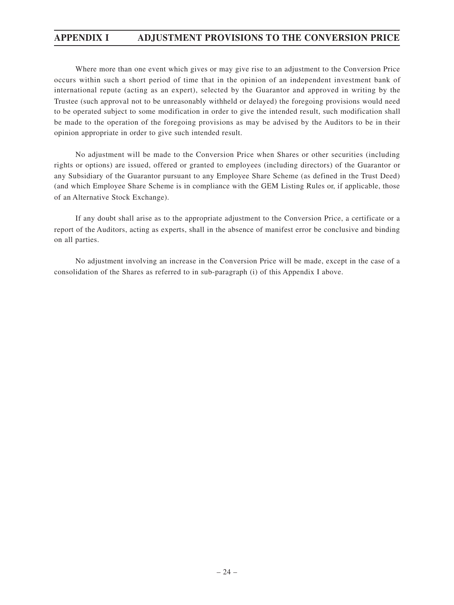Where more than one event which gives or may give rise to an adjustment to the Conversion Price occurs within such a short period of time that in the opinion of an independent investment bank of international repute (acting as an expert), selected by the Guarantor and approved in writing by the Trustee (such approval not to be unreasonably withheld or delayed) the foregoing provisions would need to be operated subject to some modification in order to give the intended result, such modification shall be made to the operation of the foregoing provisions as may be advised by the Auditors to be in their opinion appropriate in order to give such intended result.

No adjustment will be made to the Conversion Price when Shares or other securities (including rights or options) are issued, offered or granted to employees (including directors) of the Guarantor or any Subsidiary of the Guarantor pursuant to any Employee Share Scheme (as defined in the Trust Deed) (and which Employee Share Scheme is in compliance with the GEM Listing Rules or, if applicable, those of an Alternative Stock Exchange).

If any doubt shall arise as to the appropriate adjustment to the Conversion Price, a certificate or a report of the Auditors, acting as experts, shall in the absence of manifest error be conclusive and binding on all parties.

No adjustment involving an increase in the Conversion Price will be made, except in the case of a consolidation of the Shares as referred to in sub-paragraph (i) of this Appendix I above.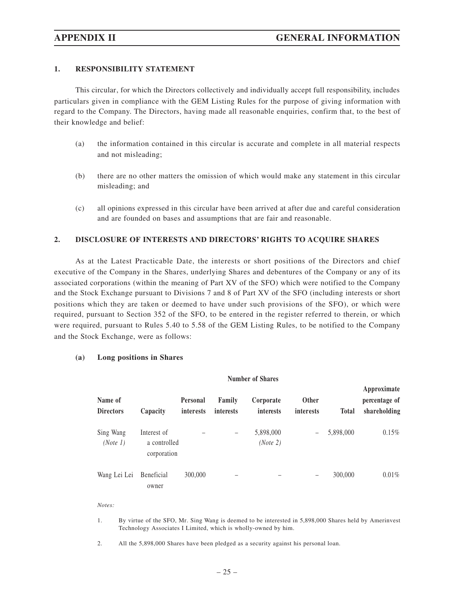### **1. RESPONSIBILITY STATEMENT**

This circular, for which the Directors collectively and individually accept full responsibility, includes particulars given in compliance with the GEM Listing Rules for the purpose of giving information with regard to the Company. The Directors, having made all reasonable enquiries, confirm that, to the best of their knowledge and belief:

- (a) the information contained in this circular is accurate and complete in all material respects and not misleading;
- (b) there are no other matters the omission of which would make any statement in this circular misleading; and
- (c) all opinions expressed in this circular have been arrived at after due and careful consideration and are founded on bases and assumptions that are fair and reasonable.

### **2. DISCLOSURE OF INTERESTS AND DIRECTORS' RIGHTS TO ACQUIRE SHARES**

As at the Latest Practicable Date, the interests or short positions of the Directors and chief executive of the Company in the Shares, underlying Shares and debentures of the Company or any of its associated corporations (within the meaning of Part XV of the SFO) which were notified to the Company and the Stock Exchange pursuant to Divisions 7 and 8 of Part XV of the SFO (including interests or short positions which they are taken or deemed to have under such provisions of the SFO), or which were required, pursuant to Section 352 of the SFO, to be entered in the register referred to therein, or which were required, pursuant to Rules 5.40 to 5.58 of the GEM Listing Rules, to be notified to the Company and the Stock Exchange, were as follows:

### **(a) Long positions in Shares**

| <b>Number of Shares</b>     |                                            |                              |                     |                        |                           |              |                                              |
|-----------------------------|--------------------------------------------|------------------------------|---------------------|------------------------|---------------------------|--------------|----------------------------------------------|
| Name of<br><b>Directors</b> | Capacity                                   | <b>Personal</b><br>interests | Family<br>interests | Corporate<br>interests | <b>Other</b><br>interests | <b>Total</b> | Approximate<br>percentage of<br>shareholding |
| Sing Wang<br>(Note 1)       | Interest of<br>a controlled<br>corporation |                              | -                   | 5,898,000<br>(Note 2)  |                           | 5,898,000    | 0.15%                                        |
| Wang Lei Lei                | <b>Beneficial</b><br>owner                 | 300,000                      | -                   |                        | -                         | 300,000      | $0.01\%$                                     |

*Notes:*

- 1. By virtue of the SFO, Mr. Sing Wang is deemed to be interested in 5,898,000 Shares held by Amerinvest Technology Associates I Limited, which is wholly-owned by him.
- 2. All the 5,898,000 Shares have been pledged as a security against his personal loan.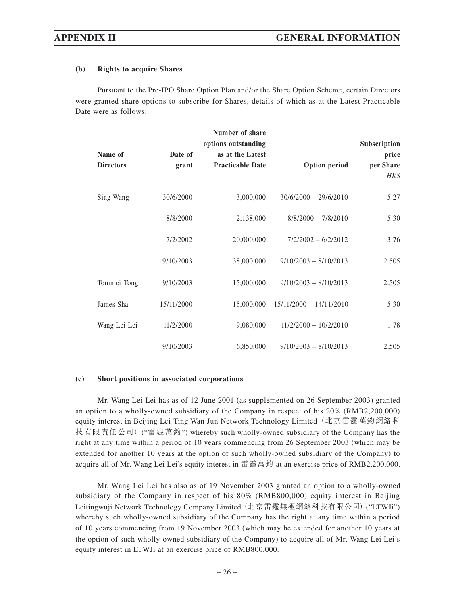### **(b) Rights to acquire Shares**

Pursuant to the Pre-IPO Share Option Plan and/or the Share Option Scheme, certain Directors were granted share options to subscribe for Shares, details of which as at the Latest Practicable Date were as follows:

| Name of<br><b>Directors</b> | Date of<br>grant | Number of share<br>options outstanding<br>as at the Latest<br><b>Practicable Date</b> | <b>Option period</b>      | Subscription<br>price<br>per Share<br>HK\$ |
|-----------------------------|------------------|---------------------------------------------------------------------------------------|---------------------------|--------------------------------------------|
| Sing Wang                   | 30/6/2000        | 3,000,000                                                                             | $30/6/2000 - 29/6/2010$   | 5.27                                       |
|                             | 8/8/2000         | 2,138,000                                                                             | $8/8/2000 - 7/8/2010$     | 5.30                                       |
|                             | 7/2/2002         | 20,000,000                                                                            | $7/2/2002 - 6/2/2012$     | 3.76                                       |
|                             | 9/10/2003        | 38,000,000                                                                            | $9/10/2003 - 8/10/2013$   | 2.505                                      |
| Tommei Tong                 | 9/10/2003        | 15,000,000                                                                            | $9/10/2003 - 8/10/2013$   | 2.505                                      |
| James Sha                   | 15/11/2000       | 15,000,000                                                                            | $15/11/2000 - 14/11/2010$ | 5.30                                       |
| Wang Lei Lei                | 11/2/2000        | 9,080,000                                                                             | $11/2/2000 - 10/2/2010$   | 1.78                                       |
|                             | 9/10/2003        | 6,850,000                                                                             | $9/10/2003 - 8/10/2013$   | 2.505                                      |

### **(c) Short positions in associated corporations**

Mr. Wang Lei Lei has as of 12 June 2001 (as supplemented on 26 September 2003) granted an option to a wholly-owned subsidiary of the Company in respect of his 20% (RMB2,200,000) equity interest in Beijing Lei Ting Wan Jun Network Technology Limited (北京雷霆萬鈞網絡科 技有限責任公司) ("雷霆萬鈞") whereby such wholly-owned subsidiary of the Company has the right at any time within a period of 10 years commencing from 26 September 2003 (which may be extended for another 10 years at the option of such wholly-owned subsidiary of the Company) to acquire all of Mr. Wang Lei Lei's equity interest in 雷霆萬鈞 at an exercise price of RMB2,200,000.

Mr. Wang Lei Lei has also as of 19 November 2003 granted an option to a wholly-owned subsidiary of the Company in respect of his 80% (RMB800,000) equity interest in Beijing Leitingwuji Network Technology Company Limited (北京雷霆無極網絡科技有限公司) ("LTWJi") whereby such wholly-owned subsidiary of the Company has the right at any time within a period of 10 years commencing from 19 November 2003 (which may be extended for another 10 years at the option of such wholly-owned subsidiary of the Company) to acquire all of Mr. Wang Lei Lei's equity interest in LTWJi at an exercise price of RMB800,000.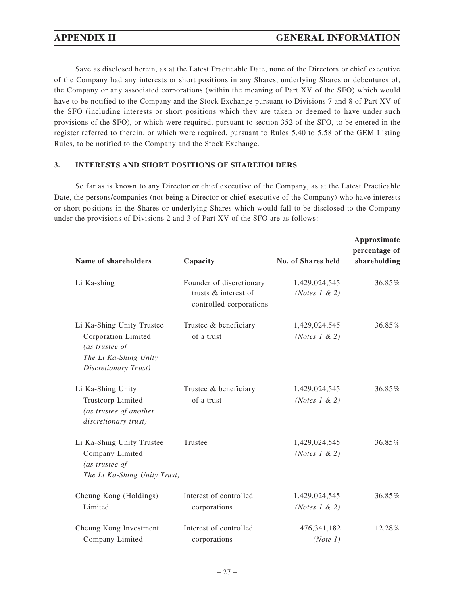Save as disclosed herein, as at the Latest Practicable Date, none of the Directors or chief executive of the Company had any interests or short positions in any Shares, underlying Shares or debentures of, the Company or any associated corporations (within the meaning of Part XV of the SFO) which would have to be notified to the Company and the Stock Exchange pursuant to Divisions 7 and 8 of Part XV of the SFO (including interests or short positions which they are taken or deemed to have under such provisions of the SFO), or which were required, pursuant to section 352 of the SFO, to be entered in the register referred to therein, or which were required, pursuant to Rules 5.40 to 5.58 of the GEM Listing Rules, to be notified to the Company and the Stock Exchange.

### **3. INTERESTS AND SHORT POSITIONS OF SHAREHOLDERS**

So far as is known to any Director or chief executive of the Company, as at the Latest Practicable Date, the persons/companies (not being a Director or chief executive of the Company) who have interests or short positions in the Shares or underlying Shares which would fall to be disclosed to the Company under the provisions of Divisions 2 and 3 of Part XV of the SFO are as follows:

| Name of shareholders                                                                                                | Capacity                                                                    | <b>No. of Shares held</b>                  | Approximate<br>percentage of<br>shareholding |
|---------------------------------------------------------------------------------------------------------------------|-----------------------------------------------------------------------------|--------------------------------------------|----------------------------------------------|
| Li Ka-shing                                                                                                         | Founder of discretionary<br>trusts & interest of<br>controlled corporations | 1,429,024,545<br>( <i>Notes</i> $1 \& 2$ ) | 36.85%                                       |
| Li Ka-Shing Unity Trustee<br>Corporation Limited<br>(as trustee of<br>The Li Ka-Shing Unity<br>Discretionary Trust) | Trustee & beneficiary<br>of a trust                                         | 1,429,024,545<br>(Notes $1 \& 2)$          | 36.85%                                       |
| Li Ka-Shing Unity<br>Trustcorp Limited<br>(as trustee of another<br>discretionary trust)                            | Trustee & beneficiary<br>of a trust                                         | 1,429,024,545<br>( <i>Notes</i> $1 \& 2$ ) | 36.85%                                       |
| Li Ka-Shing Unity Trustee<br>Company Limited<br>(as trustee of<br>The Li Ka-Shing Unity Trust)                      | Trustee                                                                     | 1,429,024,545<br>(Notes $1 \& 2$ )         | 36.85%                                       |
| Cheung Kong (Holdings)<br>Limited                                                                                   | Interest of controlled<br>corporations                                      | 1,429,024,545<br>(Notes $1 \& 2)$          | 36.85%                                       |
| Cheung Kong Investment<br>Company Limited                                                                           | Interest of controlled<br>corporations                                      | 476, 341, 182<br>(Note 1)                  | 12.28%                                       |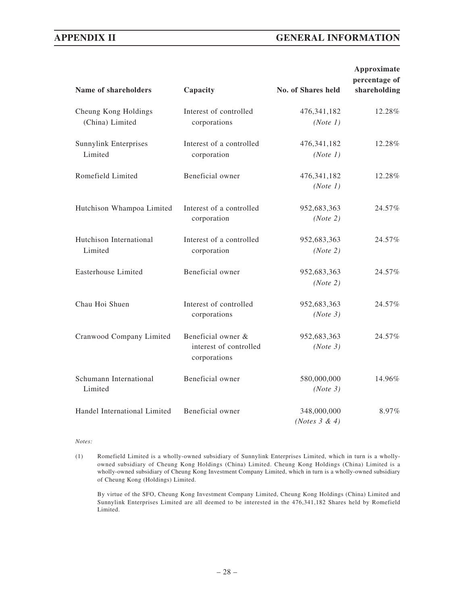| Name of shareholders                    | Capacity                                                     | No. of Shares held              | Approximate<br>percentage of<br>shareholding |
|-----------------------------------------|--------------------------------------------------------------|---------------------------------|----------------------------------------------|
| Cheung Kong Holdings<br>(China) Limited | Interest of controlled<br>corporations                       | 476, 341, 182<br>(Note 1)       | 12.28%                                       |
| <b>Sunnylink Enterprises</b><br>Limited | Interest of a controlled<br>corporation                      | 476, 341, 182<br>(Note 1)       | 12.28%                                       |
| Romefield Limited                       | Beneficial owner                                             | 476, 341, 182<br>(Note 1)       | 12.28%                                       |
| Hutchison Whampoa Limited               | Interest of a controlled<br>corporation                      | 952,683,363<br>(Note 2)         | 24.57%                                       |
| Hutchison International<br>Limited      | Interest of a controlled<br>corporation                      | 952,683,363<br>(Note 2)         | 24.57%                                       |
| Easterhouse Limited                     | Beneficial owner                                             | 952,683,363<br>(Note 2)         | 24.57%                                       |
| Chau Hoi Shuen                          | Interest of controlled<br>corporations                       | 952,683,363<br>(Note 3)         | 24.57%                                       |
| Cranwood Company Limited                | Beneficial owner &<br>interest of controlled<br>corporations | 952,683,363<br>(Note 3)         | 24.57%                                       |
| Schumann International<br>Limited       | Beneficial owner                                             | 580,000,000<br>(Note 3)         | 14.96%                                       |
| Handel International Limited            | Beneficial owner                                             | 348,000,000<br>(Notes $3 & 4$ ) | 8.97%                                        |

### *Notes:*

(1) Romefield Limited is a wholly-owned subsidiary of Sunnylink Enterprises Limited, which in turn is a whollyowned subsidiary of Cheung Kong Holdings (China) Limited. Cheung Kong Holdings (China) Limited is a wholly-owned subsidiary of Cheung Kong Investment Company Limited, which in turn is a wholly-owned subsidiary of Cheung Kong (Holdings) Limited.

By virtue of the SFO, Cheung Kong Investment Company Limited, Cheung Kong Holdings (China) Limited and Sunnylink Enterprises Limited are all deemed to be interested in the 476,341,182 Shares held by Romefield Limited.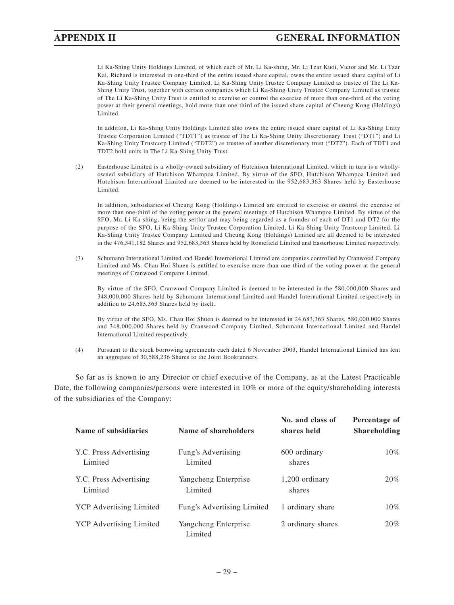Li Ka-Shing Unity Holdings Limited, of which each of Mr. Li Ka-shing, Mr. Li Tzar Kuoi, Victor and Mr. Li Tzar Kai, Richard is interested in one-third of the entire issued share capital, owns the entire issued share capital of Li Ka-Shing Unity Trustee Company Limited. Li Ka-Shing Unity Trustee Company Limited as trustee of The Li Ka-Shing Unity Trust, together with certain companies which Li Ka-Shing Unity Trustee Company Limited as trustee of The Li Ka-Shing Unity Trust is entitled to exercise or control the exercise of more than one-third of the voting power at their general meetings, hold more than one-third of the issued share capital of Cheung Kong (Holdings) Limited.

In addition, Li Ka-Shing Unity Holdings Limited also owns the entire issued share capital of Li Ka-Shing Unity Trustee Corporation Limited ("TDT1") as trustee of The Li Ka-Shing Unity Discretionary Trust ("DT1") and Li Ka-Shing Unity Trustcorp Limited ("TDT2") as trustee of another discretionary trust ("DT2"). Each of TDT1 and TDT2 hold units in The Li Ka-Shing Unity Trust.

(2) Easterhouse Limited is a wholly-owned subsidiary of Hutchison International Limited, which in turn is a whollyowned subsidiary of Hutchison Whampoa Limited. By virtue of the SFO, Hutchison Whampoa Limited and Hutchison International Limited are deemed to be interested in the 952,683,363 Shares held by Easterhouse Limited.

In addition, subsidiaries of Cheung Kong (Holdings) Limited are entitled to exercise or control the exercise of more than one-third of the voting power at the general meetings of Hutchison Whampoa Limited. By virtue of the SFO, Mr. Li Ka-shing, being the settlor and may being regarded as a founder of each of DT1 and DT2 for the purpose of the SFO, Li Ka-Shing Unity Trustee Corporation Limited, Li Ka-Shing Unity Trustcorp Limited, Li Ka-Shing Unity Trustee Company Limited and Cheung Kong (Holdings) Limited are all deemed to be interested in the 476,341,182 Shares and 952,683,363 Shares held by Romefield Limited and Easterhouse Limited respectively.

(3) Schumann International Limited and Handel International Limited are companies controlled by Cranwood Company Limited and Ms. Chau Hoi Shuen is entitled to exercise more than one-third of the voting power at the general meetings of Cranwood Company Limited.

By virtue of the SFO, Cranwood Company Limited is deemed to be interested in the 580,000,000 Shares and 348,000,000 Shares held by Schumann International Limited and Handel International Limited respectively in addition to 24,683,363 Shares held by itself.

By virtue of the SFO, Ms. Chau Hoi Shuen is deemed to be interested in 24,683,363 Shares, 580,000,000 Shares and 348,000,000 Shares held by Cranwood Company Limited, Schumann International Limited and Handel International Limited respectively.

(4) Pursuant to the stock borrowing agreements each dated 6 November 2003, Handel International Limited has lent an aggregate of 30,588,236 Shares to the Joint Bookrunners.

So far as is known to any Director or chief executive of the Company, as at the Latest Practicable Date, the following companies/persons were interested in 10% or more of the equity/shareholding interests of the subsidiaries of the Company:

| Name of subsidiaries              | Name of shareholders            | No. and class of<br>shares held | Percentage of<br><b>Shareholding</b> |
|-----------------------------------|---------------------------------|---------------------------------|--------------------------------------|
| Y.C. Press Advertising<br>Limited | Fung's Advertising<br>Limited   | 600 ordinary<br>shares          | $10\%$                               |
| Y.C. Press Advertising<br>Limited | Yangcheng Enterprise<br>Limited | 1,200 ordinary<br>shares        | 20%                                  |
| <b>YCP</b> Advertising Limited    | Fung's Advertising Limited      | 1 ordinary share                | $10\%$                               |
| <b>YCP</b> Advertising Limited    | Yangcheng Enterprise<br>Limited | 2 ordinary shares               | 20%                                  |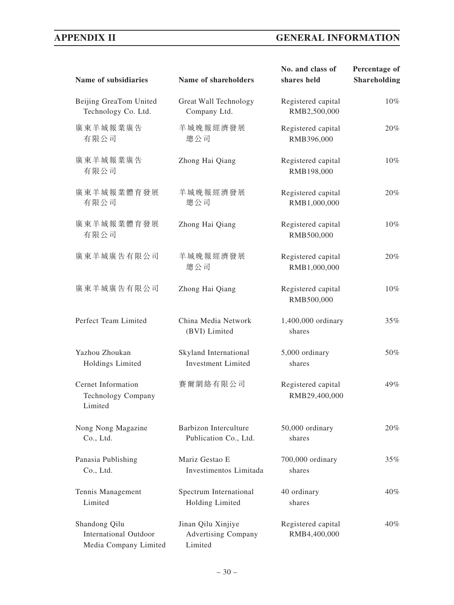| Name of subsidiaries                                                   | Name of shareholders                                        | No. and class of<br>shares held     | Percentage of<br><b>Shareholding</b> |
|------------------------------------------------------------------------|-------------------------------------------------------------|-------------------------------------|--------------------------------------|
| Beijing GreaTom United<br>Technology Co. Ltd.                          | Great Wall Technology<br>Company Ltd.                       | Registered capital<br>RMB2,500,000  | 10%                                  |
| 廣東羊城報業廣告<br>有限公司                                                       | 羊城晚報經濟發展<br>總公司                                             | Registered capital<br>RMB396,000    | $20\%$                               |
| 廣東羊城報業廣告<br>有限公司                                                       | Zhong Hai Qiang                                             | Registered capital<br>RMB198,000    | 10%                                  |
| 廣東羊城報業體育發展<br>有限公司                                                     | 羊城晚報經濟發展<br>總公司                                             | Registered capital<br>RMB1,000,000  | 20%                                  |
| 廣東羊城報業體育發展<br>有限公司                                                     | Zhong Hai Qiang                                             | Registered capital<br>RMB500,000    | $10\%$                               |
| 廣東羊城廣告有限公司                                                             | 羊城晚報經濟發展<br>總公司                                             | Registered capital<br>RMB1,000,000  | $20\%$                               |
| 廣東羊城廣告有限公司                                                             | Zhong Hai Qiang                                             | Registered capital<br>RMB500,000    | 10%                                  |
| Perfect Team Limited                                                   | China Media Network<br>(BVI) Limited                        | 1,400,000 ordinary<br>shares        | 35%                                  |
| Yazhou Zhoukan<br>Holdings Limited                                     | Skyland International<br><b>Investment Limited</b>          | 5,000 ordinary<br>shares            | 50%                                  |
| Cernet Information<br><b>Technology Company</b><br>Limited             | 賽爾網絡有限公司                                                    | Registered capital<br>RMB29,400,000 | 49%                                  |
| Nong Nong Magazine<br>Co., Ltd.                                        | Barbizon Interculture<br>Publication Co., Ltd.              | 50,000 ordinary<br>shares           | 20%                                  |
| Panasia Publishing<br>Co., Ltd.                                        | Mariz Gestao E<br>Investimentos Limitada                    | 700,000 ordinary<br>shares          | 35%                                  |
| Tennis Management<br>Limited                                           | Spectrum International<br>Holding Limited                   | 40 ordinary<br>shares               | $40\%$                               |
| Shandong Qilu<br><b>International Outdoor</b><br>Media Company Limited | Jinan Qilu Xinjiye<br><b>Advertising Company</b><br>Limited | Registered capital<br>RMB4,400,000  | 40%                                  |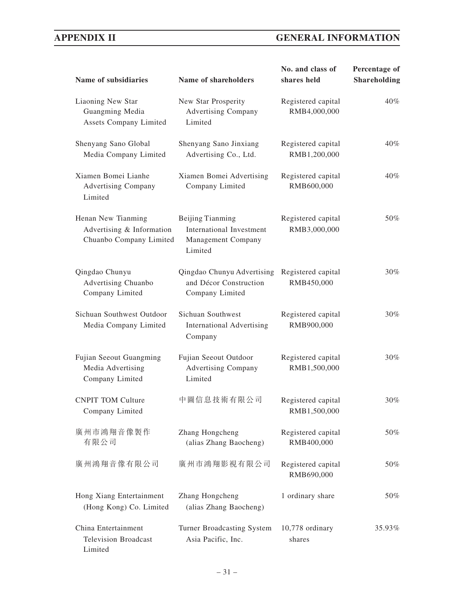| Name of subsidiaries                                                       | Name of shareholders                                                                               | No. and class of<br>shares held    | Percentage of<br><b>Shareholding</b> |
|----------------------------------------------------------------------------|----------------------------------------------------------------------------------------------------|------------------------------------|--------------------------------------|
| Liaoning New Star<br>Guangming Media<br>Assets Company Limited             | New Star Prosperity<br>Registered capital<br>RMB4,000,000<br><b>Advertising Company</b><br>Limited |                                    | $40\%$                               |
| Shenyang Sano Global<br>Media Company Limited                              | Shenyang Sano Jinxiang<br>Advertising Co., Ltd.                                                    | Registered capital<br>RMB1,200,000 | 40%                                  |
| Xiamen Bomei Lianhe<br><b>Advertising Company</b><br>Limited               | Xiamen Bomei Advertising<br>Registered capital<br>Company Limited<br>RMB600,000                    |                                    | $40\%$                               |
| Henan New Tianming<br>Advertising & Information<br>Chuanbo Company Limited | Beijing Tianming<br>International Investment<br>Management Company<br>Limited                      | Registered capital<br>RMB3,000,000 | 50%                                  |
| Qingdao Chunyu<br>Advertising Chuanbo<br>Company Limited                   | Qingdao Chunyu Advertising<br>and Décor Construction<br>Company Limited                            | Registered capital<br>RMB450,000   | 30%                                  |
| Sichuan Southwest Outdoor<br>Media Company Limited                         | Sichuan Southwest<br><b>International Advertising</b><br>Company                                   | Registered capital<br>RMB900,000   | 30%                                  |
| Fujian Seeout Guangming<br>Media Advertising<br>Company Limited            | Fujian Seeout Outdoor<br><b>Advertising Company</b><br>Limited                                     | Registered capital<br>RMB1,500,000 | 30%                                  |
| <b>CNPIT TOM Culture</b><br>Company Limited                                | 中圖信息技術有限公司                                                                                         | Registered capital<br>RMB1,500,000 | 30%                                  |
| 廣州市鴻翔音像製作<br>有限公司                                                          | Zhang Hongcheng<br>(alias Zhang Baocheng)                                                          | Registered capital<br>RMB400,000   | 50%                                  |
| 廣州鴻翔音像有限公司                                                                 | 廣州市鴻翔影視有限公司                                                                                        | Registered capital<br>RMB690,000   | 50%                                  |
| Hong Xiang Entertainment<br>(Hong Kong) Co. Limited                        | Zhang Hongcheng<br>(alias Zhang Baocheng)                                                          | 1 ordinary share                   | 50%                                  |
| China Entertainment<br><b>Television Broadcast</b><br>Limited              | Turner Broadcasting System<br>Asia Pacific, Inc.                                                   | 10,778 ordinary<br>shares          | 35.93%                               |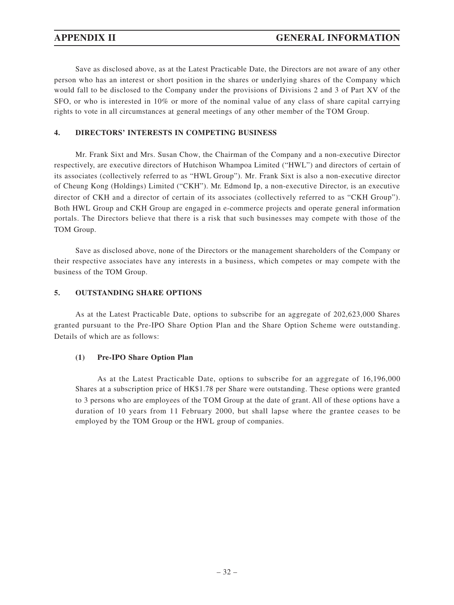Save as disclosed above, as at the Latest Practicable Date, the Directors are not aware of any other person who has an interest or short position in the shares or underlying shares of the Company which would fall to be disclosed to the Company under the provisions of Divisions 2 and 3 of Part XV of the SFO, or who is interested in 10% or more of the nominal value of any class of share capital carrying rights to vote in all circumstances at general meetings of any other member of the TOM Group.

### **4. DIRECTORS' INTERESTS IN COMPETING BUSINESS**

Mr. Frank Sixt and Mrs. Susan Chow, the Chairman of the Company and a non-executive Director respectively, are executive directors of Hutchison Whampoa Limited ("HWL") and directors of certain of its associates (collectively referred to as "HWL Group"). Mr. Frank Sixt is also a non-executive director of Cheung Kong (Holdings) Limited ("CKH"). Mr. Edmond Ip, a non-executive Director, is an executive director of CKH and a director of certain of its associates (collectively referred to as "CKH Group"). Both HWL Group and CKH Group are engaged in e-commerce projects and operate general information portals. The Directors believe that there is a risk that such businesses may compete with those of the TOM Group.

Save as disclosed above, none of the Directors or the management shareholders of the Company or their respective associates have any interests in a business, which competes or may compete with the business of the TOM Group.

### **5. OUTSTANDING SHARE OPTIONS**

As at the Latest Practicable Date, options to subscribe for an aggregate of 202,623,000 Shares granted pursuant to the Pre-IPO Share Option Plan and the Share Option Scheme were outstanding. Details of which are as follows:

### **(1) Pre-IPO Share Option Plan**

As at the Latest Practicable Date, options to subscribe for an aggregate of 16,196,000 Shares at a subscription price of HK\$1.78 per Share were outstanding. These options were granted to 3 persons who are employees of the TOM Group at the date of grant. All of these options have a duration of 10 years from 11 February 2000, but shall lapse where the grantee ceases to be employed by the TOM Group or the HWL group of companies.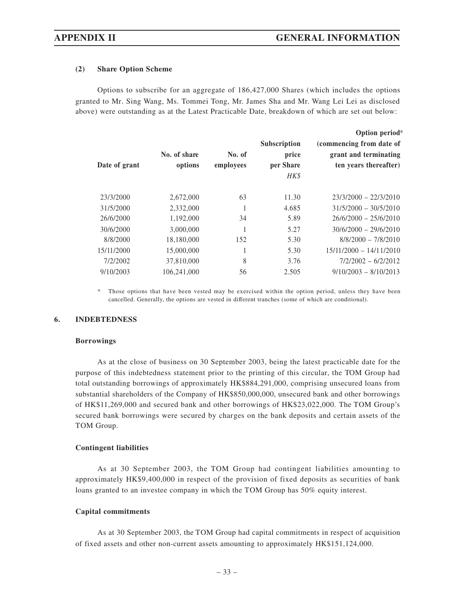### **(2) Share Option Scheme**

Options to subscribe for an aggregate of 186,427,000 Shares (which includes the options granted to Mr. Sing Wang, Ms. Tommei Tong, Mr. James Sha and Mr. Wang Lei Lei as disclosed above) were outstanding as at the Latest Practicable Date, breakdown of which are set out below:

|               |                         |                     |                                                   | Option period*                                                             |
|---------------|-------------------------|---------------------|---------------------------------------------------|----------------------------------------------------------------------------|
| Date of grant | No. of share<br>options | No. of<br>employees | <b>Subscription</b><br>price<br>per Share<br>HK\$ | (commencing from date of<br>grant and terminating<br>ten years thereafter) |
| 23/3/2000     | 2,672,000               | 63                  | 11.30                                             | $23/3/2000 - 22/3/2010$                                                    |
| 31/5/2000     | 2,332,000               |                     | 4.685                                             | $31/5/2000 - 30/5/2010$                                                    |
| 26/6/2000     | 1,192,000               | 34                  | 5.89                                              | $26/6/2000 - 25/6/2010$                                                    |
| 30/6/2000     | 3,000,000               |                     | 5.27                                              | $30/6/2000 - 29/6/2010$                                                    |
| 8/8/2000      | 18,180,000              | 152                 | 5.30                                              | $8/8/2000 - 7/8/2010$                                                      |
| 15/11/2000    | 15,000,000              |                     | 5.30                                              | $15/11/2000 - 14/11/2010$                                                  |
| 7/2/2002      | 37,810,000              | 8                   | 3.76                                              | $7/2/2002 - 6/2/2012$                                                      |
| 9/10/2003     | 106.241.000             | 56                  | 2.505                                             | $9/10/2003 - 8/10/2013$                                                    |
|               |                         |                     |                                                   |                                                                            |

Those options that have been vested may be exercised within the option period, unless they have been cancelled. Generally, the options are vested in different tranches (some of which are conditional).

### **6. INDEBTEDNESS**

### **Borrowings**

As at the close of business on 30 September 2003, being the latest practicable date for the purpose of this indebtedness statement prior to the printing of this circular, the TOM Group had total outstanding borrowings of approximately HK\$884,291,000, comprising unsecured loans from substantial shareholders of the Company of HK\$850,000,000, unsecured bank and other borrowings of HK\$11,269,000 and secured bank and other borrowings of HK\$23,022,000. The TOM Group's secured bank borrowings were secured by charges on the bank deposits and certain assets of the TOM Group.

### **Contingent liabilities**

As at 30 September 2003, the TOM Group had contingent liabilities amounting to approximately HK\$9,400,000 in respect of the provision of fixed deposits as securities of bank loans granted to an investee company in which the TOM Group has 50% equity interest.

### **Capital commitments**

As at 30 September 2003, the TOM Group had capital commitments in respect of acquisition of fixed assets and other non-current assets amounting to approximately HK\$151,124,000.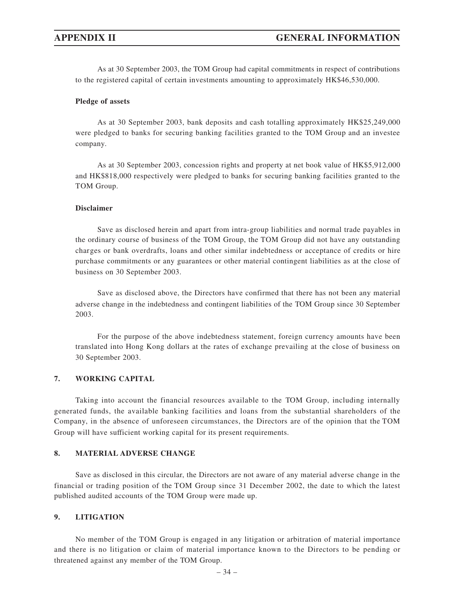As at 30 September 2003, the TOM Group had capital commitments in respect of contributions to the registered capital of certain investments amounting to approximately HK\$46,530,000.

### **Pledge of assets**

As at 30 September 2003, bank deposits and cash totalling approximately HK\$25,249,000 were pledged to banks for securing banking facilities granted to the TOM Group and an investee company.

As at 30 September 2003, concession rights and property at net book value of HK\$5,912,000 and HK\$818,000 respectively were pledged to banks for securing banking facilities granted to the TOM Group.

### **Disclaimer**

Save as disclosed herein and apart from intra-group liabilities and normal trade payables in the ordinary course of business of the TOM Group, the TOM Group did not have any outstanding charges or bank overdrafts, loans and other similar indebtedness or acceptance of credits or hire purchase commitments or any guarantees or other material contingent liabilities as at the close of business on 30 September 2003.

Save as disclosed above, the Directors have confirmed that there has not been any material adverse change in the indebtedness and contingent liabilities of the TOM Group since 30 September 2003.

For the purpose of the above indebtedness statement, foreign currency amounts have been translated into Hong Kong dollars at the rates of exchange prevailing at the close of business on 30 September 2003.

### **7. WORKING CAPITAL**

Taking into account the financial resources available to the TOM Group, including internally generated funds, the available banking facilities and loans from the substantial shareholders of the Company, in the absence of unforeseen circumstances, the Directors are of the opinion that the TOM Group will have sufficient working capital for its present requirements.

### **8. MATERIAL ADVERSE CHANGE**

Save as disclosed in this circular, the Directors are not aware of any material adverse change in the financial or trading position of the TOM Group since 31 December 2002, the date to which the latest published audited accounts of the TOM Group were made up.

### **9. LITIGATION**

No member of the TOM Group is engaged in any litigation or arbitration of material importance and there is no litigation or claim of material importance known to the Directors to be pending or threatened against any member of the TOM Group.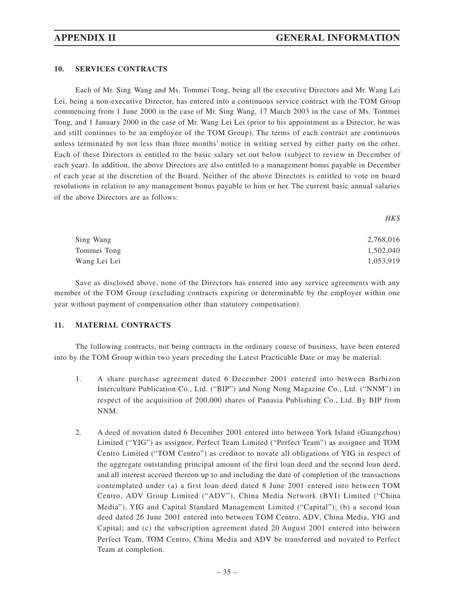### **10. SERVICES CONTRACTS**

Each of Mr. Sing Wang and Ms. Tommei Tong, being all the executive Directors and Mr. Wang Lei Lei, being a non-executive Director, has entered into a continuous service contract with the TOM Group commencing from 1 June 2000 in the case of Mr. Sing Wang, 17 March 2003 in the case of Ms. Tommei Tong, and 1 January 2000 in the case of Mr. Wang Lei Lei (prior to his appointment as a Director, he was and still continues to be an employee of the TOM Group). The terms of each contract are continuous unless terminated by not less than three months' notice in writing served by either party on the other. Each of these Directors is entitled to the basic salary set out below (subject to review in December of each year). In addition, the above Directors are also entitled to a management bonus payable in December of each year at the discretion of the Board. Neither of the above Directors is entitled to vote on board resolutions in relation to any management bonus payable to him or her. The current basic annual salaries of the above Directors are as follows:

| Sing Wang    | 2,768,016 |
|--------------|-----------|
| Tommei Tong  | 1,502,040 |
| Wang Lei Lei | 1,053,919 |

Save as disclosed above, none of the Directors has entered into any service agreements with any member of the TOM Group (excluding contracts expiring or determinable by the employer within one year without payment of compensation other than statutory compensation).

### **11. MATERIAL CONTRACTS**

The following contracts, not being contracts in the ordinary course of business, have been entered into by the TOM Group within two years preceding the Latest Practicable Date or may be material:

- 1. A share purchase agreement dated 6 December 2001 entered into between Barbizon Interculture Publication Co., Ltd. ("BIP") and Nong Nong Magazine Co., Ltd. ("NNM") in respect of the acquisition of 200,000 shares of Panasia Publishing Co., Ltd. By BIP from NNM.
- 2. A deed of novation dated 6 December 2001 entered into between York Island (Guangzhou) Limited ("YIG") as assignor, Perfect Team Limited ("Perfect Team") as assignee and TOM Centro Limited ("TOM Centro") as creditor to novate all obligations of YIG in respect of the aggregate outstanding principal amount of the first loan deed and the second loan deed, and all interest accrued thereon up to and including the date of completion of the transactions contemplated under (a) a first loan deed dated 8 June 2001 entered into between TOM Centro, ADV Group Limited ("ADV"), China Media Network (BVI) Limited ("China Media"), YIG and Capital Standard Management Limited ("Capital"); (b) a second loan deed dated 26 June 2001 entered into between TOM Centro, ADV, China Media, YIG and Capital; and (c) the subscription agreement dated 20 August 2001 entered into between Perfect Team, TOM Centro, China Media and ADV be transferred and novated to Perfect Team at completion.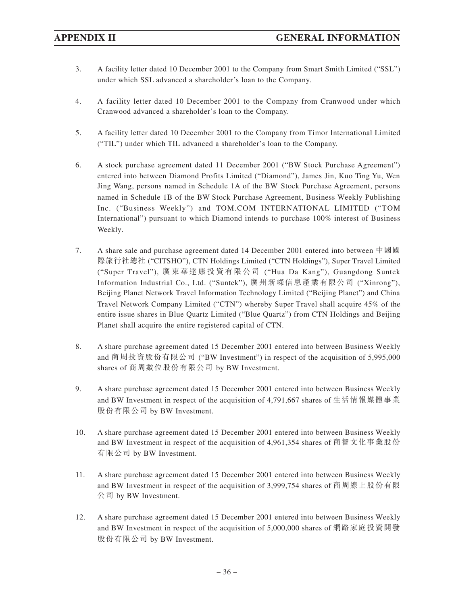- 3. A facility letter dated 10 December 2001 to the Company from Smart Smith Limited ("SSL") under which SSL advanced a shareholder's loan to the Company.
- 4. A facility letter dated 10 December 2001 to the Company from Cranwood under which Cranwood advanced a shareholder's loan to the Company.
- 5. A facility letter dated 10 December 2001 to the Company from Timor International Limited ("TIL") under which TIL advanced a shareholder's loan to the Company.
- 6. A stock purchase agreement dated 11 December 2001 ("BW Stock Purchase Agreement") entered into between Diamond Profits Limited ("Diamond"), James Jin, Kuo Ting Yu, Wen Jing Wang, persons named in Schedule 1A of the BW Stock Purchase Agreement, persons named in Schedule 1B of the BW Stock Purchase Agreement, Business Weekly Publishing Inc. ("Business Weekly") and TOM.COM INTERNATIONAL LIMITED ("TOM International") pursuant to which Diamond intends to purchase 100% interest of Business Weekly.
- 7. A share sale and purchase agreement dated 14 December 2001 entered into between 中國國 際旅行社總社 ("CITSHO"), CTN Holdings Limited ("CTN Holdings"), Super Travel Limited ("Super Travel"), 廣東華達康投資有限公司 ("Hua Da Kang"), Guangdong Suntek Information Industrial Co., Ltd. ("Suntek"), 廣州新嶸信息產業有限公司 ("Xinrong"), Beijing Planet Network Travel Information Technology Limited ("Beijing Planet") and China Travel Network Company Limited ("CTN") whereby Super Travel shall acquire 45% of the entire issue shares in Blue Quartz Limited ("Blue Quartz") from CTN Holdings and Beijing Planet shall acquire the entire registered capital of CTN.
- 8. A share purchase agreement dated 15 December 2001 entered into between Business Weekly and 商周投資股份有限公司 ("BW Investment") in respect of the acquisition of 5,995,000 shares of 商周數位股份有限公司 by BW Investment.
- 9. A share purchase agreement dated 15 December 2001 entered into between Business Weekly and BW Investment in respect of the acquisition of 4,791,667 shares of 生活情報媒體事業 股份有限公司 by BW Investment.
- 10. A share purchase agreement dated 15 December 2001 entered into between Business Weekly and BW Investment in respect of the acquisition of 4,961,354 shares of 商智文化事業股份 有限公司 by BW Investment.
- 11. A share purchase agreement dated 15 December 2001 entered into between Business Weekly and BW Investment in respect of the acquisition of 3,999,754 shares of 商周線上股份有限 公司 by BW Investment.
- 12. A share purchase agreement dated 15 December 2001 entered into between Business Weekly and BW Investment in respect of the acquisition of 5,000,000 shares of 網路家庭投資開發 股份有限公司 by BW Investment.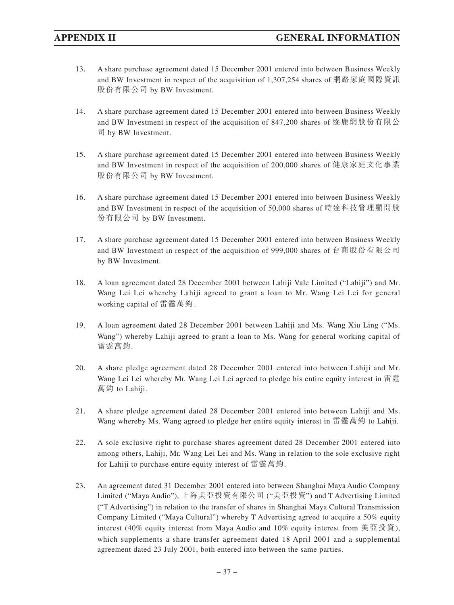- 13. A share purchase agreement dated 15 December 2001 entered into between Business Weekly and BW Investment in respect of the acquisition of 1,307,254 shares of 網路家庭國際資訊 股份有限公司 by BW Investment.
- 14. A share purchase agreement dated 15 December 2001 entered into between Business Weekly and BW Investment in respect of the acquisition of 847,200 shares of 逐鹿網股份有限公 司 by BW Investment.
- 15. A share purchase agreement dated 15 December 2001 entered into between Business Weekly and BW Investment in respect of the acquisition of 200,000 shares of 健康家庭文化事業 股份有限公司 by BW Investment.
- 16. A share purchase agreement dated 15 December 2001 entered into between Business Weekly and BW Investment in respect of the acquisition of 50,000 shares of 時達科技管理顧問股 份有限公司 by BW Investment.
- 17. A share purchase agreement dated 15 December 2001 entered into between Business Weekly and BW Investment in respect of the acquisition of 999,000 shares of 台商股份有限公司 by BW Investment.
- 18. A loan agreement dated 28 December 2001 between Lahiji Vale Limited ("Lahiji") and Mr. Wang Lei Lei whereby Lahiji agreed to grant a loan to Mr. Wang Lei Lei for general working capital of 雷霆萬鈞 .
- 19. A loan agreement dated 28 December 2001 between Lahiji and Ms. Wang Xiu Ling ("Ms. Wang") whereby Lahiji agreed to grant a loan to Ms. Wang for general working capital of 雷霆萬鈞.
- 20. A share pledge agreement dated 28 December 2001 entered into between Lahiji and Mr. Wang Lei Lei whereby Mr. Wang Lei Lei agreed to pledge his entire equity interest in 雷霆 萬鈞 to Lahiji.
- 21. A share pledge agreement dated 28 December 2001 entered into between Lahiji and Ms. Wang whereby Ms. Wang agreed to pledge her entire equity interest in 雷霆萬鈞 to Lahiji.
- 22. A sole exclusive right to purchase shares agreement dated 28 December 2001 entered into among others, Lahiji, Mr. Wang Lei Lei and Ms. Wang in relation to the sole exclusive right for Lahiji to purchase entire equity interest of 雷霆萬鈞.
- 23. An agreement dated 31 December 2001 entered into between Shanghai Maya Audio Company Limited ("Maya Audio"), 上海美亞投資有限公司 ("美亞投資") and T Advertising Limited ("T Advertising") in relation to the transfer of shares in Shanghai Maya Cultural Transmission Company Limited ("Maya Cultural") whereby T Advertising agreed to acquire a 50% equity interest (40% equity interest from Maya Audio and 10% equity interest from 美亞投資), which supplements a share transfer agreement dated 18 April 2001 and a supplemental agreement dated 23 July 2001, both entered into between the same parties.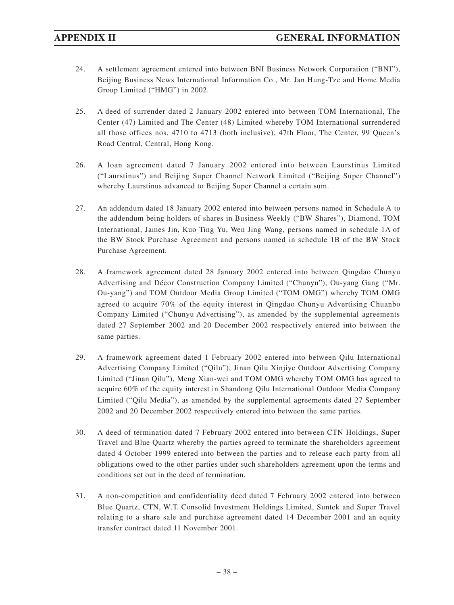- 24. A settlement agreement entered into between BNI Business Network Corporation ("BNI"), Beijing Business News International Information Co., Mr. Jan Hung-Tze and Home Media Group Limited ("HMG") in 2002.
- 25. A deed of surrender dated 2 January 2002 entered into between TOM International, The Center (47) Limited and The Center (48) Limited whereby TOM International surrendered all those offices nos. 4710 to 4713 (both inclusive), 47th Floor, The Center, 99 Queen's Road Central, Central, Hong Kong.
- 26. A loan agreement dated 7 January 2002 entered into between Laurstinus Limited ("Laurstinus") and Beijing Super Channel Network Limited ("Beijing Super Channel") whereby Laurstinus advanced to Beijing Super Channel a certain sum.
- 27. An addendum dated 18 January 2002 entered into between persons named in Schedule A to the addendum being holders of shares in Business Weekly ("BW Shares"), Diamond, TOM International, James Jin, Kuo Ting Yu, Wen Jing Wang, persons named in schedule 1A of the BW Stock Purchase Agreement and persons named in schedule 1B of the BW Stock Purchase Agreement.
- 28. A framework agreement dated 28 January 2002 entered into between Qingdao Chunyu Advertising and Décor Construction Company Limited ("Chunyu"), Ou-yang Gang ("Mr. Ou-yang") and TOM Outdoor Media Group Limited ("TOM OMG") whereby TOM OMG agreed to acquire 70% of the equity interest in Qingdao Chunyu Advertising Chuanbo Company Limited ("Chunyu Advertising"), as amended by the supplemental agreements dated 27 September 2002 and 20 December 2002 respectively entered into between the same parties.
- 29. A framework agreement dated 1 February 2002 entered into between Qilu International Advertising Company Limited ("Qilu"), Jinan Qilu Xinjiye Outdoor Advertising Company Limited ("Jinan Qilu"), Meng Xian-wei and TOM OMG whereby TOM OMG has agreed to acquire 60% of the equity interest in Shandong Qilu International Outdoor Media Company Limited ("Qilu Media"), as amended by the supplemental agreements dated 27 September 2002 and 20 December 2002 respectively entered into between the same parties.
- 30. A deed of termination dated 7 February 2002 entered into between CTN Holdings, Super Travel and Blue Quartz whereby the parties agreed to terminate the shareholders agreement dated 4 October 1999 entered into between the parties and to release each party from all obligations owed to the other parties under such shareholders agreement upon the terms and conditions set out in the deed of termination.
- 31. A non-competition and confidentiality deed dated 7 February 2002 entered into between Blue Quartz, CTN, W.T. Consolid Investment Holdings Limited, Suntek and Super Travel relating to a share sale and purchase agreement dated 14 December 2001 and an equity transfer contract dated 11 November 2001.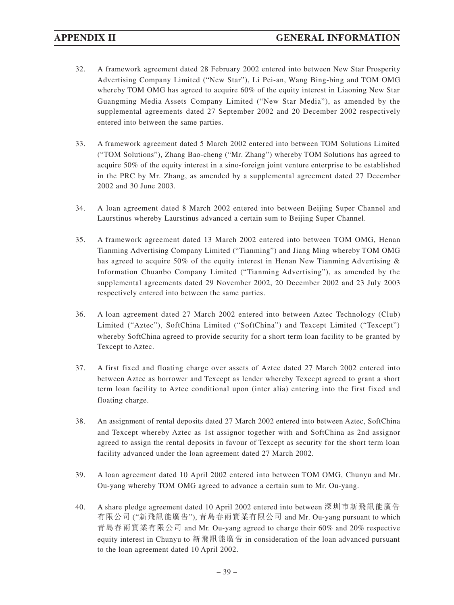- 32. A framework agreement dated 28 February 2002 entered into between New Star Prosperity Advertising Company Limited ("New Star"), Li Pei-an, Wang Bing-bing and TOM OMG whereby TOM OMG has agreed to acquire 60% of the equity interest in Liaoning New Star Guangming Media Assets Company Limited ("New Star Media"), as amended by the supplemental agreements dated 27 September 2002 and 20 December 2002 respectively entered into between the same parties.
- 33. A framework agreement dated 5 March 2002 entered into between TOM Solutions Limited ("TOM Solutions"), Zhang Bao-cheng ("Mr. Zhang") whereby TOM Solutions has agreed to acquire 50% of the equity interest in a sino-foreign joint venture enterprise to be established in the PRC by Mr. Zhang, as amended by a supplemental agreement dated 27 December 2002 and 30 June 2003.
- 34. A loan agreement dated 8 March 2002 entered into between Beijing Super Channel and Laurstinus whereby Laurstinus advanced a certain sum to Beijing Super Channel.
- 35. A framework agreement dated 13 March 2002 entered into between TOM OMG, Henan Tianming Advertising Company Limited ("Tianming") and Jiang Ming whereby TOM OMG has agreed to acquire 50% of the equity interest in Henan New Tianming Advertising & Information Chuanbo Company Limited ("Tianming Advertising"), as amended by the supplemental agreements dated 29 November 2002, 20 December 2002 and 23 July 2003 respectively entered into between the same parties.
- 36. A loan agreement dated 27 March 2002 entered into between Aztec Technology (Club) Limited ("Aztec"), SoftChina Limited ("SoftChina") and Texcept Limited ("Texcept") whereby SoftChina agreed to provide security for a short term loan facility to be granted by Texcept to Aztec.
- 37. A first fixed and floating charge over assets of Aztec dated 27 March 2002 entered into between Aztec as borrower and Texcept as lender whereby Texcept agreed to grant a short term loan facility to Aztec conditional upon (inter alia) entering into the first fixed and floating charge.
- 38. An assignment of rental deposits dated 27 March 2002 entered into between Aztec, SoftChina and Texcept whereby Aztec as 1st assignor together with and SoftChina as 2nd assignor agreed to assign the rental deposits in favour of Texcept as security for the short term loan facility advanced under the loan agreement dated 27 March 2002.
- 39. A loan agreement dated 10 April 2002 entered into between TOM OMG, Chunyu and Mr. Ou-yang whereby TOM OMG agreed to advance a certain sum to Mr. Ou-yang.
- 40. A share pledge agreement dated 10 April 2002 entered into between 深圳市新飛訊能廣告 有限公司 ("新飛訊能廣告"), 青島春雨實業有限公司 and Mr. Ou-yang pursuant to which 青島春雨實業有限公司 and Mr. Ou-yang agreed to charge their 60% and 20% respective equity interest in Chunyu to 新飛訊能廣告 in consideration of the loan advanced pursuant to the loan agreement dated 10 April 2002.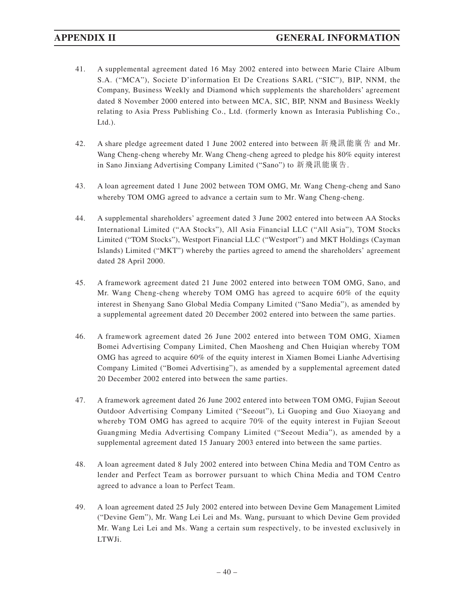- 41. A supplemental agreement dated 16 May 2002 entered into between Marie Claire Album S.A. ("MCA"), Societe D'information Et De Creations SARL ("SIC"), BIP, NNM, the Company, Business Weekly and Diamond which supplements the shareholders' agreement dated 8 November 2000 entered into between MCA, SIC, BIP, NNM and Business Weekly relating to Asia Press Publishing Co., Ltd. (formerly known as Interasia Publishing Co., Ltd.).
- 42. A share pledge agreement dated 1 June 2002 entered into between 新飛訊能廣告 and Mr. Wang Cheng-cheng whereby Mr. Wang Cheng-cheng agreed to pledge his 80% equity interest in Sano Jinxiang Advertising Company Limited ("Sano") to 新飛訊能廣告.
- 43. A loan agreement dated 1 June 2002 between TOM OMG, Mr. Wang Cheng-cheng and Sano whereby TOM OMG agreed to advance a certain sum to Mr. Wang Cheng-cheng.
- 44. A supplemental shareholders' agreement dated 3 June 2002 entered into between AA Stocks International Limited ("AA Stocks"), All Asia Financial LLC ("All Asia"), TOM Stocks Limited ("TOM Stocks"), Westport Financial LLC ("Westport") and MKT Holdings (Cayman Islands) Limited ("MKT") whereby the parties agreed to amend the shareholders' agreement dated 28 April 2000.
- 45. A framework agreement dated 21 June 2002 entered into between TOM OMG, Sano, and Mr. Wang Cheng-cheng whereby TOM OMG has agreed to acquire 60% of the equity interest in Shenyang Sano Global Media Company Limited ("Sano Media"), as amended by a supplemental agreement dated 20 December 2002 entered into between the same parties.
- 46. A framework agreement dated 26 June 2002 entered into between TOM OMG, Xiamen Bomei Advertising Company Limited, Chen Maosheng and Chen Huiqian whereby TOM OMG has agreed to acquire 60% of the equity interest in Xiamen Bomei Lianhe Advertising Company Limited ("Bomei Advertising"), as amended by a supplemental agreement dated 20 December 2002 entered into between the same parties.
- 47. A framework agreement dated 26 June 2002 entered into between TOM OMG, Fujian Seeout Outdoor Advertising Company Limited ("Seeout"), Li Guoping and Guo Xiaoyang and whereby TOM OMG has agreed to acquire 70% of the equity interest in Fujian Seeout Guangming Media Advertising Company Limited ("Seeout Media"), as amended by a supplemental agreement dated 15 January 2003 entered into between the same parties.
- 48. A loan agreement dated 8 July 2002 entered into between China Media and TOM Centro as lender and Perfect Team as borrower pursuant to which China Media and TOM Centro agreed to advance a loan to Perfect Team.
- 49. A loan agreement dated 25 July 2002 entered into between Devine Gem Management Limited ("Devine Gem"), Mr. Wang Lei Lei and Ms. Wang, pursuant to which Devine Gem provided Mr. Wang Lei Lei and Ms. Wang a certain sum respectively, to be invested exclusively in LTWJi.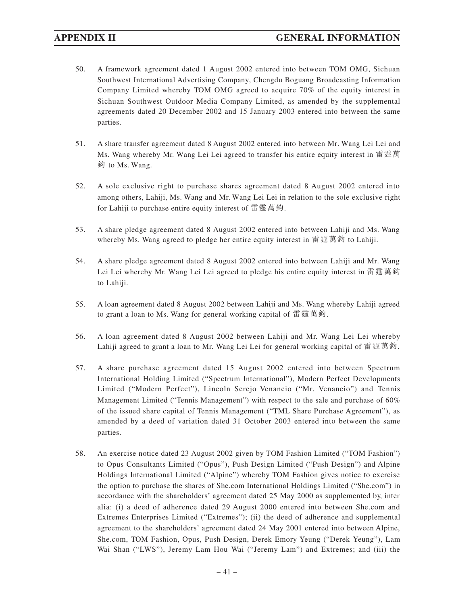- 50. A framework agreement dated 1 August 2002 entered into between TOM OMG, Sichuan Southwest International Advertising Company, Chengdu Boguang Broadcasting Information Company Limited whereby TOM OMG agreed to acquire 70% of the equity interest in Sichuan Southwest Outdoor Media Company Limited, as amended by the supplemental agreements dated 20 December 2002 and 15 January 2003 entered into between the same parties.
- 51. A share transfer agreement dated 8 August 2002 entered into between Mr. Wang Lei Lei and Ms. Wang whereby Mr. Wang Lei Lei agreed to transfer his entire equity interest in 雷霆萬 鈞 to Ms. Wang.
- 52. A sole exclusive right to purchase shares agreement dated 8 August 2002 entered into among others, Lahiji, Ms. Wang and Mr. Wang Lei Lei in relation to the sole exclusive right for Lahiji to purchase entire equity interest of 雷霆萬鈞.
- 53. A share pledge agreement dated 8 August 2002 entered into between Lahiji and Ms. Wang whereby Ms. Wang agreed to pledge her entire equity interest in 雷霆萬鈞 to Lahiji.
- 54. A share pledge agreement dated 8 August 2002 entered into between Lahiji and Mr. Wang Lei Lei whereby Mr. Wang Lei Lei agreed to pledge his entire equity interest in 雷霆萬鈞 to Lahiji.
- 55. A loan agreement dated 8 August 2002 between Lahiji and Ms. Wang whereby Lahiji agreed to grant a loan to Ms. Wang for general working capital of 雷霆萬鈞.
- 56. A loan agreement dated 8 August 2002 between Lahiji and Mr. Wang Lei Lei whereby Lahiji agreed to grant a loan to Mr. Wang Lei Lei for general working capital of 雷霆萬鈞.
- 57. A share purchase agreement dated 15 August 2002 entered into between Spectrum International Holding Limited ("Spectrum International"), Modern Perfect Developments Limited ("Modern Perfect"), Lincoln Serejo Venancio ("Mr. Venancio") and Tennis Management Limited ("Tennis Management") with respect to the sale and purchase of 60% of the issued share capital of Tennis Management ("TML Share Purchase Agreement"), as amended by a deed of variation dated 31 October 2003 entered into between the same parties.
- 58. An exercise notice dated 23 August 2002 given by TOM Fashion Limited ("TOM Fashion") to Opus Consultants Limited ("Opus"), Push Design Limited ("Push Design") and Alpine Holdings International Limited ("Alpine") whereby TOM Fashion gives notice to exercise the option to purchase the shares of She.com International Holdings Limited ("She.com") in accordance with the shareholders' agreement dated 25 May 2000 as supplemented by, inter alia: (i) a deed of adherence dated 29 August 2000 entered into between She.com and Extremes Enterprises Limited ("Extremes"); (ii) the deed of adherence and supplemental agreement to the shareholders' agreement dated 24 May 2001 entered into between Alpine, She.com, TOM Fashion, Opus, Push Design, Derek Emory Yeung ("Derek Yeung"), Lam Wai Shan ("LWS"), Jeremy Lam Hou Wai ("Jeremy Lam") and Extremes; and (iii) the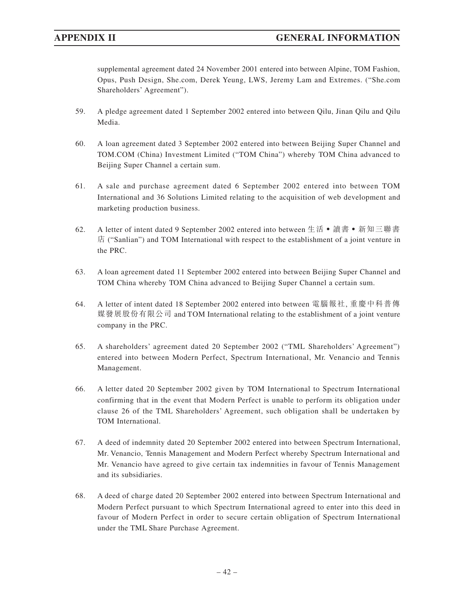supplemental agreement dated 24 November 2001 entered into between Alpine, TOM Fashion, Opus, Push Design, She.com, Derek Yeung, LWS, Jeremy Lam and Extremes. ("She.com Shareholders' Agreement").

- 59. A pledge agreement dated 1 September 2002 entered into between Qilu, Jinan Qilu and Qilu Media.
- 60. A loan agreement dated 3 September 2002 entered into between Beijing Super Channel and TOM.COM (China) Investment Limited ("TOM China") whereby TOM China advanced to Beijing Super Channel a certain sum.
- 61. A sale and purchase agreement dated 6 September 2002 entered into between TOM International and 36 Solutions Limited relating to the acquisition of web development and marketing production business.
- 62. A letter of intent dated 9 September 2002 entered into between 生活 讀書 新知三聯書 店 ("Sanlian") and TOM International with respect to the establishment of a joint venture in the PRC.
- 63. A loan agreement dated 11 September 2002 entered into between Beijing Super Channel and TOM China whereby TOM China advanced to Beijing Super Channel a certain sum.
- 64. A letter of intent dated 18 September 2002 entered into between 電腦報社, 重慶中科普傳 媒發展股份有限公司 and TOM International relating to the establishment of a joint venture company in the PRC.
- 65. A shareholders' agreement dated 20 September 2002 ("TML Shareholders' Agreement") entered into between Modern Perfect, Spectrum International, Mr. Venancio and Tennis Management.
- 66. A letter dated 20 September 2002 given by TOM International to Spectrum International confirming that in the event that Modern Perfect is unable to perform its obligation under clause 26 of the TML Shareholders' Agreement, such obligation shall be undertaken by TOM International.
- 67. A deed of indemnity dated 20 September 2002 entered into between Spectrum International, Mr. Venancio, Tennis Management and Modern Perfect whereby Spectrum International and Mr. Venancio have agreed to give certain tax indemnities in favour of Tennis Management and its subsidiaries.
- 68. A deed of charge dated 20 September 2002 entered into between Spectrum International and Modern Perfect pursuant to which Spectrum International agreed to enter into this deed in favour of Modern Perfect in order to secure certain obligation of Spectrum International under the TML Share Purchase Agreement.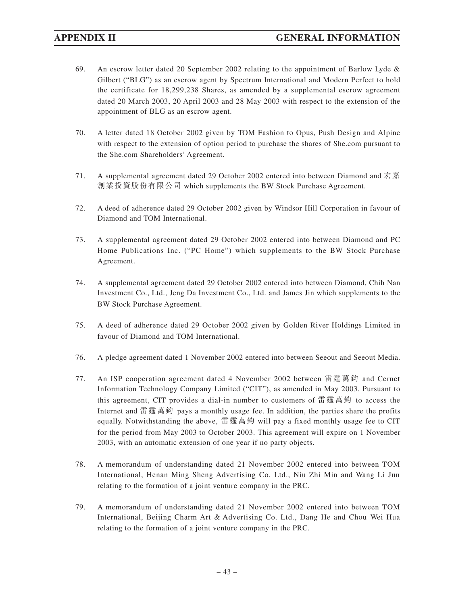- 69. An escrow letter dated 20 September 2002 relating to the appointment of Barlow Lyde  $\&$ Gilbert ("BLG") as an escrow agent by Spectrum International and Modern Perfect to hold the certificate for 18,299,238 Shares, as amended by a supplemental escrow agreement dated 20 March 2003, 20 April 2003 and 28 May 2003 with respect to the extension of the appointment of BLG as an escrow agent.
- 70. A letter dated 18 October 2002 given by TOM Fashion to Opus, Push Design and Alpine with respect to the extension of option period to purchase the shares of She.com pursuant to the She.com Shareholders' Agreement.
- 71. A supplemental agreement dated 29 October 2002 entered into between Diamond and 宏嘉 創業投資股份有限公司 which supplements the BW Stock Purchase Agreement.
- 72. A deed of adherence dated 29 October 2002 given by Windsor Hill Corporation in favour of Diamond and TOM International.
- 73. A supplemental agreement dated 29 October 2002 entered into between Diamond and PC Home Publications Inc. ("PC Home") which supplements to the BW Stock Purchase Agreement.
- 74. A supplemental agreement dated 29 October 2002 entered into between Diamond, Chih Nan Investment Co., Ltd., Jeng Da Investment Co., Ltd. and James Jin which supplements to the BW Stock Purchase Agreement.
- 75. A deed of adherence dated 29 October 2002 given by Golden River Holdings Limited in favour of Diamond and TOM International.
- 76. A pledge agreement dated 1 November 2002 entered into between Seeout and Seeout Media.
- 77. An ISP cooperation agreement dated 4 November 2002 between 雷霆萬鈞 and Cernet Information Technology Company Limited ("CIT"), as amended in May 2003. Pursuant to this agreement, CIT provides a dial-in number to customers of 雷霆萬鈞 to access the Internet and 雷霆萬鈞 pays a monthly usage fee. In addition, the parties share the profits equally. Notwithstanding the above, 雷霆萬鈞 will pay a fixed monthly usage fee to CIT for the period from May 2003 to October 2003. This agreement will expire on 1 November 2003, with an automatic extension of one year if no party objects.
- 78. A memorandum of understanding dated 21 November 2002 entered into between TOM International, Henan Ming Sheng Advertising Co. Ltd., Niu Zhi Min and Wang Li Jun relating to the formation of a joint venture company in the PRC.
- 79. A memorandum of understanding dated 21 November 2002 entered into between TOM International, Beijing Charm Art & Advertising Co. Ltd., Dang He and Chou Wei Hua relating to the formation of a joint venture company in the PRC.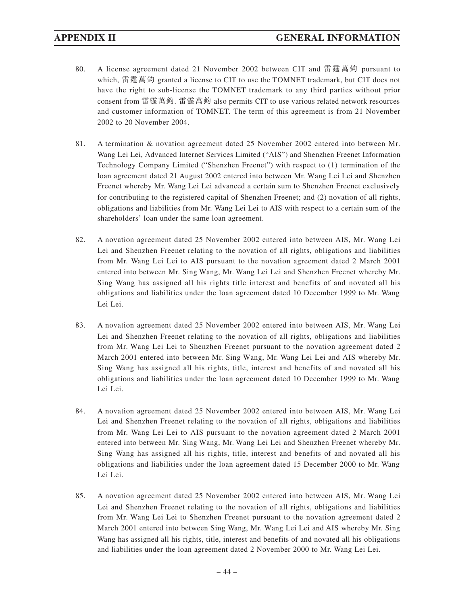- 80. A license agreement dated 21 November 2002 between CIT and 雷霆萬鈞 pursuant to which, 雷霆萬鈞 granted a license to CIT to use the TOMNET trademark, but CIT does not have the right to sub-license the TOMNET trademark to any third parties without prior consent from 雷霆萬鈞. 雷霆萬鈞 also permits CIT to use various related network resources and customer information of TOMNET. The term of this agreement is from 21 November 2002 to 20 November 2004.
- 81. A termination & novation agreement dated 25 November 2002 entered into between Mr. Wang Lei Lei, Advanced Internet Services Limited ("AIS") and Shenzhen Freenet Information Technology Company Limited ("Shenzhen Freenet") with respect to (1) termination of the loan agreement dated 21 August 2002 entered into between Mr. Wang Lei Lei and Shenzhen Freenet whereby Mr. Wang Lei Lei advanced a certain sum to Shenzhen Freenet exclusively for contributing to the registered capital of Shenzhen Freenet; and (2) novation of all rights, obligations and liabilities from Mr. Wang Lei Lei to AIS with respect to a certain sum of the shareholders' loan under the same loan agreement.
- 82. A novation agreement dated 25 November 2002 entered into between AIS, Mr. Wang Lei Lei and Shenzhen Freenet relating to the novation of all rights, obligations and liabilities from Mr. Wang Lei Lei to AIS pursuant to the novation agreement dated 2 March 2001 entered into between Mr. Sing Wang, Mr. Wang Lei Lei and Shenzhen Freenet whereby Mr. Sing Wang has assigned all his rights title interest and benefits of and novated all his obligations and liabilities under the loan agreement dated 10 December 1999 to Mr. Wang Lei Lei.
- 83. A novation agreement dated 25 November 2002 entered into between AIS, Mr. Wang Lei Lei and Shenzhen Freenet relating to the novation of all rights, obligations and liabilities from Mr. Wang Lei Lei to Shenzhen Freenet pursuant to the novation agreement dated 2 March 2001 entered into between Mr. Sing Wang, Mr. Wang Lei Lei and AIS whereby Mr. Sing Wang has assigned all his rights, title, interest and benefits of and novated all his obligations and liabilities under the loan agreement dated 10 December 1999 to Mr. Wang Lei Lei.
- 84. A novation agreement dated 25 November 2002 entered into between AIS, Mr. Wang Lei Lei and Shenzhen Freenet relating to the novation of all rights, obligations and liabilities from Mr. Wang Lei Lei to AIS pursuant to the novation agreement dated 2 March 2001 entered into between Mr. Sing Wang, Mr. Wang Lei Lei and Shenzhen Freenet whereby Mr. Sing Wang has assigned all his rights, title, interest and benefits of and novated all his obligations and liabilities under the loan agreement dated 15 December 2000 to Mr. Wang Lei Lei.
- 85. A novation agreement dated 25 November 2002 entered into between AIS, Mr. Wang Lei Lei and Shenzhen Freenet relating to the novation of all rights, obligations and liabilities from Mr. Wang Lei Lei to Shenzhen Freenet pursuant to the novation agreement dated 2 March 2001 entered into between Sing Wang, Mr. Wang Lei Lei and AIS whereby Mr. Sing Wang has assigned all his rights, title, interest and benefits of and novated all his obligations and liabilities under the loan agreement dated 2 November 2000 to Mr. Wang Lei Lei.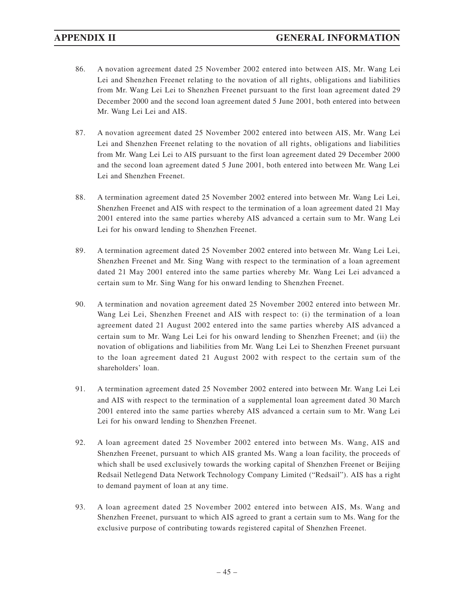- 86. A novation agreement dated 25 November 2002 entered into between AIS, Mr. Wang Lei Lei and Shenzhen Freenet relating to the novation of all rights, obligations and liabilities from Mr. Wang Lei Lei to Shenzhen Freenet pursuant to the first loan agreement dated 29 December 2000 and the second loan agreement dated 5 June 2001, both entered into between Mr. Wang Lei Lei and AIS.
- 87. A novation agreement dated 25 November 2002 entered into between AIS, Mr. Wang Lei Lei and Shenzhen Freenet relating to the novation of all rights, obligations and liabilities from Mr. Wang Lei Lei to AIS pursuant to the first loan agreement dated 29 December 2000 and the second loan agreement dated 5 June 2001, both entered into between Mr. Wang Lei Lei and Shenzhen Freenet.
- 88. A termination agreement dated 25 November 2002 entered into between Mr. Wang Lei Lei, Shenzhen Freenet and AIS with respect to the termination of a loan agreement dated 21 May 2001 entered into the same parties whereby AIS advanced a certain sum to Mr. Wang Lei Lei for his onward lending to Shenzhen Freenet.
- 89. A termination agreement dated 25 November 2002 entered into between Mr. Wang Lei Lei, Shenzhen Freenet and Mr. Sing Wang with respect to the termination of a loan agreement dated 21 May 2001 entered into the same parties whereby Mr. Wang Lei Lei advanced a certain sum to Mr. Sing Wang for his onward lending to Shenzhen Freenet.
- 90. A termination and novation agreement dated 25 November 2002 entered into between Mr. Wang Lei Lei, Shenzhen Freenet and AIS with respect to: (i) the termination of a loan agreement dated 21 August 2002 entered into the same parties whereby AIS advanced a certain sum to Mr. Wang Lei Lei for his onward lending to Shenzhen Freenet; and (ii) the novation of obligations and liabilities from Mr. Wang Lei Lei to Shenzhen Freenet pursuant to the loan agreement dated 21 August 2002 with respect to the certain sum of the shareholders' loan.
- 91. A termination agreement dated 25 November 2002 entered into between Mr. Wang Lei Lei and AIS with respect to the termination of a supplemental loan agreement dated 30 March 2001 entered into the same parties whereby AIS advanced a certain sum to Mr. Wang Lei Lei for his onward lending to Shenzhen Freenet.
- 92. A loan agreement dated 25 November 2002 entered into between Ms. Wang, AIS and Shenzhen Freenet, pursuant to which AIS granted Ms. Wang a loan facility, the proceeds of which shall be used exclusively towards the working capital of Shenzhen Freenet or Beijing Redsail Netlegend Data Network Technology Company Limited ("Redsail"). AIS has a right to demand payment of loan at any time.
- 93. A loan agreement dated 25 November 2002 entered into between AIS, Ms. Wang and Shenzhen Freenet, pursuant to which AIS agreed to grant a certain sum to Ms. Wang for the exclusive purpose of contributing towards registered capital of Shenzhen Freenet.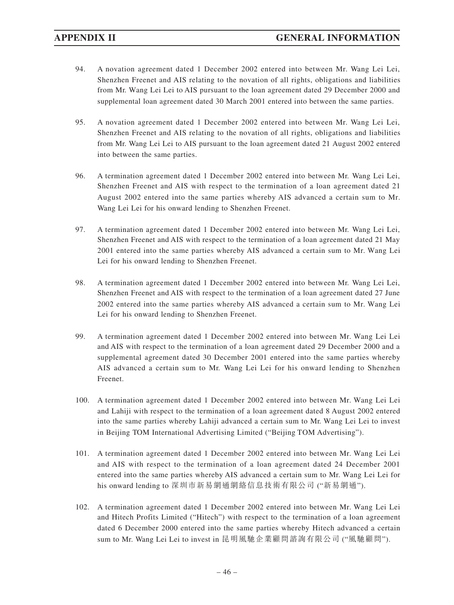- 94. A novation agreement dated 1 December 2002 entered into between Mr. Wang Lei Lei, Shenzhen Freenet and AIS relating to the novation of all rights, obligations and liabilities from Mr. Wang Lei Lei to AIS pursuant to the loan agreement dated 29 December 2000 and supplemental loan agreement dated 30 March 2001 entered into between the same parties.
- 95. A novation agreement dated 1 December 2002 entered into between Mr. Wang Lei Lei, Shenzhen Freenet and AIS relating to the novation of all rights, obligations and liabilities from Mr. Wang Lei Lei to AIS pursuant to the loan agreement dated 21 August 2002 entered into between the same parties.
- 96. A termination agreement dated 1 December 2002 entered into between Mr. Wang Lei Lei, Shenzhen Freenet and AIS with respect to the termination of a loan agreement dated 21 August 2002 entered into the same parties whereby AIS advanced a certain sum to Mr. Wang Lei Lei for his onward lending to Shenzhen Freenet.
- 97. A termination agreement dated 1 December 2002 entered into between Mr. Wang Lei Lei, Shenzhen Freenet and AIS with respect to the termination of a loan agreement dated 21 May 2001 entered into the same parties whereby AIS advanced a certain sum to Mr. Wang Lei Lei for his onward lending to Shenzhen Freenet.
- 98. A termination agreement dated 1 December 2002 entered into between Mr. Wang Lei Lei, Shenzhen Freenet and AIS with respect to the termination of a loan agreement dated 27 June 2002 entered into the same parties whereby AIS advanced a certain sum to Mr. Wang Lei Lei for his onward lending to Shenzhen Freenet.
- 99. A termination agreement dated 1 December 2002 entered into between Mr. Wang Lei Lei and AIS with respect to the termination of a loan agreement dated 29 December 2000 and a supplemental agreement dated 30 December 2001 entered into the same parties whereby AIS advanced a certain sum to Mr. Wang Lei Lei for his onward lending to Shenzhen Freenet.
- 100. A termination agreement dated 1 December 2002 entered into between Mr. Wang Lei Lei and Lahiji with respect to the termination of a loan agreement dated 8 August 2002 entered into the same parties whereby Lahiji advanced a certain sum to Mr. Wang Lei Lei to invest in Beijing TOM International Advertising Limited ("Beijing TOM Advertising").
- 101. A termination agreement dated 1 December 2002 entered into between Mr. Wang Lei Lei and AIS with respect to the termination of a loan agreement dated 24 December 2001 entered into the same parties whereby AIS advanced a certain sum to Mr. Wang Lei Lei for his onward lending to 深圳市新易網通網絡信息技術有限公司 ("新易網通").
- 102. A termination agreement dated 1 December 2002 entered into between Mr. Wang Lei Lei and Hitech Profits Limited ("Hitech") with respect to the termination of a loan agreement dated 6 December 2000 entered into the same parties whereby Hitech advanced a certain sum to Mr. Wang Lei Lei to invest in 昆明風馳企業顧問諮詢有限公司 ("風馳顧問").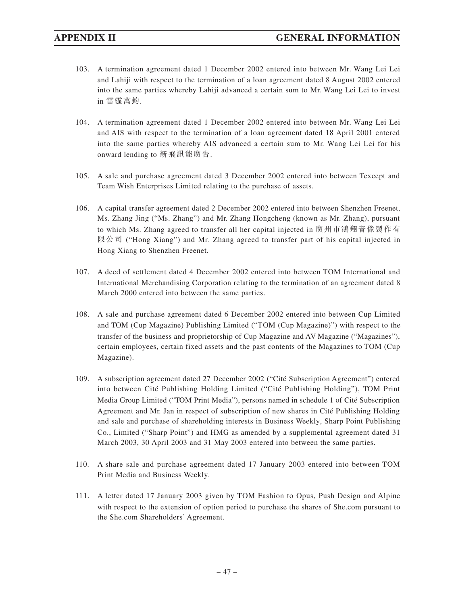- 103. A termination agreement dated 1 December 2002 entered into between Mr. Wang Lei Lei and Lahiji with respect to the termination of a loan agreement dated 8 August 2002 entered into the same parties whereby Lahiji advanced a certain sum to Mr. Wang Lei Lei to invest in 雷霆萬鈞.
- 104. A termination agreement dated 1 December 2002 entered into between Mr. Wang Lei Lei and AIS with respect to the termination of a loan agreement dated 18 April 2001 entered into the same parties whereby AIS advanced a certain sum to Mr. Wang Lei Lei for his onward lending to 新飛訊能廣告.
- 105. A sale and purchase agreement dated 3 December 2002 entered into between Texcept and Team Wish Enterprises Limited relating to the purchase of assets.
- 106. A capital transfer agreement dated 2 December 2002 entered into between Shenzhen Freenet, Ms. Zhang Jing ("Ms. Zhang") and Mr. Zhang Hongcheng (known as Mr. Zhang), pursuant to which Ms. Zhang agreed to transfer all her capital injected in 廣州市鴻翔音像製作有 限公司 ("Hong Xiang") and Mr. Zhang agreed to transfer part of his capital injected in Hong Xiang to Shenzhen Freenet.
- 107. A deed of settlement dated 4 December 2002 entered into between TOM International and International Merchandising Corporation relating to the termination of an agreement dated 8 March 2000 entered into between the same parties.
- 108. A sale and purchase agreement dated 6 December 2002 entered into between Cup Limited and TOM (Cup Magazine) Publishing Limited ("TOM (Cup Magazine)") with respect to the transfer of the business and proprietorship of Cup Magazine and AV Magazine ("Magazines"), certain employees, certain fixed assets and the past contents of the Magazines to TOM (Cup Magazine).
- 109. A subscription agreement dated 27 December 2002 ("Cité Subscription Agreement") entered into between Cité Publishing Holding Limited ("Cité Publishing Holding"), TOM Print Media Group Limited ("TOM Print Media"), persons named in schedule 1 of Cité Subscription Agreement and Mr. Jan in respect of subscription of new shares in Cité Publishing Holding and sale and purchase of shareholding interests in Business Weekly, Sharp Point Publishing Co., Limited ("Sharp Point") and HMG as amended by a supplemental agreement dated 31 March 2003, 30 April 2003 and 31 May 2003 entered into between the same parties.
- 110. A share sale and purchase agreement dated 17 January 2003 entered into between TOM Print Media and Business Weekly.
- 111. A letter dated 17 January 2003 given by TOM Fashion to Opus, Push Design and Alpine with respect to the extension of option period to purchase the shares of She.com pursuant to the She.com Shareholders' Agreement.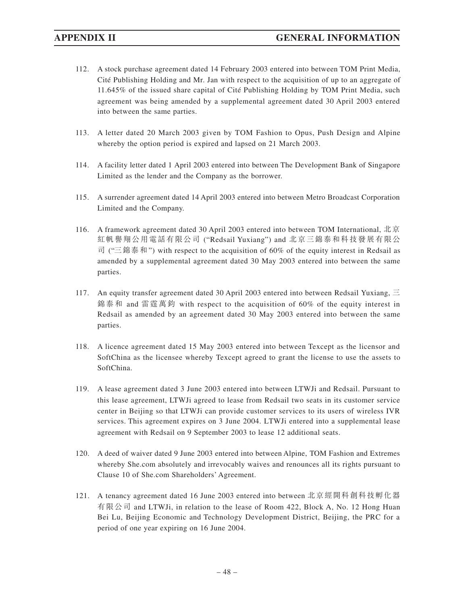- 112. A stock purchase agreement dated 14 February 2003 entered into between TOM Print Media, Cité Publishing Holding and Mr. Jan with respect to the acquisition of up to an aggregate of 11.645% of the issued share capital of Cité Publishing Holding by TOM Print Media, such agreement was being amended by a supplemental agreement dated 30 April 2003 entered into between the same parties.
- 113. A letter dated 20 March 2003 given by TOM Fashion to Opus, Push Design and Alpine whereby the option period is expired and lapsed on 21 March 2003.
- 114. A facility letter dated 1 April 2003 entered into between The Development Bank of Singapore Limited as the lender and the Company as the borrower.
- 115. A surrender agreement dated 14 April 2003 entered into between Metro Broadcast Corporation Limited and the Company.
- 116. A framework agreement dated 30 April 2003 entered into between TOM International, 北京 紅帆譽翔公用電話有限公司 ("Redsail Yuxiang") and 北京三錦泰和科技發展有限公 司 ("三錦泰和 ") with respect to the acquisition of 60% of the equity interest in Redsail as amended by a supplemental agreement dated 30 May 2003 entered into between the same parties.
- 117. An equity transfer agreement dated 30 April 2003 entered into between Redsail Yuxiang,  $\equiv$ 錦泰和 and 雷霆萬鈞 with respect to the acquisition of 60% of the equity interest in Redsail as amended by an agreement dated 30 May 2003 entered into between the same parties.
- 118. A licence agreement dated 15 May 2003 entered into between Texcept as the licensor and SoftChina as the licensee whereby Texcept agreed to grant the license to use the assets to SoftChina.
- 119. A lease agreement dated 3 June 2003 entered into between LTWJi and Redsail. Pursuant to this lease agreement, LTWJi agreed to lease from Redsail two seats in its customer service center in Beijing so that LTWJi can provide customer services to its users of wireless IVR services. This agreement expires on 3 June 2004. LTWJi entered into a supplemental lease agreement with Redsail on 9 September 2003 to lease 12 additional seats.
- 120. A deed of waiver dated 9 June 2003 entered into between Alpine, TOM Fashion and Extremes whereby She.com absolutely and irrevocably waives and renounces all its rights pursuant to Clause 10 of She.com Shareholders' Agreement.
- 121. A tenancy agreement dated 16 June 2003 entered into between 北京經開科創科技孵化器 有限公司 and LTWJi, in relation to the lease of Room 422, Block A, No. 12 Hong Huan Bei Lu, Beijing Economic and Technology Development District, Beijing, the PRC for a period of one year expiring on 16 June 2004.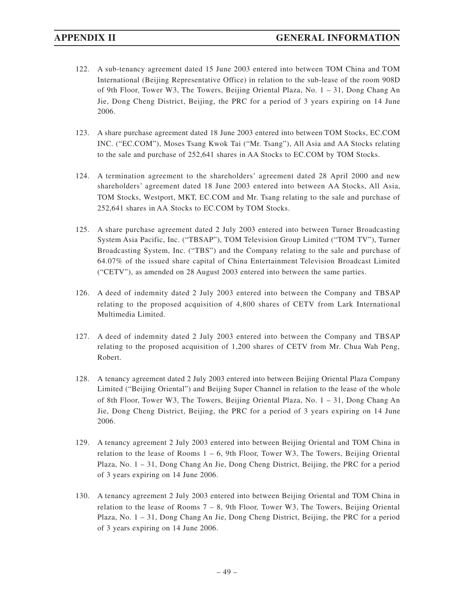- 122. A sub-tenancy agreement dated 15 June 2003 entered into between TOM China and TOM International (Beijing Representative Office) in relation to the sub-lease of the room 908D of 9th Floor, Tower W3, The Towers, Beijing Oriental Plaza, No. 1 – 31, Dong Chang An Jie, Dong Cheng District, Beijing, the PRC for a period of 3 years expiring on 14 June 2006.
- 123. A share purchase agreement dated 18 June 2003 entered into between TOM Stocks, EC.COM INC. ("EC.COM"), Moses Tsang Kwok Tai ("Mr. Tsang"), All Asia and AA Stocks relating to the sale and purchase of 252,641 shares in AA Stocks to EC.COM by TOM Stocks.
- 124. A termination agreement to the shareholders' agreement dated 28 April 2000 and new shareholders' agreement dated 18 June 2003 entered into between AA Stocks, All Asia, TOM Stocks, Westport, MKT, EC.COM and Mr. Tsang relating to the sale and purchase of 252,641 shares in AA Stocks to EC.COM by TOM Stocks.
- 125. A share purchase agreement dated 2 July 2003 entered into between Turner Broadcasting System Asia Pacific, Inc. ("TBSAP"), TOM Television Group Limited ("TOM TV"), Turner Broadcasting System, Inc. ("TBS") and the Company relating to the sale and purchase of 64.07% of the issued share capital of China Entertainment Television Broadcast Limited ("CETV"), as amended on 28 August 2003 entered into between the same parties.
- 126. A deed of indemnity dated 2 July 2003 entered into between the Company and TBSAP relating to the proposed acquisition of 4,800 shares of CETV from Lark International Multimedia Limited.
- 127. A deed of indemnity dated 2 July 2003 entered into between the Company and TBSAP relating to the proposed acquisition of 1,200 shares of CETV from Mr. Chua Wah Peng, Robert.
- 128. A tenancy agreement dated 2 July 2003 entered into between Beijing Oriental Plaza Company Limited ("Beijing Oriental") and Beijing Super Channel in relation to the lease of the whole of 8th Floor, Tower W3, The Towers, Beijing Oriental Plaza, No. 1 – 31, Dong Chang An Jie, Dong Cheng District, Beijing, the PRC for a period of 3 years expiring on 14 June 2006.
- 129. A tenancy agreement 2 July 2003 entered into between Beijing Oriental and TOM China in relation to the lease of Rooms  $1 - 6$ , 9th Floor, Tower W3, The Towers, Beijing Oriental Plaza, No. 1 – 31, Dong Chang An Jie, Dong Cheng District, Beijing, the PRC for a period of 3 years expiring on 14 June 2006.
- 130. A tenancy agreement 2 July 2003 entered into between Beijing Oriental and TOM China in relation to the lease of Rooms  $7 - 8$ , 9th Floor, Tower W3, The Towers, Beijing Oriental Plaza, No. 1 – 31, Dong Chang An Jie, Dong Cheng District, Beijing, the PRC for a period of 3 years expiring on 14 June 2006.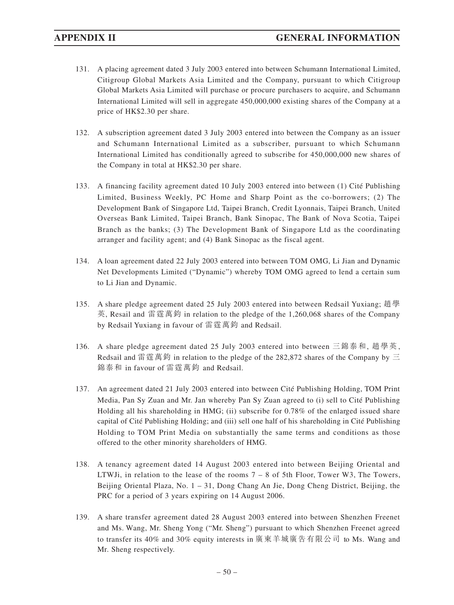- 131. A placing agreement dated 3 July 2003 entered into between Schumann International Limited, Citigroup Global Markets Asia Limited and the Company, pursuant to which Citigroup Global Markets Asia Limited will purchase or procure purchasers to acquire, and Schumann International Limited will sell in aggregate 450,000,000 existing shares of the Company at a price of HK\$2.30 per share.
- 132. A subscription agreement dated 3 July 2003 entered into between the Company as an issuer and Schumann International Limited as a subscriber, pursuant to which Schumann International Limited has conditionally agreed to subscribe for 450,000,000 new shares of the Company in total at HK\$2.30 per share.
- 133. A financing facility agreement dated 10 July 2003 entered into between (1) Cité Publishing Limited, Business Weekly, PC Home and Sharp Point as the co-borrowers; (2) The Development Bank of Singapore Ltd, Taipei Branch, Credit Lyonnais, Taipei Branch, United Overseas Bank Limited, Taipei Branch, Bank Sinopac, The Bank of Nova Scotia, Taipei Branch as the banks; (3) The Development Bank of Singapore Ltd as the coordinating arranger and facility agent; and (4) Bank Sinopac as the fiscal agent.
- 134. A loan agreement dated 22 July 2003 entered into between TOM OMG, Li Jian and Dynamic Net Developments Limited ("Dynamic") whereby TOM OMG agreed to lend a certain sum to Li Jian and Dynamic.
- 135. A share pledge agreement dated 25 July 2003 entered into between Redsail Yuxiang; 趙學 英, Resail and 雷霆萬鈞 in relation to the pledge of the 1,260,068 shares of the Company by Redsail Yuxiang in favour of 雷霆萬鈞 and Redsail.
- 136. A share pledge agreement dated 25 July 2003 entered into between 三錦泰和, 趙學英 , Redsail and 雷霆萬鈞 in relation to the pledge of the 282,872 shares of the Company by  $\Xi$ 錦泰和 in favour of 雷霆萬鈞 and Redsail.
- 137. An agreement dated 21 July 2003 entered into between Cité Publishing Holding, TOM Print Media, Pan Sy Zuan and Mr. Jan whereby Pan Sy Zuan agreed to (i) sell to Cité Publishing Holding all his shareholding in HMG; (ii) subscribe for 0.78% of the enlarged issued share capital of Cité Publishing Holding; and (iii) sell one half of his shareholding in Cité Publishing Holding to TOM Print Media on substantially the same terms and conditions as those offered to the other minority shareholders of HMG.
- 138. A tenancy agreement dated 14 August 2003 entered into between Beijing Oriental and LTWJi, in relation to the lease of the rooms  $7 - 8$  of 5th Floor, Tower W3, The Towers, Beijing Oriental Plaza, No. 1 – 31, Dong Chang An Jie, Dong Cheng District, Beijing, the PRC for a period of 3 years expiring on 14 August 2006.
- 139. A share transfer agreement dated 28 August 2003 entered into between Shenzhen Freenet and Ms. Wang, Mr. Sheng Yong ("Mr. Sheng") pursuant to which Shenzhen Freenet agreed to transfer its 40% and 30% equity interests in 廣東羊城廣告有限公司 to Ms. Wang and Mr. Sheng respectively.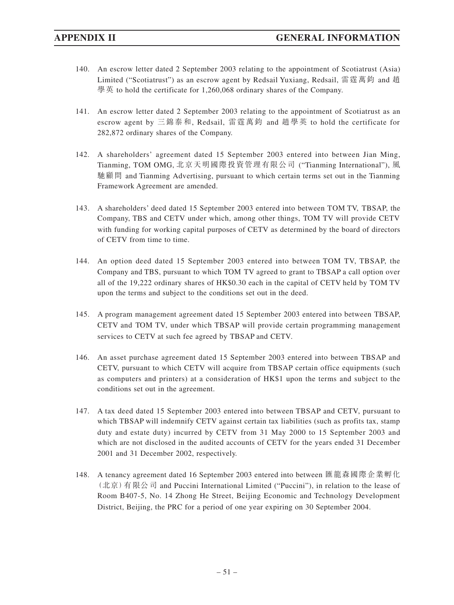- 140. An escrow letter dated 2 September 2003 relating to the appointment of Scotiatrust (Asia) Limited ("Scotiatrust") as an escrow agent by Redsail Yuxiang, Redsail, 雷霆萬鈞 and 趙 學英 to hold the certificate for 1,260,068 ordinary shares of the Company.
- 141. An escrow letter dated 2 September 2003 relating to the appointment of Scotiatrust as an escrow agent by 三錦泰和, Redsail, 雷霆萬鈞 and 趙學英 to hold the certificate for 282,872 ordinary shares of the Company.
- 142. A shareholders' agreement dated 15 September 2003 entered into between Jian Ming, Tianming, TOM OMG, 北京天明國際投資管理有限公司 ("Tianming International"), 風 馳顧問 and Tianming Advertising, pursuant to which certain terms set out in the Tianming Framework Agreement are amended.
- 143. A shareholders' deed dated 15 September 2003 entered into between TOM TV, TBSAP, the Company, TBS and CETV under which, among other things, TOM TV will provide CETV with funding for working capital purposes of CETV as determined by the board of directors of CETV from time to time.
- 144. An option deed dated 15 September 2003 entered into between TOM TV, TBSAP, the Company and TBS, pursuant to which TOM TV agreed to grant to TBSAP a call option over all of the 19,222 ordinary shares of HK\$0.30 each in the capital of CETV held by TOM TV upon the terms and subject to the conditions set out in the deed.
- 145. A program management agreement dated 15 September 2003 entered into between TBSAP, CETV and TOM TV, under which TBSAP will provide certain programming management services to CETV at such fee agreed by TBSAP and CETV.
- 146. An asset purchase agreement dated 15 September 2003 entered into between TBSAP and CETV, pursuant to which CETV will acquire from TBSAP certain office equipments (such as computers and printers) at a consideration of HK\$1 upon the terms and subject to the conditions set out in the agreement.
- 147. A tax deed dated 15 September 2003 entered into between TBSAP and CETV, pursuant to which TBSAP will indemnify CETV against certain tax liabilities (such as profits tax, stamp duty and estate duty) incurred by CETV from 31 May 2000 to 15 September 2003 and which are not disclosed in the audited accounts of CETV for the years ended 31 December 2001 and 31 December 2002, respectively.
- 148. A tenancy agreement dated 16 September 2003 entered into between 匯龍森國際企業孵化 (北京)有限公司 and Puccini International Limited ("Puccini"), in relation to the lease of Room B407-5, No. 14 Zhong He Street, Beijing Economic and Technology Development District, Beijing, the PRC for a period of one year expiring on 30 September 2004.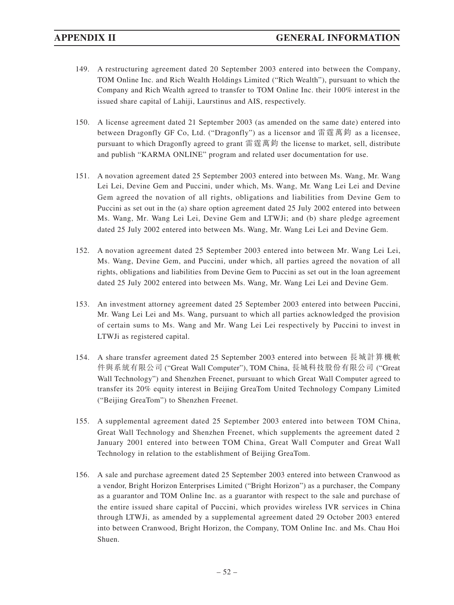- 149. A restructuring agreement dated 20 September 2003 entered into between the Company, TOM Online Inc. and Rich Wealth Holdings Limited ("Rich Wealth"), pursuant to which the Company and Rich Wealth agreed to transfer to TOM Online Inc. their 100% interest in the issued share capital of Lahiji, Laurstinus and AIS, respectively.
- 150. A license agreement dated 21 September 2003 (as amended on the same date) entered into between Dragonfly GF Co, Ltd. ("Dragonfly") as a licensor and 雷霆萬鈞 as a licensee, pursuant to which Dragonfly agreed to grant 雷霆萬鈞 the license to market, sell, distribute and publish "KARMA ONLINE" program and related user documentation for use.
- 151. A novation agreement dated 25 September 2003 entered into between Ms. Wang, Mr. Wang Lei Lei, Devine Gem and Puccini, under which, Ms. Wang, Mr. Wang Lei Lei and Devine Gem agreed the novation of all rights, obligations and liabilities from Devine Gem to Puccini as set out in the (a) share option agreement dated 25 July 2002 entered into between Ms. Wang, Mr. Wang Lei Lei, Devine Gem and LTWJi; and (b) share pledge agreement dated 25 July 2002 entered into between Ms. Wang, Mr. Wang Lei Lei and Devine Gem.
- 152. A novation agreement dated 25 September 2003 entered into between Mr. Wang Lei Lei, Ms. Wang, Devine Gem, and Puccini, under which, all parties agreed the novation of all rights, obligations and liabilities from Devine Gem to Puccini as set out in the loan agreement dated 25 July 2002 entered into between Ms. Wang, Mr. Wang Lei Lei and Devine Gem.
- 153. An investment attorney agreement dated 25 September 2003 entered into between Puccini, Mr. Wang Lei Lei and Ms. Wang, pursuant to which all parties acknowledged the provision of certain sums to Ms. Wang and Mr. Wang Lei Lei respectively by Puccini to invest in LTWJi as registered capital.
- 154. A share transfer agreement dated 25 September 2003 entered into between 長城計算機軟 件與系統有限公司 ("Great Wall Computer"), TOM China, 長城科技股份有限公司 ("Great Wall Technology") and Shenzhen Freenet, pursuant to which Great Wall Computer agreed to transfer its 20% equity interest in Beijing GreaTom United Technology Company Limited ("Beijing GreaTom") to Shenzhen Freenet.
- 155. A supplemental agreement dated 25 September 2003 entered into between TOM China, Great Wall Technology and Shenzhen Freenet, which supplements the agreement dated 2 January 2001 entered into between TOM China, Great Wall Computer and Great Wall Technology in relation to the establishment of Beijing GreaTom.
- 156. A sale and purchase agreement dated 25 September 2003 entered into between Cranwood as a vendor, Bright Horizon Enterprises Limited ("Bright Horizon") as a purchaser, the Company as a guarantor and TOM Online Inc. as a guarantor with respect to the sale and purchase of the entire issued share capital of Puccini, which provides wireless IVR services in China through LTWJi, as amended by a supplemental agreement dated 29 October 2003 entered into between Cranwood, Bright Horizon, the Company, TOM Online Inc. and Ms. Chau Hoi Shuen.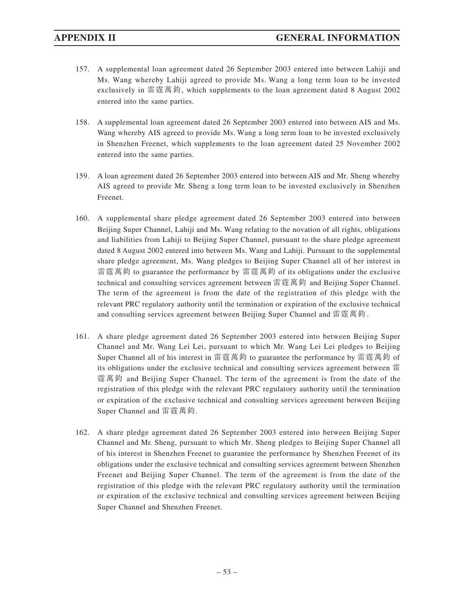- 157. A supplemental loan agreement dated 26 September 2003 entered into between Lahiji and Ms. Wang whereby Lahiji agreed to provide Ms. Wang a long term loan to be invested exclusively in 雷霆萬鈞, which supplements to the loan agreement dated 8 August 2002 entered into the same parties.
- 158. A supplemental loan agreement dated 26 September 2003 entered into between AIS and Ms. Wang whereby AIS agreed to provide Ms. Wang a long term loan to be invested exclusively in Shenzhen Freenet, which supplements to the loan agreement dated 25 November 2002 entered into the same parties.
- 159. A loan agreement dated 26 September 2003 entered into between AIS and Mr. Sheng whereby AIS agreed to provide Mr. Sheng a long term loan to be invested exclusively in Shenzhen Freenet.
- 160. A supplemental share pledge agreement dated 26 September 2003 entered into between Beijing Super Channel, Lahiji and Ms. Wang relating to the novation of all rights, obligations and liabilities from Lahiji to Beijing Super Channel, pursuant to the share pledge agreement dated 8 August 2002 entered into between Ms. Wang and Lahiji. Pursuant to the supplemental share pledge agreement, Ms. Wang pledges to Beijing Super Channel all of her interest in 雷霆萬鈞 to guarantee the performance by 雷霆萬鈞 of its obligations under the exclusive technical and consulting services agreement between 雷霆萬鈞 and Beijing Super Channel. The term of the agreement is from the date of the registration of this pledge with the relevant PRC regulatory authority until the termination or expiration of the exclusive technical and consulting services agreement between Beijing Super Channel and 雷霆萬鈞 .
- 161. A share pledge agreement dated 26 September 2003 entered into between Beijing Super Channel and Mr. Wang Lei Lei, pursuant to which Mr. Wang Lei Lei pledges to Beijing Super Channel all of his interest in 雷霆萬鈞 to guarantee the performance by 雷霆萬鈞 of its obligations under the exclusive technical and consulting services agreement between 雷 霆萬鈞 and Beijing Super Channel. The term of the agreement is from the date of the registration of this pledge with the relevant PRC regulatory authority until the termination or expiration of the exclusive technical and consulting services agreement between Beijing Super Channel and 雷霆萬鈞.
- 162. A share pledge agreement dated 26 September 2003 entered into between Beijing Super Channel and Mr. Sheng, pursuant to which Mr. Sheng pledges to Beijing Super Channel all of his interest in Shenzhen Freenet to guarantee the performance by Shenzhen Freenet of its obligations under the exclusive technical and consulting services agreement between Shenzhen Freenet and Beijing Super Channel. The term of the agreement is from the date of the registration of this pledge with the relevant PRC regulatory authority until the termination or expiration of the exclusive technical and consulting services agreement between Beijing Super Channel and Shenzhen Freenet.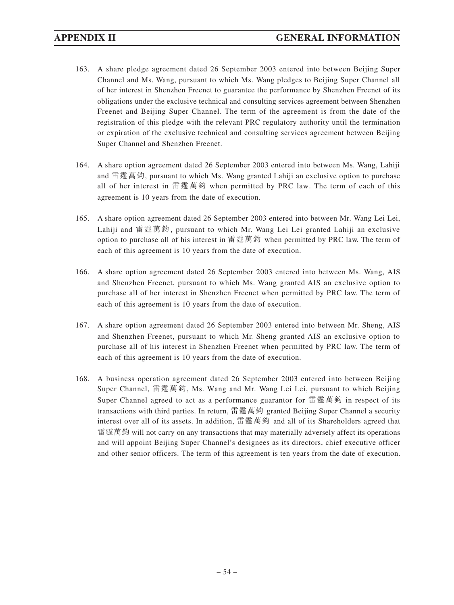- 163. A share pledge agreement dated 26 September 2003 entered into between Beijing Super Channel and Ms. Wang, pursuant to which Ms. Wang pledges to Beijing Super Channel all of her interest in Shenzhen Freenet to guarantee the performance by Shenzhen Freenet of its obligations under the exclusive technical and consulting services agreement between Shenzhen Freenet and Beijing Super Channel. The term of the agreement is from the date of the registration of this pledge with the relevant PRC regulatory authority until the termination or expiration of the exclusive technical and consulting services agreement between Beijing Super Channel and Shenzhen Freenet.
- 164. A share option agreement dated 26 September 2003 entered into between Ms. Wang, Lahiji and 雷霆萬鈞, pursuant to which Ms. Wang granted Lahiji an exclusive option to purchase all of her interest in 雷霆萬鈞 when permitted by PRC law. The term of each of this agreement is 10 years from the date of execution.
- 165. A share option agreement dated 26 September 2003 entered into between Mr. Wang Lei Lei, Lahiji and 雷霆萬鈞 , pursuant to which Mr. Wang Lei Lei granted Lahiji an exclusive option to purchase all of his interest in 雷霆萬鈞 when permitted by PRC law. The term of each of this agreement is 10 years from the date of execution.
- 166. A share option agreement dated 26 September 2003 entered into between Ms. Wang, AIS and Shenzhen Freenet, pursuant to which Ms. Wang granted AIS an exclusive option to purchase all of her interest in Shenzhen Freenet when permitted by PRC law. The term of each of this agreement is 10 years from the date of execution.
- 167. A share option agreement dated 26 September 2003 entered into between Mr. Sheng, AIS and Shenzhen Freenet, pursuant to which Mr. Sheng granted AIS an exclusive option to purchase all of his interest in Shenzhen Freenet when permitted by PRC law. The term of each of this agreement is 10 years from the date of execution.
- 168. A business operation agreement dated 26 September 2003 entered into between Beijing Super Channel, 雷霆萬鈞, Ms. Wang and Mr. Wang Lei Lei, pursuant to which Beijing Super Channel agreed to act as a performance guarantor for 雷霆萬鈞 in respect of its transactions with third parties. In return, 雷霆萬鈞 granted Beijing Super Channel a security interest over all of its assets. In addition, 雷霆萬鈞 and all of its Shareholders agreed that 雷霆萬鈞 will not carry on any transactions that may materially adversely affect its operations and will appoint Beijing Super Channel's designees as its directors, chief executive officer and other senior officers. The term of this agreement is ten years from the date of execution.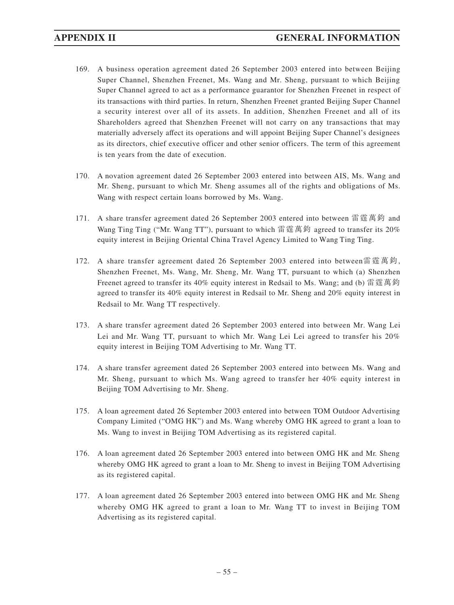- 169. A business operation agreement dated 26 September 2003 entered into between Beijing Super Channel, Shenzhen Freenet, Ms. Wang and Mr. Sheng, pursuant to which Beijing Super Channel agreed to act as a performance guarantor for Shenzhen Freenet in respect of its transactions with third parties. In return, Shenzhen Freenet granted Beijing Super Channel a security interest over all of its assets. In addition, Shenzhen Freenet and all of its Shareholders agreed that Shenzhen Freenet will not carry on any transactions that may materially adversely affect its operations and will appoint Beijing Super Channel's designees as its directors, chief executive officer and other senior officers. The term of this agreement is ten years from the date of execution.
- 170. A novation agreement dated 26 September 2003 entered into between AIS, Ms. Wang and Mr. Sheng, pursuant to which Mr. Sheng assumes all of the rights and obligations of Ms. Wang with respect certain loans borrowed by Ms. Wang.
- 171. A share transfer agreement dated 26 September 2003 entered into between 雷霆萬鈞 and Wang Ting Ting ("Mr. Wang TT"), pursuant to which 雷霆萬鈞 agreed to transfer its 20% equity interest in Beijing Oriental China Travel Agency Limited to Wang Ting Ting.
- 172. A share transfer agreement dated 26 September 2003 entered into between雷霆萬鈞, Shenzhen Freenet, Ms. Wang, Mr. Sheng, Mr. Wang TT, pursuant to which (a) Shenzhen Freenet agreed to transfer its 40% equity interest in Redsail to Ms. Wang; and (b) 雷霆萬鈞 agreed to transfer its 40% equity interest in Redsail to Mr. Sheng and 20% equity interest in Redsail to Mr. Wang TT respectively.
- 173. A share transfer agreement dated 26 September 2003 entered into between Mr. Wang Lei Lei and Mr. Wang TT, pursuant to which Mr. Wang Lei Lei agreed to transfer his 20% equity interest in Beijing TOM Advertising to Mr. Wang TT.
- 174. A share transfer agreement dated 26 September 2003 entered into between Ms. Wang and Mr. Sheng, pursuant to which Ms. Wang agreed to transfer her 40% equity interest in Beijing TOM Advertising to Mr. Sheng.
- 175. A loan agreement dated 26 September 2003 entered into between TOM Outdoor Advertising Company Limited ("OMG HK") and Ms. Wang whereby OMG HK agreed to grant a loan to Ms. Wang to invest in Beijing TOM Advertising as its registered capital.
- 176. A loan agreement dated 26 September 2003 entered into between OMG HK and Mr. Sheng whereby OMG HK agreed to grant a loan to Mr. Sheng to invest in Beijing TOM Advertising as its registered capital.
- 177. A loan agreement dated 26 September 2003 entered into between OMG HK and Mr. Sheng whereby OMG HK agreed to grant a loan to Mr. Wang TT to invest in Beijing TOM Advertising as its registered capital.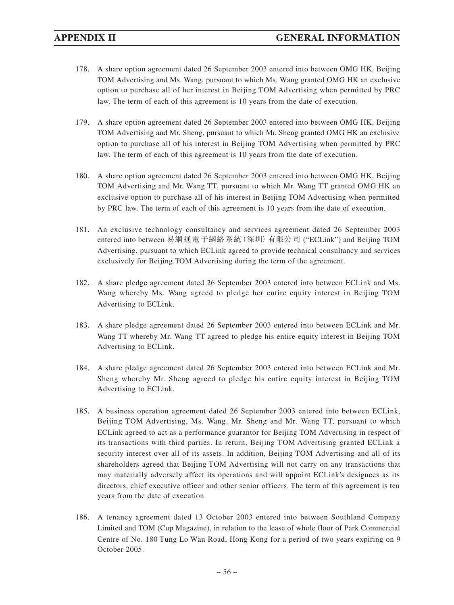- 178. A share option agreement dated 26 September 2003 entered into between OMG HK, Beijing TOM Advertising and Ms. Wang, pursuant to which Ms. Wang granted OMG HK an exclusive option to purchase all of her interest in Beijing TOM Advertising when permitted by PRC law. The term of each of this agreement is 10 years from the date of execution.
- 179. A share option agreement dated 26 September 2003 entered into between OMG HK, Beijing TOM Advertising and Mr. Sheng, pursuant to which Mr. Sheng granted OMG HK an exclusive option to purchase all of his interest in Beijing TOM Advertising when permitted by PRC law. The term of each of this agreement is 10 years from the date of execution.
- 180. A share option agreement dated 26 September 2003 entered into between OMG HK, Beijing TOM Advertising and Mr. Wang TT, pursuant to which Mr. Wang TT granted OMG HK an exclusive option to purchase all of his interest in Beijing TOM Advertising when permitted by PRC law. The term of each of this agreement is 10 years from the date of execution.
- 181. An exclusive technology consultancy and services agreement dated 26 September 2003 entered into between 易網通電子網絡系統(深圳)有限公司 ("ECLink") and Beijing TOM Advertising, pursuant to which ECLink agreed to provide technical consultancy and services exclusively for Beijing TOM Advertising during the term of the agreement.
- 182. A share pledge agreement dated 26 September 2003 entered into between ECLink and Ms. Wang whereby Ms. Wang agreed to pledge her entire equity interest in Beijing TOM Advertising to ECLink.
- 183. A share pledge agreement dated 26 September 2003 entered into between ECLink and Mr. Wang TT whereby Mr. Wang TT agreed to pledge his entire equity interest in Beijing TOM Advertising to ECLink.
- 184. A share pledge agreement dated 26 September 2003 entered into between ECLink and Mr. Sheng whereby Mr. Sheng agreed to pledge his entire equity interest in Beijing TOM Advertising to ECLink.
- 185. A business operation agreement dated 26 September 2003 entered into between ECLink, Beijing TOM Advertising, Ms. Wang, Mr. Sheng and Mr. Wang TT, pursuant to which ECLink agreed to act as a performance guarantor for Beijing TOM Advertising in respect of its transactions with third parties. In return, Beijing TOM Advertising granted ECLink a security interest over all of its assets. In addition, Beijing TOM Advertising and all of its shareholders agreed that Beijing TOM Advertising will not carry on any transactions that may materially adversely affect its operations and will appoint ECLink's designees as its directors, chief executive officer and other senior officers. The term of this agreement is ten years from the date of execution
- 186. A tenancy agreement dated 13 October 2003 entered into between Southland Company Limited and TOM (Cup Magazine), in relation to the lease of whole floor of Park Commercial Centre of No. 180 Tung Lo Wan Road, Hong Kong for a period of two years expiring on 9 October 2005.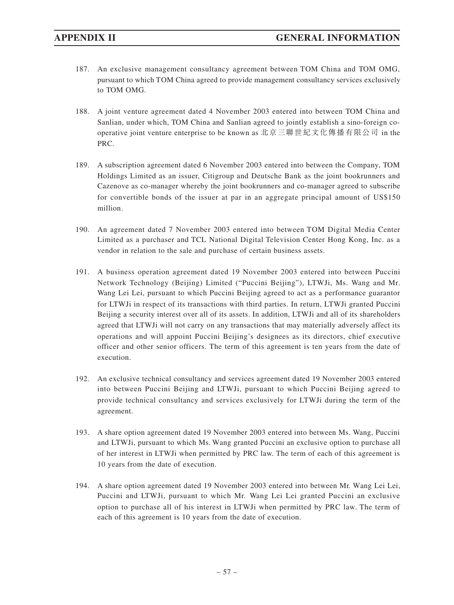- 187. An exclusive management consultancy agreement between TOM China and TOM OMG, pursuant to which TOM China agreed to provide management consultancy services exclusively to TOM OMG.
- 188. A joint venture agreement dated 4 November 2003 entered into between TOM China and Sanlian, under which, TOM China and Sanlian agreed to jointly establish a sino-foreign cooperative joint venture enterprise to be known as 北京三聯世紀文化傳播有限公司 in the PRC.
- 189. A subscription agreement dated 6 November 2003 entered into between the Company, TOM Holdings Limited as an issuer, Citigroup and Deutsche Bank as the joint bookrunners and Cazenove as co-manager whereby the joint bookrunners and co-manager agreed to subscribe for convertible bonds of the issuer at par in an aggregate principal amount of US\$150 million.
- 190. An agreement dated 7 November 2003 entered into between TOM Digital Media Center Limited as a purchaser and TCL National Digital Television Center Hong Kong, Inc. as a vendor in relation to the sale and purchase of certain business assets.
- 191. A business operation agreement dated 19 November 2003 entered into between Puccini Network Technology (Beijing) Limited ("Puccini Beijing"), LTWJi, Ms. Wang and Mr. Wang Lei Lei, pursuant to which Puccini Beijing agreed to act as a performance guarantor for LTWJi in respect of its transactions with third parties. In return, LTWJi granted Puccini Beijing a security interest over all of its assets. In addition, LTWJi and all of its shareholders agreed that LTWJi will not carry on any transactions that may materially adversely affect its operations and will appoint Puccini Beijing's designees as its directors, chief executive officer and other senior officers. The term of this agreement is ten years from the date of execution.
- 192. An exclusive technical consultancy and services agreement dated 19 November 2003 entered into between Puccini Beijing and LTWJi, pursuant to which Puccini Beijing agreed to provide technical consultancy and services exclusively for LTWJi during the term of the agreement.
- 193. A share option agreement dated 19 November 2003 entered into between Ms. Wang, Puccini and LTWJi, pursuant to which Ms. Wang granted Puccini an exclusive option to purchase all of her interest in LTWJi when permitted by PRC law. The term of each of this agreement is 10 years from the date of execution.
- 194. A share option agreement dated 19 November 2003 entered into between Mr. Wang Lei Lei, Puccini and LTWJi, pursuant to which Mr. Wang Lei Lei granted Puccini an exclusive option to purchase all of his interest in LTWJi when permitted by PRC law. The term of each of this agreement is 10 years from the date of execution.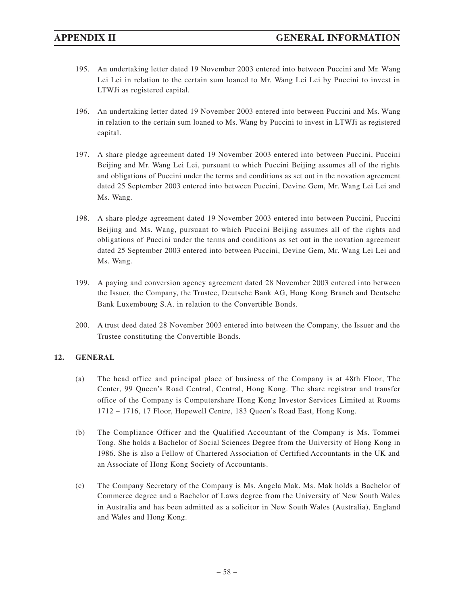- 195. An undertaking letter dated 19 November 2003 entered into between Puccini and Mr. Wang Lei Lei in relation to the certain sum loaned to Mr. Wang Lei Lei by Puccini to invest in LTWJi as registered capital.
- 196. An undertaking letter dated 19 November 2003 entered into between Puccini and Ms. Wang in relation to the certain sum loaned to Ms. Wang by Puccini to invest in LTWJi as registered capital.
- 197. A share pledge agreement dated 19 November 2003 entered into between Puccini, Puccini Beijing and Mr. Wang Lei Lei, pursuant to which Puccini Beijing assumes all of the rights and obligations of Puccini under the terms and conditions as set out in the novation agreement dated 25 September 2003 entered into between Puccini, Devine Gem, Mr. Wang Lei Lei and Ms. Wang.
- 198. A share pledge agreement dated 19 November 2003 entered into between Puccini, Puccini Beijing and Ms. Wang, pursuant to which Puccini Beijing assumes all of the rights and obligations of Puccini under the terms and conditions as set out in the novation agreement dated 25 September 2003 entered into between Puccini, Devine Gem, Mr. Wang Lei Lei and Ms. Wang.
- 199. A paying and conversion agency agreement dated 28 November 2003 entered into between the Issuer, the Company, the Trustee, Deutsche Bank AG, Hong Kong Branch and Deutsche Bank Luxembourg S.A. in relation to the Convertible Bonds.
- 200. A trust deed dated 28 November 2003 entered into between the Company, the Issuer and the Trustee constituting the Convertible Bonds.

## **12. GENERAL**

- (a) The head office and principal place of business of the Company is at 48th Floor, The Center, 99 Queen's Road Central, Central, Hong Kong. The share registrar and transfer office of the Company is Computershare Hong Kong Investor Services Limited at Rooms 1712 – 1716, 17 Floor, Hopewell Centre, 183 Queen's Road East, Hong Kong.
- (b) The Compliance Officer and the Qualified Accountant of the Company is Ms. Tommei Tong. She holds a Bachelor of Social Sciences Degree from the University of Hong Kong in 1986. She is also a Fellow of Chartered Association of Certified Accountants in the UK and an Associate of Hong Kong Society of Accountants.
- (c) The Company Secretary of the Company is Ms. Angela Mak. Ms. Mak holds a Bachelor of Commerce degree and a Bachelor of Laws degree from the University of New South Wales in Australia and has been admitted as a solicitor in New South Wales (Australia), England and Wales and Hong Kong.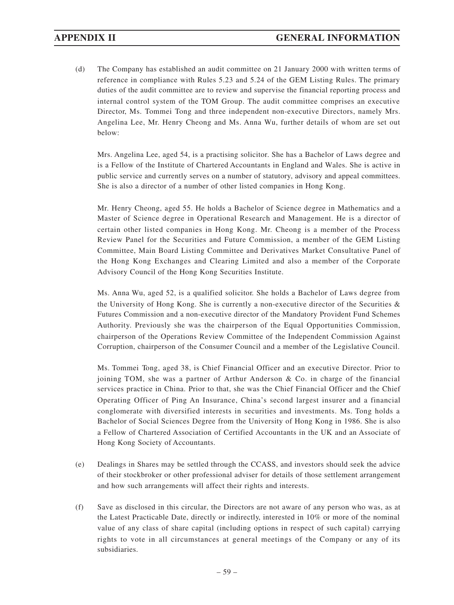(d) The Company has established an audit committee on 21 January 2000 with written terms of reference in compliance with Rules 5.23 and 5.24 of the GEM Listing Rules. The primary duties of the audit committee are to review and supervise the financial reporting process and internal control system of the TOM Group. The audit committee comprises an executive Director, Ms. Tommei Tong and three independent non-executive Directors, namely Mrs. Angelina Lee, Mr. Henry Cheong and Ms. Anna Wu, further details of whom are set out below:

Mrs. Angelina Lee, aged 54, is a practising solicitor. She has a Bachelor of Laws degree and is a Fellow of the Institute of Chartered Accountants in England and Wales. She is active in public service and currently serves on a number of statutory, advisory and appeal committees. She is also a director of a number of other listed companies in Hong Kong.

Mr. Henry Cheong, aged 55. He holds a Bachelor of Science degree in Mathematics and a Master of Science degree in Operational Research and Management. He is a director of certain other listed companies in Hong Kong. Mr. Cheong is a member of the Process Review Panel for the Securities and Future Commission, a member of the GEM Listing Committee, Main Board Listing Committee and Derivatives Market Consultative Panel of the Hong Kong Exchanges and Clearing Limited and also a member of the Corporate Advisory Council of the Hong Kong Securities Institute.

Ms. Anna Wu, aged 52, is a qualified solicitor. She holds a Bachelor of Laws degree from the University of Hong Kong. She is currently a non-executive director of the Securities & Futures Commission and a non-executive director of the Mandatory Provident Fund Schemes Authority. Previously she was the chairperson of the Equal Opportunities Commission, chairperson of the Operations Review Committee of the Independent Commission Against Corruption, chairperson of the Consumer Council and a member of the Legislative Council.

Ms. Tommei Tong, aged 38, is Chief Financial Officer and an executive Director. Prior to joining TOM, she was a partner of Arthur Anderson & Co. in charge of the financial services practice in China. Prior to that, she was the Chief Financial Officer and the Chief Operating Officer of Ping An Insurance, China's second largest insurer and a financial conglomerate with diversified interests in securities and investments. Ms. Tong holds a Bachelor of Social Sciences Degree from the University of Hong Kong in 1986. She is also a Fellow of Chartered Association of Certified Accountants in the UK and an Associate of Hong Kong Society of Accountants.

- (e) Dealings in Shares may be settled through the CCASS, and investors should seek the advice of their stockbroker or other professional adviser for details of those settlement arrangement and how such arrangements will affect their rights and interests.
- (f) Save as disclosed in this circular, the Directors are not aware of any person who was, as at the Latest Practicable Date, directly or indirectly, interested in 10% or more of the nominal value of any class of share capital (including options in respect of such capital) carrying rights to vote in all circumstances at general meetings of the Company or any of its subsidiaries.